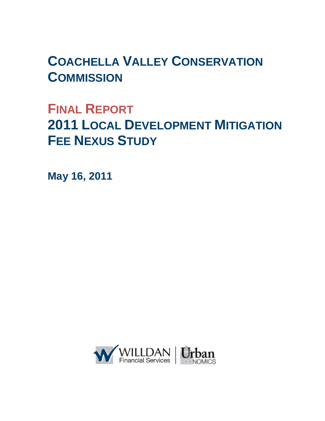**COACHELLA VALLEY CONSERVATION COMMISSION**

**FINAL REPORT 2011 LOCAL DEVELOPMENT MITIGATION FEE NEXUS STUDY**

**May 16, 2011** 

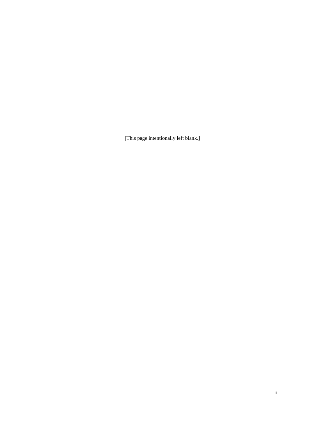[This page intentionally left blank.]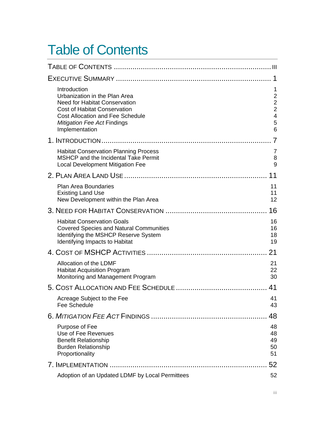# Table of Contents

| Introduction<br>Urbanization in the Plan Area<br><b>Need for Habitat Conservation</b><br><b>Cost of Habitat Conservation</b><br><b>Cost Allocation and Fee Schedule</b><br><b>Mitigation Fee Act Findings</b><br>Implementation | 1<br>$\overline{2}$<br>$\overline{2}$<br>$\overline{2}$<br>$\overline{4}$<br>5<br>6 |
|---------------------------------------------------------------------------------------------------------------------------------------------------------------------------------------------------------------------------------|-------------------------------------------------------------------------------------|
|                                                                                                                                                                                                                                 |                                                                                     |
| <b>Habitat Conservation Planning Process</b><br><b>MSHCP</b> and the Incidental Take Permit<br><b>Local Development Mitigation Fee</b>                                                                                          | 7<br>8<br>9                                                                         |
|                                                                                                                                                                                                                                 | 11                                                                                  |
| <b>Plan Area Boundaries</b><br><b>Existing Land Use</b><br>New Development within the Plan Area                                                                                                                                 | 11<br>11<br>12                                                                      |
|                                                                                                                                                                                                                                 | 16                                                                                  |
| <b>Habitat Conservation Goals</b><br><b>Covered Species and Natural Communities</b><br>Identifying the MSHCP Reserve System<br>Identifying Impacts to Habitat                                                                   | 16<br>16<br>18<br>19                                                                |
|                                                                                                                                                                                                                                 | 21                                                                                  |
| Allocation of the LDMF<br><b>Habitat Acquisition Program</b><br>Monitoring and Management Program                                                                                                                               | 21<br>22<br>30                                                                      |
|                                                                                                                                                                                                                                 | 41                                                                                  |
| Acreage Subject to the Fee<br>Fee Schedule                                                                                                                                                                                      | 41<br>43                                                                            |
|                                                                                                                                                                                                                                 | 48                                                                                  |
| Purpose of Fee<br>Use of Fee Revenues<br><b>Benefit Relationship</b><br><b>Burden Relationship</b><br>Proportionality                                                                                                           | 48<br>48<br>49<br>50<br>51                                                          |
|                                                                                                                                                                                                                                 | 52                                                                                  |
| Adoption of an Updated LDMF by Local Permittees                                                                                                                                                                                 | 52                                                                                  |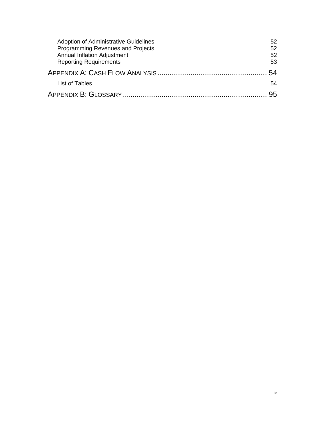| <b>Adoption of Administrative Guidelines</b> | 52  |
|----------------------------------------------|-----|
| Programming Revenues and Projects            | 52  |
| <b>Annual Inflation Adjustment</b>           | 52  |
| <b>Reporting Requirements</b>                | 53  |
|                                              | 54  |
| List of Tables                               | 54  |
|                                              | Q5. |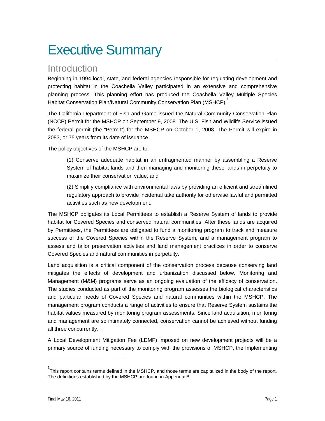# Executive Summary

## Introduction

Beginning in 1994 local, state, and federal agencies responsible for regulating development and protecting habitat in the Coachella Valley participated in an extensive and comprehensive planning process. This planning effort has produced the Coachella Valley Multiple Species Habitat Conservation Plan/Natural Community Conservation Plan (MSHCP).<sup>1</sup>

The California Department of Fish and Game issued the Natural Community Conservation Plan (NCCP) Permit for the MSHCP on September 9, 2008. The U.S. Fish and Wildlife Service issued the federal permit (the "Permit") for the MSHCP on October 1, 2008. The Permit will expire in 2083, or 75 years from its date of issuance.

The policy objectives of the MSHCP are to:

(1) Conserve adequate habitat in an unfragmented manner by assembling a Reserve System of habitat lands and then managing and monitoring these lands in perpetuity to maximize their conservation value, and

(2) Simplify compliance with environmental laws by providing an efficient and streamlined regulatory approach to provide incidental take authority for otherwise lawful and permitted activities such as new development.

The MSHCP obligates its Local Permittees to establish a Reserve System of lands to provide habitat for Covered Species and conserved natural communities. After these lands are acquired by Permittees, the Permittees are obligated to fund a monitoring program to track and measure success of the Covered Species within the Reserve System, and a management program to assess and tailor preservation activities and land management practices in order to conserve Covered Species and natural communities in perpetuity.

Land acquisition is a critical component of the conservation process because conserving land mitigates the effects of development and urbanization discussed below. Monitoring and Management (M&M) programs serve as an ongoing evaluation of the efficacy of conservation. The studies conducted as part of the monitoring program assesses the biological characteristics and particular needs of Covered Species and natural communities within the MSHCP. The management program conducts a range of activities to ensure that Reserve System sustains the habitat values measured by monitoring program assessments. Since land acquisition, monitoring and management are so intimately connected, conservation cannot be achieved without funding all three concurrently.

A Local Development Mitigation Fee (LDMF) imposed on new development projects will be a primary source of funding necessary to comply with the provisions of MSHCP, the Implementing

 $\overline{\phantom{0}}$ 

<sup>1</sup> This report contains terms defined in the MSHCP, and those terms are capitalized in the body of the report. The definitions established by the MSHCP are found in Appendix B.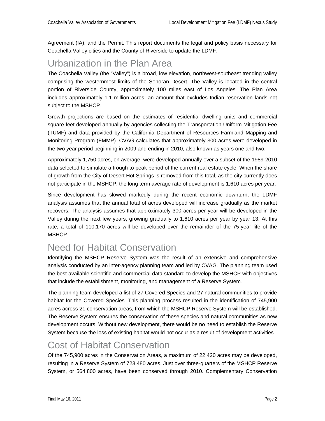Agreement (IA), and the Permit. This report documents the legal and policy basis necessary for Coachella Valley cities and the County of Riverside to update the LDMF.

# Urbanization in the Plan Area

The Coachella Valley (the "Valley") is a broad, low elevation, northwest-southeast trending valley comprising the westernmost limits of the Sonoran Desert. The Valley is located in the central portion of Riverside County, approximately 100 miles east of Los Angeles. The Plan Area includes approximately 1.1 million acres, an amount that excludes Indian reservation lands not subject to the MSHCP.

Growth projections are based on the estimates of residential dwelling units and commercial square feet developed annually by agencies collecting the Transportation Uniform Mitigation Fee (TUMF) and data provided by the California Department of Resources Farmland Mapping and Monitoring Program (FMMP). CVAG calculates that approximately 300 acres were developed in the two year period beginning in 2009 and ending in 2010, also known as years one and two.

Approximately 1,750 acres, on average, were developed annually over a subset of the 1989-2010 data selected to simulate a trough to peak period of the current real estate cycle. When the share of growth from the City of Desert Hot Springs is removed from this total, as the city currently does not participate in the MSHCP, the long term average rate of development is 1,610 acres per year.

Since development has slowed markedly during the recent economic downturn, the LDMF analysis assumes that the annual total of acres developed will increase gradually as the market recovers. The analysis assumes that approximately 300 acres per year will be developed in the Valley during the next few years, growing gradually to 1,610 acres per year by year 13. At this rate, a total of 110,170 acres will be developed over the remainder of the 75-year life of the MSHCP.

# Need for Habitat Conservation

Identifying the MSHCP Reserve System was the result of an extensive and comprehensive analysis conducted by an inter-agency planning team and led by CVAG. The planning team used the best available scientific and commercial data standard to develop the MSHCP with objectives that include the establishment, monitoring, and management of a Reserve System.

The planning team developed a list of 27 Covered Species and 27 natural communities to provide habitat for the Covered Species. This planning process resulted in the identification of 745,900 acres across 21 conservation areas, from which the MSHCP Reserve System will be established. The Reserve System ensures the conservation of these species and natural communities as new development occurs. Without new development, there would be no need to establish the Reserve System because the loss of existing habitat would not occur as a result of development activities.

# Cost of Habitat Conservation

Of the 745,900 acres in the Conservation Areas, a maximum of 22,420 acres may be developed, resulting in a Reserve System of 723,480 acres. Just over three-quarters of the MSHCP Reserve System, or 564,800 acres, have been conserved through 2010. Complementary Conservation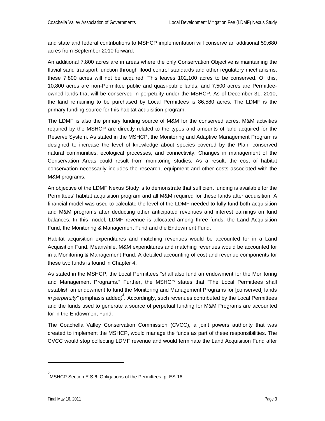and state and federal contributions to MSHCP implementation will conserve an additional 59,680 acres from September 2010 forward.

An additional 7,800 acres are in areas where the only Conservation Objective is maintaining the fluvial sand transport function through flood control standards and other regulatory mechanisms; these 7,800 acres will not be acquired. This leaves 102,100 acres to be conserved. Of this, 10,800 acres are non-Permittee public and quasi-public lands, and 7,500 acres are Permitteeowned lands that will be conserved in perpetuity under the MSHCP. As of December 31, 2010, the land remaining to be purchased by Local Permittees is 86,580 acres. The LDMF is the primary funding source for this habitat acquisition program.

The LDMF is also the primary funding source of M&M for the conserved acres. M&M activities required by the MSHCP are directly related to the types and amounts of land acquired for the Reserve System. As stated in the MSHCP, the Monitoring and Adaptive Management Program is designed to increase the level of knowledge about species covered by the Plan, conserved natural communities, ecological processes, and connectivity. Changes in management of the Conservation Areas could result from monitoring studies. As a result, the cost of habitat conservation necessarily includes the research, equipment and other costs associated with the M&M programs.

An objective of the LDMF Nexus Study is to demonstrate that sufficient funding is available for the Permittees' habitat acquisition program and all M&M required for these lands after acquisition. A financial model was used to calculate the level of the LDMF needed to fully fund both acquisition and M&M programs after deducting other anticipated revenues and interest earnings on fund balances. In this model, LDMF revenue is allocated among three funds: the Land Acquisition Fund, the Monitoring & Management Fund and the Endowment Fund.

Habitat acquisition expenditures and matching revenues would be accounted for in a Land Acquisition Fund. Meanwhile, M&M expenditures and matching revenues would be accounted for in a Monitoring & Management Fund. A detailed accounting of cost and revenue components for these two funds is found in Chapter 4.

As stated in the MSHCP, the Local Permittees "shall also fund an endowment for the Monitoring and Management Programs." Further, the MSHCP states that "The Local Permittees shall establish an endowment to fund the Monitoring and Management Programs for [conserved] lands in perpetuity" (emphasis added)<sup>2</sup>. Accordingly, such revenues contributed by the Local Permittees and the funds used to generate a source of perpetual funding for M&M Programs are accounted for in the Endowment Fund.

The Coachella Valley Conservation Commission (CVCC), a joint powers authority that was created to implement the MSHCP, would manage the funds as part of these responsibilities. The CVCC would stop collecting LDMF revenue and would terminate the Land Acquisition Fund after

 $\overline{a}$ 

<sup>&</sup>lt;sup>2</sup><br>MSHCP Section E.S.6: Obligations of the Permittees, p. ES-18.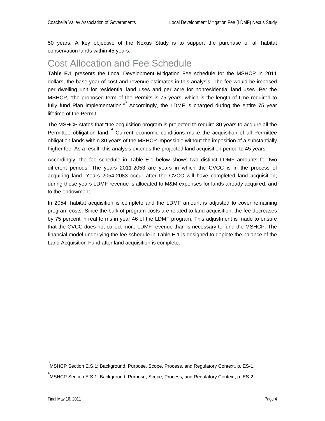50 years. A key objective of the Nexus Study is to support the purchase of all habitat conservation lands within 45 years.

# Cost Allocation and Fee Schedule

**Table E.1** presents the Local Development Mitigation Fee schedule for the MSHCP in 2011 dollars, the base year of cost and revenue estimates in this analysis. The fee would be imposed per dwelling unit for residential land uses and per acre for nonresidential land uses. Per the MSHCP, "the proposed term of the Permits is 75 years, which is the length of time required to fully fund Plan implementation." Accordingly, the LDMF is charged during the entire 75 year lifetime of the Permit.

The MSHCP states that "the acquisition program is projected to require 30 years to acquire all the Permittee obligation land.<sup>4</sup> Current economic conditions make the acquisition of all Permittee obligation lands within 30 years of the MSHCP impossible without the imposition of a substantially higher fee. As a result, this analysis extends the projected land acquisition period to 45 years.

Accordingly, the fee schedule in Table E.1 below shows two distinct LDMF amounts for two different periods. The years 2011-2053 are years in which the CVCC is in the process of acquiring land. Years 2054-2083 occur after the CVCC will have completed land acquisition; during these years LDMF revenue is allocated to M&M expenses for lands already acquired, and to the endowment.

In 2054, habitat acquisition is complete and the LDMF amount is adjusted to cover remaining program costs. Since the bulk of program costs are related to land acquisition, the fee decreases by 75 percent in real terms in year 46 of the LDMF program. This adjustment is made to ensure that the CVCC does not collect more LDMF revenue than is necessary to fund the MSHCP. The financial model underlying the fee schedule in Table E.1 is designed to deplete the balance of the Land Acquisition Fund after land acquisition is complete.

l

<sup>3</sup> MSHCP Section E.S.1: Background, Purpose, Scope, Process, and Regulatory Context, p. ES-1.

<sup>4</sup> MSHCP Section E.S.1: Background, Purpose, Scope, Process, and Regulatory Context, p. ES-2.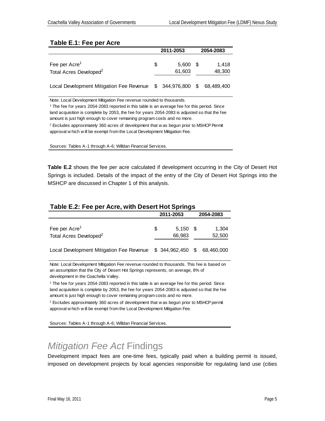### **Table E.1: Fee per Acre**

|                                                                 | 2011-2053 |                              |      | 2054-2083       |  |  |
|-----------------------------------------------------------------|-----------|------------------------------|------|-----------------|--|--|
| Fee per Acre <sup>1</sup><br>Total Acres Developed <sup>2</sup> | S         | 5.600<br>61,603              | - \$ | 1.418<br>48,300 |  |  |
| Local Development Mitigation Fee Revenue                        |           | \$ 344,976,800 \$ 68,489,400 |      |                 |  |  |

Note: Local Development Mitigation Fee revenue rounded to thousands.

1 The fee for years 2054-2083 reported in this table is an average fee for this period. Since land acquisition is complete by 2053, the fee for years 2054-2083 is adjusted so that the fee amount is just high enough to cover remaining program costs and no more.

2 Excludes approximately 360 acres of development that w as begun prior to MSHCP Permit approval w hich w ill be exempt from the Local Development Mitigation Fee.

Sources: Tables A-1 through A-6; Willdan Financial Services.

**Table E.2** shows the fee per acre calculated if development occurring in the City of Desert Hot Springs is included. Details of the impact of the entry of the City of Desert Hot Springs into the MSHCP are discussed in Chapter 1 of this analysis.

### **Table E.2: Fee per Acre, with Desert Hot Springs**

|                                                                 | 2011-2053                  | 2054-2083 |                 |  |
|-----------------------------------------------------------------|----------------------------|-----------|-----------------|--|
| Fee per Acre <sup>1</sup><br>Total Acres Developed <sup>2</sup> | \$<br>$5.150$ \$<br>66,983 |           | 1.304<br>52,500 |  |
| Local Development Mitigation Fee Revenue                        | $$344,962,450$ \$          |           | 68,460,000      |  |

Note: Local Development Mitigation Fee revenue rounded to thousands. This fee is based on an assumption that the City of Desert Hot Springs represents, on average, 8% of development in the Coachella Valley.

1 The fee for years 2054-2083 reported in this table is an average fee for this period. Since land acquisition is complete by 2053, the fee for years 2054-2083 is adjusted so that the fee amount is just high enough to cover remaining program costs and no more.

2 Excludes approximately 360 acres of development that w as begun prior to MSHCP permit approval w hich w ill be exempt from the Local Development Mitigation Fee.

Sources: Tables A-1 through A-6; Willdan Financial Services.

# *Mitigation Fee Act* Findings

Development impact fees are one-time fees, typically paid when a building permit is issued, imposed on development projects by local agencies responsible for regulating land use (cities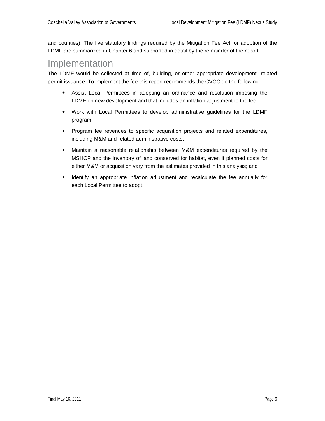and counties). The five statutory findings required by the Mitigation Fee Act for adoption of the LDMF are summarized in Chapter 6 and supported in detail by the remainder of the report.

## Implementation

The LDMF would be collected at time of, building, or other appropriate development- related permit issuance. To implement the fee this report recommends the CVCC do the following:

- Assist Local Permittees in adopting an ordinance and resolution imposing the LDMF on new development and that includes an inflation adjustment to the fee;
- Work with Local Permittees to develop administrative guidelines for the LDMF program.
- Program fee revenues to specific acquisition projects and related expenditures, including M&M and related administrative costs;
- Maintain a reasonable relationship between M&M expenditures required by the MSHCP and the inventory of land conserved for habitat, even if planned costs for either M&M or acquisition vary from the estimates provided in this analysis; and
- Identify an appropriate inflation adjustment and recalculate the fee annually for each Local Permittee to adopt.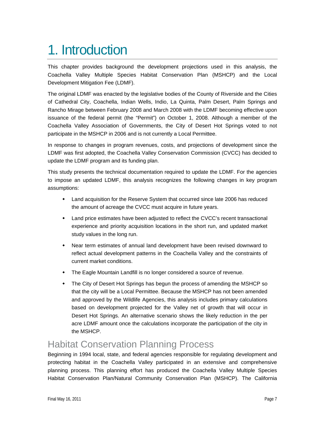# 1. Introduction

This chapter provides background the development projections used in this analysis, the Coachella Valley Multiple Species Habitat Conservation Plan (MSHCP) and the Local Development Mitigation Fee (LDMF).

The original LDMF was enacted by the legislative bodies of the County of Riverside and the Cities of Cathedral City, Coachella, Indian Wells, Indio, La Quinta, Palm Desert, Palm Springs and Rancho Mirage between February 2008 and March 2008 with the LDMF becoming effective upon issuance of the federal permit (the "Permit") on October 1, 2008. Although a member of the Coachella Valley Association of Governments, the City of Desert Hot Springs voted to not participate in the MSHCP in 2006 and is not currently a Local Permittee.

In response to changes in program revenues, costs, and projections of development since the LDMF was first adopted, the Coachella Valley Conservation Commission (CVCC) has decided to update the LDMF program and its funding plan.

This study presents the technical documentation required to update the LDMF. For the agencies to impose an updated LDMF, this analysis recognizes the following changes in key program assumptions:

- Land acquisition for the Reserve System that occurred since late 2006 has reduced the amount of acreage the CVCC must acquire in future years.
- Land price estimates have been adjusted to reflect the CVCC's recent transactional experience and priority acquisition locations in the short run, and updated market study values in the long run.
- Near term estimates of annual land development have been revised downward to reflect actual development patterns in the Coachella Valley and the constraints of current market conditions.
- The Eagle Mountain Landfill is no longer considered a source of revenue.
- The City of Desert Hot Springs has begun the process of amending the MSHCP so that the city will be a Local Permittee. Because the MSHCP has not been amended and approved by the Wildlife Agencies, this analysis includes primary calculations based on development projected for the Valley net of growth that will occur in Desert Hot Springs. An alternative scenario shows the likely reduction in the per acre LDMF amount once the calculations incorporate the participation of the city in the MSHCP.

# Habitat Conservation Planning Process

Beginning in 1994 local, state, and federal agencies responsible for regulating development and protecting habitat in the Coachella Valley participated in an extensive and comprehensive planning process. This planning effort has produced the Coachella Valley Multiple Species Habitat Conservation Plan/Natural Community Conservation Plan (MSHCP). The California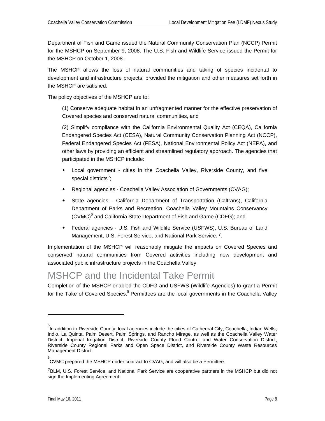Department of Fish and Game issued the Natural Community Conservation Plan (NCCP) Permit for the MSHCP on September 9, 2008. The U.S. Fish and Wildlife Service issued the Permit for the MSHCP on October 1, 2008.

The MSHCP allows the loss of natural communities and taking of species incidental to development and infrastructure projects, provided the mitigation and other measures set forth in the MSHCP are satisfied.

The policy objectives of the MSHCP are to:

(1) Conserve adequate habitat in an unfragmented manner for the effective preservation of Covered species and conserved natural communities, and

(2) Simplify compliance with the California Environmental Quality Act (CEQA), California Endangered Species Act (CESA), Natural Community Conservation Planning Act (NCCP), Federal Endangered Species Act (FESA), National Environmental Policy Act (NEPA), and other laws by providing an efficient and streamlined regulatory approach. The agencies that participated in the MSHCP include:

- Local government cities in the Coachella Valley, Riverside County, and five special districts<sup>5</sup>;
- Regional agencies Coachella Valley Association of Governments (CVAG);
- State agencies California Department of Transportation (Caltrans), California Department of Parks and Recreation, Coachella Valley Mountains Conservancy (CVMC)<sup>6</sup> and California State Department of Fish and Game (CDFG); and
- Federal agencies U.S. Fish and Wildlife Service (USFWS), U.S. Bureau of Land Management, U.S. Forest Service, and National Park Service. 7.

Implementation of the MSHCP will reasonably mitigate the impacts on Covered Species and conserved natural communities from Covered activities including new development and associated public infrastructure projects in the Coachella Valley.

# MSHCP and the Incidental Take Permit

Completion of the MSHCP enabled the CDFG and USFWS (Wildlife Agencies) to grant a Permit for the Take of Covered Species.<sup>8</sup> Permittees are the local governments in the Coachella Valley

l

<sup>5</sup> In addition to Riverside County, local agencies include the cities of Cathedral City, Coachella, Indian Wells, Indio, La Quinta, Palm Desert, Palm Springs, and Rancho Mirage, as well as the Coachella Valley Water District, Imperial Irrigation District, Riverside County Flood Control and Water Conservation District, Riverside County Regional Parks and Open Space District, and Riverside County Waste Resources Management District.

<sup>6</sup> CVMC prepared the MSHCP under contract to CVAG, and will also be a Permittee.

<sup>7</sup>BLM, U.S. Forest Service, and National Park Service are cooperative partners in the MSHCP but did not sign the Implementing Agreement.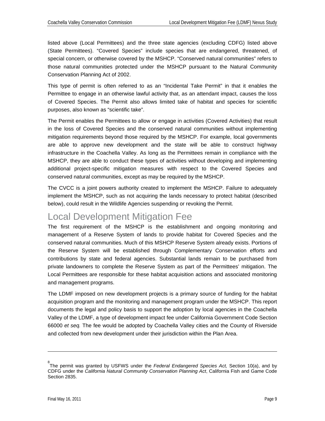listed above (Local Permittees) and the three state agencies (excluding CDFG) listed above (State Permittees). "Covered Species" include species that are endangered, threatened, of special concern, or otherwise covered by the MSHCP. "Conserved natural communities" refers to those natural communities protected under the MSHCP pursuant to the Natural Community Conservation Planning Act of 2002.

This type of permit is often referred to as an "Incidental Take Permit" in that it enables the Permittee to engage in an otherwise lawful activity that, as an attendant impact, causes the loss of Covered Species. The Permit also allows limited take of habitat and species for scientific purposes, also known as "scientific take".

The Permit enables the Permittees to allow or engage in activities (Covered Activities) that result in the loss of Covered Species and the conserved natural communities without implementing mitigation requirements beyond those required by the MSHCP. For example, local governments are able to approve new development and the state will be able to construct highway infrastructure in the Coachella Valley. As long as the Permittees remain in compliance with the MSHCP, they are able to conduct these types of activities without developing and implementing additional project-specific mitigation measures with respect to the Covered Species and conserved natural communities, except as may be required by the MSHCP.

The CVCC is a joint powers authority created to implement the MSHCP. Failure to adequately implement the MSHCP, such as not acquiring the lands necessary to protect habitat (described below), could result in the Wildlife Agencies suspending or revoking the Permit.

# Local Development Mitigation Fee

The first requirement of the MSHCP is the establishment and ongoing monitoring and management of a Reserve System of lands to provide habitat for Covered Species and the conserved natural communities. Much of this MSHCP Reserve System already exists. Portions of the Reserve System will be established through Complementary Conservation efforts and contributions by state and federal agencies. Substantial lands remain to be purchased from private landowners to complete the Reserve System as part of the Permittees' mitigation. The Local Permittees are responsible for these habitat acquisition actions and associated monitoring and management programs.

The LDMF imposed on new development projects is a primary source of funding for the habitat acquisition program and the monitoring and management program under the MSHCP. This report documents the legal and policy basis to support the adoption by local agencies in the Coachella Valley of the LDMF, a type of development impact fee under California Government Code Section 66000 *et seq.* The fee would be adopted by Coachella Valley cities and the County of Riverside and collected from new development under their jurisdiction within the Plan Area.

l

<sup>&</sup>lt;sup>8</sup><br>The permit was granted by USFWS under the *Federal Endangered Species Act,* Section 10(a), and by CDFG under the *California Natural Community Conservation Planning Act*, California Fish and Game Code Section 2835.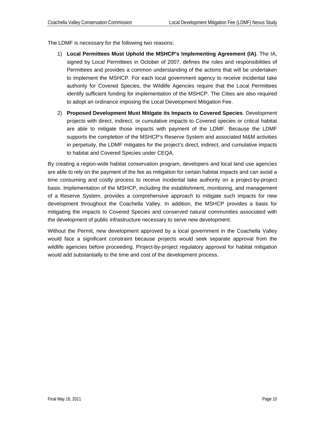The LDMF is necessary for the following two reasons:

- 1) **Local Permittees Must Uphold the MSHCP's Implementing Agreement (IA)**. The IA, signed by Local Permittees in October of 2007, defines the roles and responsibilities of Permittees and provides a common understanding of the actions that will be undertaken to implement the MSHCP. For each local government agency to receive incidental take authority for Covered Species, the Wildlife Agencies require that the Local Permittees identify sufficient funding for implementation of the MSHCP. The Cities are also required to adopt an ordinance imposing the Local Development Mitigation Fee.
- 2) **Proposed Development Must Mitigate its Impacts to Covered Species**. Development projects with direct, indirect, or cumulative impacts to Covered species or critical habitat are able to mitigate those impacts with payment of the LDMF. Because the LDMF supports the completion of the MSHCP's Reserve System and associated M&M activities in perpetuity, the LDMF mitigates for the project's direct, indirect, and cumulative impacts to habitat and Covered Species under CEQA.

By creating a region-wide habitat conservation program, developers and local land use agencies are able to rely on the payment of the fee as mitigation for certain habitat impacts and can avoid a time consuming and costly process to receive incidental take authority on a project-by-project basis. Implementation of the MSHCP, including the establishment, monitoring, and management of a Reserve System, provides a comprehensive approach to mitigate such impacts for new development throughout the Coachella Valley. In addition, the MSHCP provides a basis for mitigating the impacts to Covered Species and conserved natural communities associated with the development of public infrastructure necessary to serve new development.

Without the Permit, new development approved by a local government in the Coachella Valley would face a significant constraint because projects would seek separate approval from the wildlife agencies before proceeding. Project-by-project regulatory approval for habitat mitigation would add substantially to the time and cost of the development process.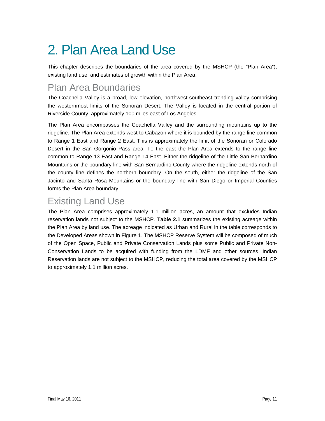# 2. Plan Area Land Use

This chapter describes the boundaries of the area covered by the MSHCP (the "Plan Area"), existing land use, and estimates of growth within the Plan Area.

# Plan Area Boundaries

The Coachella Valley is a broad, low elevation, northwest-southeast trending valley comprising the westernmost limits of the Sonoran Desert. The Valley is located in the central portion of Riverside County, approximately 100 miles east of Los Angeles.

The Plan Area encompasses the Coachella Valley and the surrounding mountains up to the ridgeline. The Plan Area extends west to Cabazon where it is bounded by the range line common to Range 1 East and Range 2 East. This is approximately the limit of the Sonoran or Colorado Desert in the San Gorgonio Pass area. To the east the Plan Area extends to the range line common to Range 13 East and Range 14 East. Either the ridgeline of the Little San Bernardino Mountains or the boundary line with San Bernardino County where the ridgeline extends north of the county line defines the northern boundary. On the south, either the ridgeline of the San Jacinto and Santa Rosa Mountains or the boundary line with San Diego or Imperial Counties forms the Plan Area boundary.

# Existing Land Use

The Plan Area comprises approximately 1.1 million acres, an amount that excludes Indian reservation lands not subject to the MSHCP. **Table 2.1** summarizes the existing acreage within the Plan Area by land use. The acreage indicated as Urban and Rural in the table corresponds to the Developed Areas shown in Figure 1. The MSHCP Reserve System will be composed of much of the Open Space, Public and Private Conservation Lands plus some Public and Private Non-Conservation Lands to be acquired with funding from the LDMF and other sources. Indian Reservation lands are not subject to the MSHCP, reducing the total area covered by the MSHCP to approximately 1.1 million acres.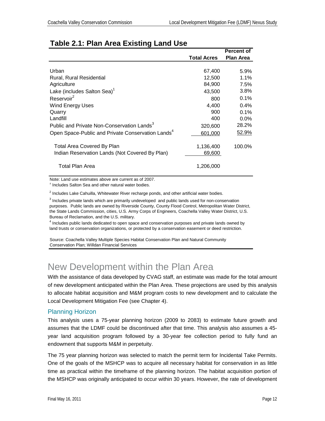|                                                               |                    | <b>Percent of</b> |
|---------------------------------------------------------------|--------------------|-------------------|
|                                                               | <b>Total Acres</b> | <b>Plan Area</b>  |
|                                                               |                    |                   |
| Urban                                                         | 67,400             | 5.9%              |
| Rural, Rural Residential                                      | 12,500             | $1.1\%$           |
| Agriculture                                                   | 84,900             | 7.5%              |
| Lake (includes Salton Sea) <sup>1</sup>                       | 43,500             | 3.8%              |
| Reservoir <sup>2</sup>                                        | 800                | 0.1%              |
| Wind Energy Uses                                              | 4,400              | 0.4%              |
| Quarry                                                        | 900                | 0.1%              |
| Landfill                                                      | 400                | $0.0\%$           |
| Public and Private Non-Conservation Lands <sup>3</sup>        | 320,600            | 28.2%             |
| Open Space-Public and Private Conservation Lands <sup>4</sup> | 601,000            | 52.9%             |
| Total Area Covered By Plan                                    | 1,136,400          | 100.0%            |
| Indian Reservation Lands (Not Covered By Plan)                |                    |                   |
|                                                               | 69,600             |                   |
| Total Plan Area                                               | 1,206,000          |                   |

### **Table 2.1: Plan Area Existing Land Use**

Note: Land use estimates above are current as of 2007.

<sup>1</sup> Includes Salton Sea and other natural water bodies.

 $2$  Includes Lake Cahuilla, Whitewater River recharge ponds, and other artificial water bodies.

<sup>3</sup> Includes private lands which are primarily undeveloped and public lands used for non-conservation purposes. Public lands are owned by Riverside County, County Flood Control, Metropolitan Water District, the State Lands Commission, cities, U.S. Army Corps of Engineers, Coachella Valley Water District, U.S. Bureau of Reclamation, and the U.S. military.

<sup>4</sup> Includes public lands dedicated to open space and conservation purposes and private lands owned by land trusts or conservation organizations, or protected by a conservation easement or deed restriction.

Source: Coachella Valley Multiple Species Habitat Conservation Plan and Natural Community Conservation Plan; Willdan Financial Services

## New Development within the Plan Area

With the assistance of data developed by CVAG staff, an estimate was made for the total amount of new development anticipated within the Plan Area. These projections are used by this analysis to allocate habitat acquisition and M&M program costs to new development and to calculate the Local Development Mitigation Fee (see Chapter 4).

### Planning Horizon

This analysis uses a 75-year planning horizon (2009 to 2083) to estimate future growth and assumes that the LDMF could be discontinued after that time. This analysis also assumes a 45 year land acquisition program followed by a 30-year fee collection period to fully fund an endowment that supports M&M in perpetuity.

The 75 year planning horizon was selected to match the permit term for Incidental Take Permits. One of the goals of the MSHCP was to acquire all necessary habitat for conservation in as little time as practical within the timeframe of the planning horizon. The habitat acquisition portion of the MSHCP was originally anticipated to occur within 30 years. However, the rate of development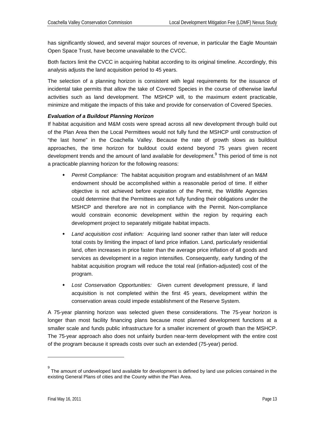has significantly slowed, and several major sources of revenue, in particular the Eagle Mountain Open Space Trust, have become unavailable to the CVCC.

Both factors limit the CVCC in acquiring habitat according to its original timeline. Accordingly, this analysis adjusts the land acquisition period to 45 years.

The selection of a planning horizon is consistent with legal requirements for the issuance of incidental take permits that allow the take of Covered Species in the course of otherwise lawful activities such as land development. The MSHCP will, to the maximum extent practicable, minimize and mitigate the impacts of this take and provide for conservation of Covered Species.

### *Evaluation of a Buildout Planning Horizon*

If habitat acquisition and M&M costs were spread across all new development through build out of the Plan Area then the Local Permittees would not fully fund the MSHCP until construction of "the last home" in the Coachella Valley. Because the rate of growth slows as buildout approaches, the time horizon for buildout could extend beyond 75 years given recent development trends and the amount of land available for development.<sup>9</sup> This period of time is not a practicable planning horizon for the following reasons:

- *Permit Compliance:* The habitat acquisition program and establishment of an M&M endowment should be accomplished within a reasonable period of time. If either objective is not achieved before expiration of the Permit, the Wildlife Agencies could determine that the Permittees are not fully funding their obligations under the MSHCP and therefore are not in compliance with the Permit. Non-compliance would constrain economic development within the region by requiring each development project to separately mitigate habitat impacts.
- *Land acquisition cost inflation:* Acquiring land sooner rather than later will reduce total costs by limiting the impact of land price inflation. Land, particularly residential land, often increases in price faster than the average price inflation of all goods and services as development in a region intensifies. Consequently, early funding of the habitat acquisition program will reduce the total real (inflation-adjusted) cost of the program.
- *Lost Conservation Opportunities:* Given current development pressure, if land acquisition is not completed within the first 45 years, development within the conservation areas could impede establishment of the Reserve System.

A 75-year planning horizon was selected given these considerations. The 75-year horizon is longer than most facility financing plans because most planned development functions at a smaller scale and funds public infrastructure for a smaller increment of growth than the MSHCP. The 75-year approach also does not unfairly burden near-term development with the entire cost of the program because it spreads costs over such an extended (75-year) period.

 $\overline{\phantom{0}}$ 

<sup>9</sup> The amount of undeveloped land available for development is defined by land use policies contained in the existing General Plans of cities and the County within the Plan Area.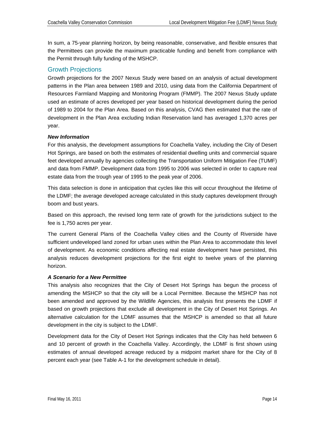In sum, a 75-year planning horizon, by being reasonable, conservative, and flexible ensures that the Permittees can provide the maximum practicable funding and benefit from compliance with the Permit through fully funding of the MSHCP.

### Growth Projections

Growth projections for the 2007 Nexus Study were based on an analysis of actual development patterns in the Plan area between 1989 and 2010, using data from the California Department of Resources Farmland Mapping and Monitoring Program (FMMP). The 2007 Nexus Study update used an estimate of acres developed per year based on historical development during the period of 1989 to 2004 for the Plan Area. Based on this analysis, CVAG then estimated that the rate of development in the Plan Area excluding Indian Reservation land has averaged 1,370 acres per year.

### *New Information*

For this analysis, the development assumptions for Coachella Valley, including the City of Desert Hot Springs, are based on both the estimates of residential dwelling units and commercial square feet developed annually by agencies collecting the Transportation Uniform Mitigation Fee (TUMF) and data from FMMP. Development data from 1995 to 2006 was selected in order to capture real estate data from the trough year of 1995 to the peak year of 2006.

This data selection is done in anticipation that cycles like this will occur throughout the lifetime of the LDMF; the average developed acreage calculated in this study captures development through boom and bust years.

Based on this approach, the revised long term rate of growth for the jurisdictions subject to the fee is 1,750 acres per year.

The current General Plans of the Coachella Valley cities and the County of Riverside have sufficient undeveloped land zoned for urban uses within the Plan Area to accommodate this level of development. As economic conditions affecting real estate development have persisted, this analysis reduces development projections for the first eight to twelve years of the planning horizon.

### *A Scenario for a New Permittee*

This analysis also recognizes that the City of Desert Hot Springs has begun the process of amending the MSHCP so that the city will be a Local Permittee. Because the MSHCP has not been amended and approved by the Wildlife Agencies, this analysis first presents the LDMF if based on growth projections that exclude all development in the City of Desert Hot Springs. An alternative calculation for the LDMF assumes that the MSHCP is amended so that all future development in the city is subject to the LDMF.

Development data for the City of Desert Hot Springs indicates that the City has held between 6 and 10 percent of growth in the Coachella Valley. Accordingly, the LDMF is first shown using estimates of annual developed acreage reduced by a midpoint market share for the City of 8 percent each year (see Table A-1 for the development schedule in detail).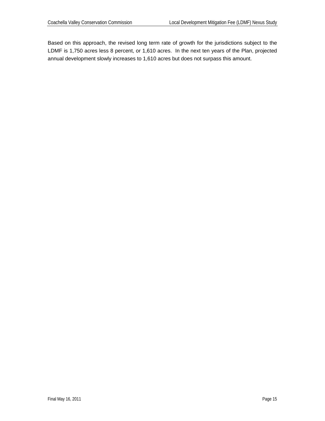Based on this approach, the revised long term rate of growth for the jurisdictions subject to the LDMF is 1,750 acres less 8 percent, or 1,610 acres. In the next ten years of the Plan, projected annual development slowly increases to 1,610 acres but does not surpass this amount.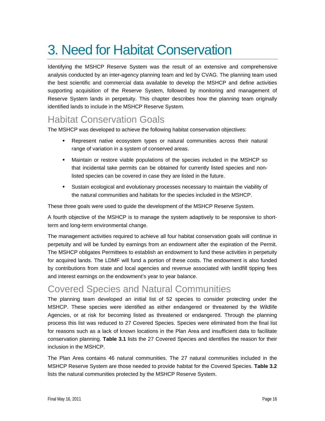# 3. Need for Habitat Conservation

Identifying the MSHCP Reserve System was the result of an extensive and comprehensive analysis conducted by an inter-agency planning team and led by CVAG. The planning team used the best scientific and commercial data available to develop the MSHCP and define activities supporting acquisition of the Reserve System, followed by monitoring and management of Reserve System lands in perpetuity. This chapter describes how the planning team originally identified lands to include in the MSHCP Reserve System.

# Habitat Conservation Goals

The MSHCP was developed to achieve the following habitat conservation objectives:

- Represent native ecosystem types or natural communities across their natural range of variation in a system of conserved areas.
- Maintain or restore viable populations of the species included in the MSHCP so that incidental take permits can be obtained for currently listed species and nonlisted species can be covered in case they are listed in the future.
- Sustain ecological and evolutionary processes necessary to maintain the viability of the natural communities and habitats for the species included in the MSHCP.

These three goals were used to guide the development of the MSHCP Reserve System.

A fourth objective of the MSHCP is to manage the system adaptively to be responsive to shortterm and long-term environmental change.

The management activities required to achieve all four habitat conservation goals will continue in perpetuity and will be funded by earnings from an endowment after the expiration of the Permit. The MSHCP obligates Permittees to establish an endowment to fund these activities in perpetuity for acquired lands. The LDMF will fund a portion of these costs. The endowment is also funded by contributions from state and local agencies and revenue associated with landfill tipping fees and interest earnings on the endowment's year to year balance.

# Covered Species and Natural Communities

The planning team developed an initial list of 52 species to consider protecting under the MSHCP. These species were identified as either endangered or threatened by the Wildlife Agencies, or at risk for becoming listed as threatened or endangered. Through the planning process this list was reduced to 27 Covered Species. Species were eliminated from the final list for reasons such as a lack of known locations in the Plan Area and insufficient data to facilitate conservation planning. **Table 3.1** lists the 27 Covered Species and identifies the reason for their inclusion in the MSHCP.

The Plan Area contains 46 natural communities. The 27 natural communities included in the MSHCP Reserve System are those needed to provide habitat for the Covered Species. **Table 3.2** lists the natural communities protected by the MSHCP Reserve System.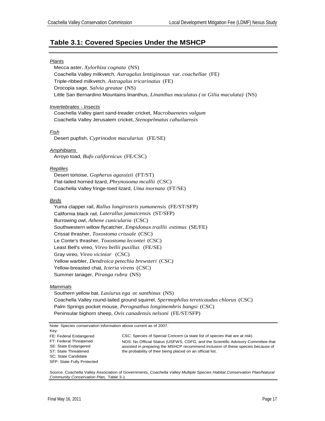### **Table 3.1: Covered Species Under the MSHCP**

#### *Plants*

Mecca aster, *Xylorhiza cognata* (NS) Coachella Valley milkvetch, *Astragalus lentiginosus* var. *coachellae* (FE) Triple-ribbed milkvetch, *Astragalus tricarinatus* (FE) Orocopia sage, *Salvia greatae* (NS) Little San Bernardino Mountains linanthus, *Linanthus maculatus (* or *Gilia maculata)* (NS)

#### *Invertebrates - Insects*

Coachella Valley giant sand-treader cricket, *Macrobaenetes valgum*  Coachella Valley Jerusalem cricket, *Stenopelmatus cahuilaensis* 

#### *Fish*

Desert pupfish, *Cyprinodon macularius* (FE/SE)

*Amphibians*  Arroyo toad, *Bufo californicus* (FE/CSC)

#### *Reptiles*

Desert tortoise, *Gopherus agassizii* (FT/ST) Flat-tailed horned lizard, *Phrynosoma mcallii* (CSC) Coachella Valley fringe-toed lizard, *Uma inornata* (FT/SE)

#### *Birds*

Yuma clapper rail, *Rallus longirostris yumanensis* (FE/ST/SFP) California black rail, *Laterallus jamaicensis* (ST/SFP) Burrowing owl, *Athene cunicularia* (CSC) Southwestern willow flycatcher, *Empidonax traillii extimus* (SE/FE) Crissal thrasher, *Toxostoma crissale* (CSC) Le Conte's thrasher, *Toxostoma lecontei* (CSC) Least Bell's vireo, *Vireo bellii pusillus* (FE/SE) Gray vireo, *Vireo vicinior* (CSC) Yellow warbler, *Dendroica petechia brewsteri* (CSC) Yellow-breasted chat, *Icteria virens* (CSC) Summer tanager, *Piranga rubra* (NS)

#### *Mammals*

Southern yellow bat, *Lasiurus ega* or *xanthinus* (NS) Coachella Valley round-tailed ground squirrel, *Spermophilus tereticaudus chlorus* (CSC) Palm Springs pocket mouse, *Perognathus longimembris bangsi* (CSC) Peninsular bighorn sheep, *Ovis canadensis nelsoni* (FE/ST/SFP)

Note: Species conservation information above current as of 2007. Key: FE: Federal Endangered CSC: Species of Special Concern (a state list of species that are at risk) FT: Federal Threatened SE: State Endangered ST: State Threatened SC: State Candidate SFP: State Fully Protected NOS: No Official Status (USFWS, CDFG, and the Scientific Advisory Committee that assisted in preparing the MSHCP recommend inclusion of these species because of the probability of their being placed on an official list.

Source: Coachella Valley Association of Governments, *Coachella Valley Multiple Species Habitat Conservation Plan/Natural Community Conservation Plan,* Table 3-1.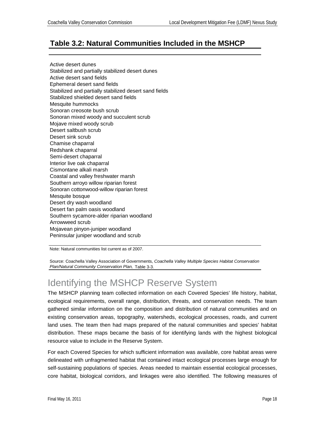## **Table 3.2: Natural Communities Included in the MSHCP**

Active desert dunes Stabilized and partially stabilized desert dunes Active desert sand fields Ephemeral desert sand fields Stabilized and partially stabilized desert sand fields Stabilized shielded desert sand fields Mesquite hummocks Sonoran creosote bush scrub Sonoran mixed woody and succulent scrub Mojave mixed woody scrub Desert saltbush scrub Desert sink scrub Chamise chaparral Redshank chaparral Semi-desert chaparral Interior live oak chaparral Cismontane alkali marsh Coastal and valley freshwater marsh Southern arroyo willow riparian forest Sonoran cottonwood-willow riparian forest Mesquite bosque Desert dry wash woodland Desert fan palm oasis woodland Southern sycamore-alder riparian woodland Arrowweed scrub Mojavean pinyon-juniper woodland Peninsular juniper woodland and scrub

Note: Natural communities list current as of 2007.

Source: Coachella Valley Association of Governments, *Coachella Valley Multiple Species Habitat Conservation Plan/Natural Community Conservation Plan,* Table 3-3.

# Identifying the MSHCP Reserve System

The MSHCP planning team collected information on each Covered Species' life history, habitat, ecological requirements, overall range, distribution, threats, and conservation needs. The team gathered similar information on the composition and distribution of natural communities and on existing conservation areas, topography, watersheds, ecological processes, roads, and current land uses. The team then had maps prepared of the natural communities and species' habitat distribution. These maps became the basis of for identifying lands with the highest biological resource value to include in the Reserve System.

For each Covered Species for which sufficient information was available, core habitat areas were delineated with unfragmented habitat that contained intact ecological processes large enough for self-sustaining populations of species. Areas needed to maintain essential ecological processes, core habitat, biological corridors, and linkages were also identified. The following measures of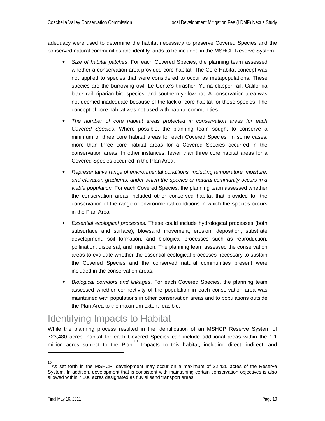adequacy were used to determine the habitat necessary to preserve Covered Species and the conserved natural communities and identify lands to be included in the MSHCP Reserve System.

- *Size of habitat patches*. For each Covered Species, the planning team assessed whether a conservation area provided core habitat. The Core Habitat concept was not applied to species that were considered to occur as metapopulations. These species are the burrowing owl, Le Conte's thrasher, Yuma clapper rail, California black rail, riparian bird species, and southern yellow bat. A conservation area was not deemed inadequate because of the lack of core habitat for these species. The concept of core habitat was not used with natural communities.
- *The number of core habitat areas protected in conservation areas for each Covered Species*. Where possible, the planning team sought to conserve a minimum of three core habitat areas for each Covered Species. In some cases, more than three core habitat areas for a Covered Species occurred in the conservation areas. In other instances, fewer than three core habitat areas for a Covered Species occurred in the Plan Area.
- *Representative range of environmental conditions, including temperature, moisture, and elevation gradients, under which the species or natural community occurs in a viable population.* For each Covered Species, the planning team assessed whether the conservation areas included other conserved habitat that provided for the conservation of the range of environmental conditions in which the species occurs in the Plan Area.
- *Essential ecological processes.* These could include hydrological processes (both subsurface and surface), blowsand movement, erosion, deposition, substrate development, soil formation, and biological processes such as reproduction, pollination, dispersal, and migration. The planning team assessed the conservation areas to evaluate whether the essential ecological processes necessary to sustain the Covered Species and the conserved natural communities present were included in the conservation areas.
- *Biological corridors and linkages*. For each Covered Species, the planning team assessed whether connectivity of the population in each conservation area was maintained with populations in other conservation areas and to populations outside the Plan Area to the maximum extent feasible.

# Identifying Impacts to Habitat

While the planning process resulted in the identification of an MSHCP Reserve System of 723,480 acres, habitat for each Covered Species can include additional areas within the 1.1 million acres subject to the Plan. <sup>10</sup> Impacts to this habitat, including direct, indirect, and

 $\overline{a}$ 

<sup>10</sup> As set forth in the MSHCP, development may occur on a maximum of 22,420 acres of the Reserve System. In addition, development that is consistent with maintaining certain conservation objectives is also allowed within 7,800 acres designated as fluvial sand transport areas.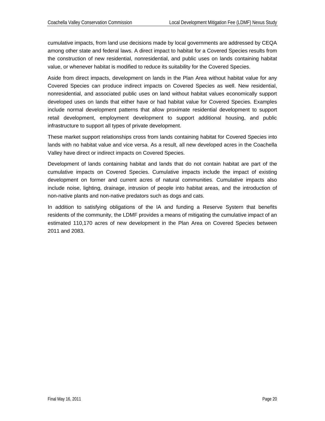cumulative impacts, from land use decisions made by local governments are addressed by CEQA among other state and federal laws. A direct impact to habitat for a Covered Species results from the construction of new residential, nonresidential, and public uses on lands containing habitat value, or whenever habitat is modified to reduce its suitability for the Covered Species.

Aside from direct impacts, development on lands in the Plan Area without habitat value for any Covered Species can produce indirect impacts on Covered Species as well. New residential, nonresidential, and associated public uses on land without habitat values economically support developed uses on lands that either have or had habitat value for Covered Species. Examples include normal development patterns that allow proximate residential development to support retail development, employment development to support additional housing, and public infrastructure to support all types of private development.

These market support relationships cross from lands containing habitat for Covered Species into lands with no habitat value and vice versa. As a result, all new developed acres in the Coachella Valley have direct or indirect impacts on Covered Species.

Development of lands containing habitat and lands that do not contain habitat are part of the cumulative impacts on Covered Species. Cumulative impacts include the impact of existing development on former and current acres of natural communities. Cumulative impacts also include noise, lighting, drainage, intrusion of people into habitat areas, and the introduction of non-native plants and non-native predators such as dogs and cats.

In addition to satisfying obligations of the IA and funding a Reserve System that benefits residents of the community, the LDMF provides a means of mitigating the cumulative impact of an estimated 110,170 acres of new development in the Plan Area on Covered Species between 2011 and 2083.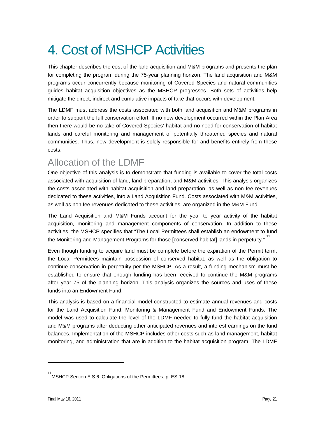# 4. Cost of MSHCP Activities

This chapter describes the cost of the land acquisition and M&M programs and presents the plan for completing the program during the 75-year planning horizon. The land acquisition and M&M programs occur concurrently because monitoring of Covered Species and natural communities guides habitat acquisition objectives as the MSHCP progresses. Both sets of activities help mitigate the direct, indirect and cumulative impacts of take that occurs with development.

The LDMF must address the costs associated with both land acquisition and M&M programs in order to support the full conservation effort. If no new development occurred within the Plan Area then there would be no take of Covered Species' habitat and no need for conservation of habitat lands and careful monitoring and management of potentially threatened species and natural communities. Thus, new development is solely responsible for and benefits entirely from these costs.

# Allocation of the LDMF

One objective of this analysis is to demonstrate that funding is available to cover the total costs associated with acquisition of land, land preparation, and M&M activities. This analysis organizes the costs associated with habitat acquisition and land preparation, as well as non fee revenues dedicated to these activities, into a Land Acquisition Fund. Costs associated with M&M activities, as well as non fee revenues dedicated to these activities, are organized in the M&M Fund.

The Land Acquisition and M&M Funds account for the year to year activity of the habitat acquisition, monitoring and management components of conservation. In addition to these activities, the MSHCP specifies that "The Local Permittees shall establish an endowment to fund the Monitoring and Management Programs for those [conserved habitat] lands in perpetuity."  $^{\rm 11}$ 

Even though funding to acquire land must be complete before the expiration of the Permit term, the Local Permittees maintain possession of conserved habitat, as well as the obligation to continue conservation in perpetuity per the MSHCP. As a result, a funding mechanism must be established to ensure that enough funding has been received to continue the M&M programs after year 75 of the planning horizon. This analysis organizes the sources and uses of these funds into an Endowment Fund.

This analysis is based on a financial model constructed to estimate annual revenues and costs for the Land Acquisition Fund, Monitoring & Management Fund and Endowment Funds. The model was used to calculate the level of the LDMF needed to fully fund the habitat acquisition and M&M programs after deducting other anticipated revenues and interest earnings on the fund balances. Implementation of the MSHCP includes other costs such as land management, habitat monitoring, and administration that are in addition to the habitat acquisition program. The LDMF

 $\overline{a}$ 

<sup>11</sup> MSHCP Section E.S.6: Obligations of the Permittees, p. ES-18.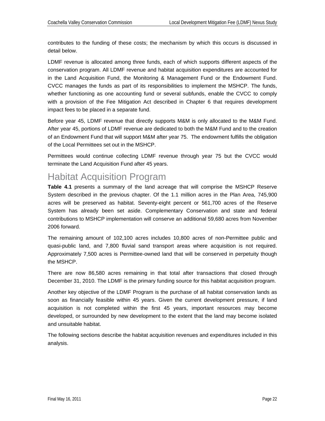contributes to the funding of these costs; the mechanism by which this occurs is discussed in detail below.

LDMF revenue is allocated among three funds, each of which supports different aspects of the conservation program. All LDMF revenue and habitat acquisition expenditures are accounted for in the Land Acquisition Fund, the Monitoring & Management Fund or the Endowment Fund. CVCC manages the funds as part of its responsibilities to implement the MSHCP. The funds, whether functioning as one accounting fund or several subfunds, enable the CVCC to comply with a provision of the Fee Mitigation Act described in Chapter 6 that requires development impact fees to be placed in a separate fund.

Before year 45, LDMF revenue that directly supports M&M is only allocated to the M&M Fund. After year 45, portions of LDMF revenue are dedicated to both the M&M Fund and to the creation of an Endowment Fund that will support M&M after year 75. The endowment fulfills the obligation of the Local Permittees set out in the MSHCP.

Permittees would continue collecting LDMF revenue through year 75 but the CVCC would terminate the Land Acquisition Fund after 45 years.

# Habitat Acquisition Program

**Table 4.1** presents a summary of the land acreage that will comprise the MSHCP Reserve System described in the previous chapter. Of the 1.1 million acres in the Plan Area, 745,900 acres will be preserved as habitat. Seventy-eight percent or 561,700 acres of the Reserve System has already been set aside. Complementary Conservation and state and federal contributions to MSHCP implementation will conserve an additional 59,680 acres from November 2006 forward.

The remaining amount of 102,100 acres includes 10,800 acres of non-Permittee public and quasi-public land, and 7,800 fluvial sand transport areas where acquisition is not required. Approximately 7,500 acres is Permittee-owned land that will be conserved in perpetuity though the MSHCP.

There are now 86,580 acres remaining in that total after transactions that closed through December 31, 2010. The LDMF is the primary funding source for this habitat acquisition program.

Another key objective of the LDMF Program is the purchase of all habitat conservation lands as soon as financially feasible within 45 years. Given the current development pressure, if land acquisition is not completed within the first 45 years, important resources may become developed, or surrounded by new development to the extent that the land may become isolated and unsuitable habitat.

The following sections describe the habitat acquisition revenues and expenditures included in this analysis.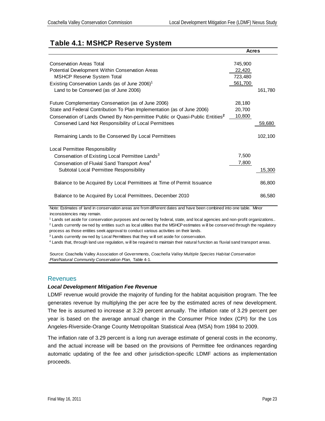### **Table 4.1: MSHCP Reserve System**

|                                                                                           | <b>Acres</b> |         |
|-------------------------------------------------------------------------------------------|--------------|---------|
| <b>Conservation Areas Total</b>                                                           |              |         |
|                                                                                           | 745,900      |         |
| Potential Development Within Conservation Areas                                           | 22,420       |         |
| MSHCP Reserve System Total                                                                | 723,480      |         |
| Existing Conservation Lands (as of June 2006) <sup>1</sup>                                | 561,700      |         |
| Land to be Conserved (as of June 2006)                                                    |              | 161,780 |
| Future Complementary Conservation (as of June 2006)                                       | 28,180       |         |
| State and Federal Contribution To Plan Implementation (as of June 2006)                   | 20,700       |         |
| Conservation of Lands Owned By Non-permittee Public or Quasi-Public Entities <sup>2</sup> | 10,800       |         |
| Conserved Land Not Responsibility of Local Permittees                                     |              | 59,680  |
| Remaining Lands to Be Conserved By Local Permittees                                       |              | 102,100 |
| Local Permittee Responsibility                                                            |              |         |
| Conservation of Existing Local Permittee Lands <sup>3</sup>                               | 7,500        |         |
| Conservation of Fluvial Sand Transport Area <sup>4</sup>                                  | 7,800        |         |
| Subtotal Local Permittee Responsibility                                                   |              | 15,300  |
|                                                                                           |              |         |
| Balance to be Acquired By Local Permittees at Time of Permit Issuance                     |              | 86,800  |
| Balance to be Acquired By Local Permittees, December 2010                                 |              | 86,580  |

Note: Estimates of land in conservation areas are from different dates and have been combined into one table. Minor inconsistencies may remain.

1 Lands set aside for conservation purposes and ow ned by federal, state, and local agencies and non-profit organizations..

<sup>2</sup> Lands currently ow ned by entities such as local utilities that the MSHCP estimates w ill be conserved through the regulatory

<sup>3</sup> Lands currently ow ned by Local Permittees that they w ill set aside for conservation. process as those entities seek approval to conduct various activities on their lands.

4 Lands that, through land use regulation, w ill be required to maintain their natural function as fluvial sand transport areas.

Source: Coachella Valley Association of Governments, *Coachella Valley Multiple Species Habitat Conservation Plan/Natural Community Conservation Plan,* Table 4-1.

### **Revenues**

#### *Local Development Mitigation Fee Revenue*

LDMF revenue would provide the majority of funding for the habitat acquisition program. The fee generates revenue by multiplying the per acre fee by the estimated acres of new development. The fee is assumed to increase at 3.29 percent annually. The inflation rate of 3.29 percent per year is based on the average annual change in the Consumer Price Index (CPI) for the Los Angeles-Riverside-Orange County Metropolitan Statistical Area (MSA) from 1984 to 2009.

The inflation rate of 3.29 percent is a long run average estimate of general costs in the economy, and the actual increase will be based on the provisions of Permittee fee ordinances regarding automatic updating of the fee and other jurisdiction-specific LDMF actions as implementation proceeds.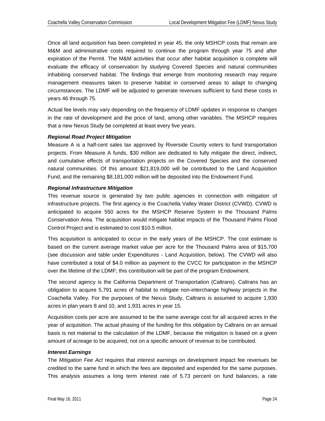Once all land acquisition has been completed in year 45, the only MSHCP costs that remain are M&M and administrative costs required to continue the program through year 75 and after expiration of the Permit. The M&M activities that occur after habitat acquisition is complete will evaluate the efficacy of conservation by studying Covered Species and natural communities inhabiting conserved habitat. The findings that emerge from monitoring research may require management measures taken to preserve habitat in conserved areas to adapt to changing circumstances. The LDMF will be adjusted to generate revenues sufficient to fund these costs in years 46 through 75.

Actual fee levels may vary depending on the frequency of LDMF updates in response to changes in the rate of development and the price of land, among other variables. The MSHCP requires that a new Nexus Study be completed at least every five years.

### *Regional Road Project Mitigation*

Measure A is a half-cent sales tax approved by Riverside County voters to fund transportation projects. From Measure A funds, \$30 million are dedicated to fully mitigate the direct, indirect, and cumulative effects of transportation projects on the Covered Species and the conserved natural communities. Of this amount \$21,819,000 will be contributed to the Land Acquisition Fund, and the remaining \$8,181,000 million will be deposited into the Endowment Fund.

#### *Regional Infrastructure Mitigation*

This revenue source is generated by two public agencies in connection with mitigation of infrastructure projects. The first agency is the Coachella Valley Water District (CVWD). CVWD is anticipated to acquire 550 acres for the MSHCP Reserve System in the Thousand Palms Conservation Area. The acquisition would mitigate habitat impacts of the Thousand Palms Flood Control Project and is estimated to cost \$10.5 million.

This acquisition is anticipated to occur in the early years of the MSHCP. The cost estimate is based on the current average market value per acre for the Thousand Palms area of \$15,700 (see discussion and table under Expenditures - Land Acquisition, below). The CVWD will also have contributed a total of \$4.0 million as payment to the CVCC for participation in the MSHCP over the lifetime of the LDMF; this contribution will be part of the program Endowment.

The second agency is the California Department of Transportation (Caltrans). Caltrans has an obligation to acquire 5,791 acres of habitat to mitigate non-interchange highway projects in the Coachella Valley. For the purposes of the Nexus Study, Caltrans is assumed to acquire 1,930 acres in plan years 8 and 10, and 1,931 acres in year 15.

Acquisition costs per acre are assumed to be the same average cost for all acquired acres in the year of acquisition. The actual phasing of the funding for this obligation by Caltrans on an annual basis is not material to the calculation of the LDMF, because the mitigation is based on a given amount of acreage to be acquired, not on a specific amount of revenue to be contributed.

#### *Interest Earnings*

The *Mitigation Fee Act* requires that interest earnings on development impact fee revenues be credited to the same fund in which the fees are deposited and expended for the same purposes. This analysis assumes a long term interest rate of 5.73 percent on fund balances, a rate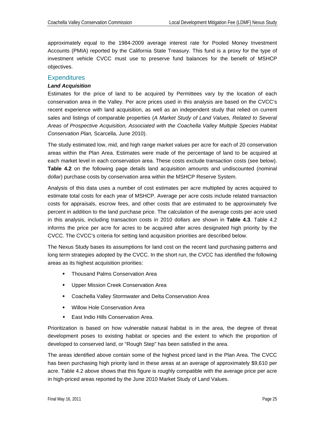approximately equal to the 1984-2009 average interest rate for Pooled Money Investment Accounts (PMIA) reported by the California State Treasury. This fund is a proxy for the type of investment vehicle CVCC must use to preserve fund balances for the benefit of MSHCP objectives.

### **Expenditures**

### *Land Acquisition*

Estimates for the price of land to be acquired by Permittees vary by the location of each conservation area in the Valley. Per acre prices used in this analysis are based on the CVCC's recent experience with land acquisition, as well as an independent study that relied on current sales and listings of comparable properties (*A Market Study of Land Values, Related to Several Areas of Prospective Acquisition, Associated with the Coachella Valley Multiple Species Habitat Conservation Plan,* Scarcella, June 2010).

The study estimated low, mid, and high range market values per acre for each of 20 conservation areas within the Plan Area. Estimates were made of the percentage of land to be acquired at each market level in each conservation area. These costs exclude transaction costs (see below). **Table 4.2** on the following page details land acquisition amounts and undiscounted (nominal dollar) purchase costs by conservation area within the MSHCP Reserve System.

Analysis of this data uses a number of cost estimates per acre multiplied by acres acquired to estimate total costs for each year of MSHCP. Average per acre costs include related transaction costs for appraisals, escrow fees, and other costs that are estimated to be approximately five percent in addition to the land purchase price. The calculation of the average costs per acre used in this analysis, including transaction costs in 2010 dollars are shown in **Table 4.3**. Table 4.2 informs the price per acre for acres to be acquired after acres designated high priority by the CVCC. The CVCC's criteria for setting land acquisition priorities are described below.

The Nexus Study bases its assumptions for land cost on the recent land purchasing patterns and long term strategies adopted by the CVCC. In the short run, the CVCC has identified the following areas as its highest acquisition priorities:

- Thousand Palms Conservation Area
- Upper Mission Creek Conservation Area
- Coachella Valley Stormwater and Delta Conservation Area
- Willow Hole Conservation Area
- East Indio Hills Conservation Area.

Prioritization is based on how vulnerable natural habitat is in the area, the degree of threat development poses to existing habitat or species and the extent to which the proportion of developed to conserved land, or "Rough Step" has been satisfied in the area.

The areas identified above contain some of the highest priced land in the Plan Area. The CVCC has been purchasing high priority land in these areas at an average of approximately \$9,610 per acre. Table 4.2 above shows that this figure is roughly compatible with the average price per acre in high-priced areas reported by the June 2010 Market Study of Land Values.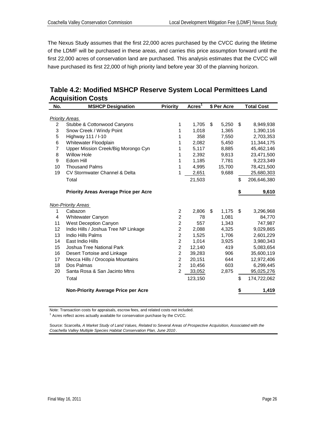The Nexus Study assumes that the first 22,000 acres purchased by the CVCC during the lifetime of the LDMF will be purchased in these areas, and carries this price assumption forward until the first 22,000 acres of conservation land are purchased. This analysis estimates that the CVCC will have purchased its first 22,000 of high priority land before year 30 of the planning horizon.

### **Table 4.2: Modified MSHCP Reserve System Local Permittees Land Acquisition Costs**

| No.            | <b>MSHCP Designation</b>                     | <b>Priority</b> | Acres <sup>1</sup> | \$ Per Acre | <b>Total Cost</b> |
|----------------|----------------------------------------------|-----------------|--------------------|-------------|-------------------|
|                |                                              |                 |                    |             |                   |
|                | <b>Priority Areas</b>                        |                 |                    |             |                   |
| $\overline{2}$ | Stubbe & Cottonwood Canyons                  | 1               | 1,705              | \$<br>5,250 | \$<br>8,949,938   |
| 3              | Snow Creek / Windy Point                     | 1               | 1,018              | 1,365       | 1,390,116         |
| 5              | Highway 111 / I-10                           | 1               | 358                | 7,550       | 2,703,353         |
| 6              | Whitewater Floodplain                        | 1               | 2,082              | 5,450       | 11,344,175        |
| 7              | Upper Mission Creek/Big Morongo Cyn          | 1               | 5,117              | 8,885       | 45,462,146        |
| 8              | <b>Willow Hole</b>                           | 1               | 2,392              | 9,813       | 23,471,500        |
| 9              | Edom Hill                                    | 1               | 1,185              | 7,781       | 9,223,349         |
| 10             | <b>Thousand Palms</b>                        | 1               | 4,995              | 15,700      | 78,421,500        |
| 19             | CV Stormwater Channel & Delta                | 1               | 2,651              | 9,688       | 25,680,303        |
|                | Total                                        |                 | 21,503             |             | \$<br>206,646,380 |
|                | <b>Priority Areas Average Price per Acre</b> |                 |                    |             | \$<br>9,610       |
|                |                                              |                 |                    |             |                   |
|                | <b>Non-Priority Areas</b>                    |                 |                    |             |                   |
| 1              | Cabazon                                      | 2               | 2,806              | \$<br>1,175 | \$<br>3,296,968   |
| 4              | <b>Whitewater Canyon</b>                     | $\overline{c}$  | 78                 | 1,081       | 84,770            |
| 11             | West Deception Canyon                        | $\overline{c}$  | 557                | 1,343       | 747,987           |
| 12             | Indio Hills / Joshua Tree NP Linkage         | $\overline{c}$  | 2,088              | 4,325       | 9,029,865         |
| 13             | Indio Hills Palms                            | $\overline{c}$  | 1,525              | 1,706       | 2,601,229         |
| 14             | East Indio Hills                             | $\overline{c}$  | 1,014              | 3,925       | 3,980,343         |
| 15             | Joshua Tree National Park                    | $\overline{2}$  | 12,140             | 419         | 5,083,654         |
| 16             | Desert Tortoise and Linkage                  | $\overline{2}$  | 39,283             | 906         | 35,600,119        |
| 17             | Mecca Hills / Orocopia Mountains             | $\overline{2}$  | 20,151             | 644         | 12,972,406        |
| 18             | Dos Palmas                                   | $\overline{2}$  | 10,456             | 603         | 6,299,445         |
| 20             | Santa Rosa & San Jacinto Mtns                | $\overline{2}$  | 33,052             | 2,875       | 95,025,276        |
|                | Total                                        |                 | 123,150            |             | \$<br>174,722,062 |
|                | <b>Non-Priority Average Price per Acre</b>   |                 |                    |             | 1,419             |

Note: Transaction costs for appraisals, escrow fees, and related costs not included.

 $1$  Acres reflect acres actually available for conservation purchase by the CVCC.

Source: Scarcella, *A Market Study of Land Values, Related to Several Areas of Prospective Acquisition, Associated with the Coachella Valley Multiple Species Habitat Conservation Plan, June 2010* .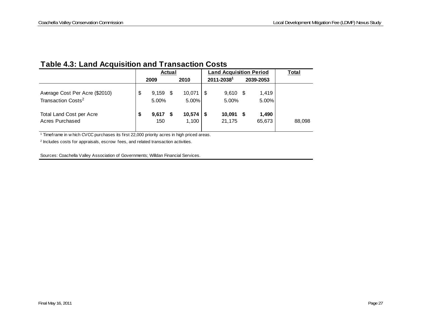## **Table 4.3: Land Acquisition and Transaction Costs**

|                                                                  | <b>Actual</b> |                |      | <b>Land Acquisition Period</b> | <u>Total</u>     |      |                 |        |
|------------------------------------------------------------------|---------------|----------------|------|--------------------------------|------------------|------|-----------------|--------|
|                                                                  |               | 2009           |      | 2010                           | 2011-20381       |      | 2039-2053       |        |
| Average Cost Per Acre (\$2010)<br>Transaction Costs <sup>2</sup> | \$            | 9,159<br>5.00% | - \$ | 10,071<br>5.00%                | 9,610<br>5.00%   | - \$ | 1,419<br>5.00%  |        |
| Total Land Cost per Acre<br>Acres Purchased                      |               | 9,617<br>150   | S    | 10,574<br>1.100                | 10,091<br>21.175 | - \$ | 1,490<br>65,673 | 88,098 |

<sup>1</sup> Timeframe in w hich CVCC purchases its first 22,000 priority acres in high priced areas.

<sup>2</sup> Includes costs for appraisals, escrow fees, and related transaction activities.

Sources: Coachella Valley Association of Governments; Willdan Financial Services.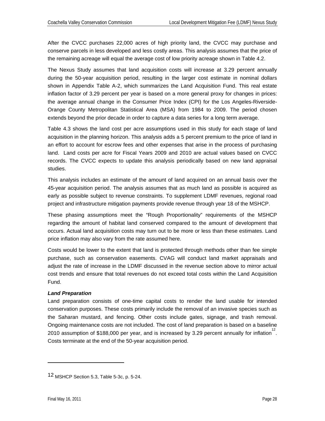After the CVCC purchases 22,000 acres of high priority land, the CVCC may purchase and conserve parcels in less developed and less costly areas. This analysis assumes that the price of the remaining acreage will equal the average cost of low priority acreage shown in Table 4.2.

The Nexus Study assumes that land acquisition costs will increase at 3.29 percent annually during the 50-year acquisition period, resulting in the larger cost estimate in nominal dollars shown in Appendix Table A-2, which summarizes the Land Acquisition Fund. This real estate inflation factor of 3.29 percent per year is based on a more general proxy for changes in prices: the average annual change in the Consumer Price Index (CPI) for the Los Angeles-Riverside-Orange County Metropolitan Statistical Area (MSA) from 1984 to 2009. The period chosen extends beyond the prior decade in order to capture a data series for a long term average.

Table 4.3 shows the land cost per acre assumptions used in this study for each stage of land acquisition in the planning horizon. This analysis adds a 5 percent premium to the price of land in an effort to account for escrow fees and other expenses that arise in the process of purchasing land. Land costs per acre for Fiscal Years 2009 and 2010 are actual values based on CVCC records. The CVCC expects to update this analysis periodically based on new land appraisal studies.

This analysis includes an estimate of the amount of land acquired on an annual basis over the 45-year acquisition period. The analysis assumes that as much land as possible is acquired as early as possible subject to revenue constraints. To supplement LDMF revenues, regional road project and infrastructure mitigation payments provide revenue through year 18 of the MSHCP.

These phasing assumptions meet the "Rough Proportionality" requirements of the MSHCP regarding the amount of habitat land conserved compared to the amount of development that occurs. Actual land acquisition costs may turn out to be more or less than these estimates. Land price inflation may also vary from the rate assumed here.

Costs would be lower to the extent that land is protected through methods other than fee simple purchase, such as conservation easements. CVAG will conduct land market appraisals and adjust the rate of increase in the LDMF discussed in the revenue section above to mirror actual cost trends and ensure that total revenues do not exceed total costs within the Land Acquisition Fund.

#### *Land Preparation*

Land preparation consists of one-time capital costs to render the land usable for intended conservation purposes. These costs primarily include the removal of an invasive species such as the Saharan mustard, and fencing. Other costs include gates, signage, and trash removal. Ongoing maintenance costs are not included. The cost of land preparation is based on a baseline 2010 assumption of \$188,000 per year, and is increased by 3.29 percent annually for inflation<sup>12</sup>. Costs terminate at the end of the 50-year acquisition period.

 $\overline{a}$ 

<sup>12</sup> MSHCP Section 5.3, Table 5-3c, p. 5-24.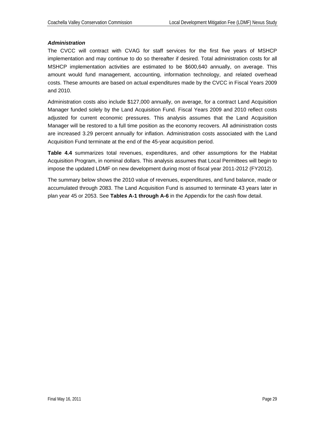### *Administration*

The CVCC will contract with CVAG for staff services for the first five years of MSHCP implementation and may continue to do so thereafter if desired. Total administration costs for all MSHCP implementation activities are estimated to be \$600,640 annually, on average. This amount would fund management, accounting, information technology, and related overhead costs. These amounts are based on actual expenditures made by the CVCC in Fiscal Years 2009 and 2010.

Administration costs also include \$127,000 annually, on average, for a contract Land Acquisition Manager funded solely by the Land Acquisition Fund. Fiscal Years 2009 and 2010 reflect costs adjusted for current economic pressures. This analysis assumes that the Land Acquisition Manager will be restored to a full time position as the economy recovers. All administration costs are increased 3.29 percent annually for inflation. Administration costs associated with the Land Acquisition Fund terminate at the end of the 45-year acquisition period.

**Table 4.4** summarizes total revenues, expenditures, and other assumptions for the Habitat Acquisition Program, in nominal dollars. This analysis assumes that Local Permittees will begin to impose the updated LDMF on new development during most of fiscal year 2011-2012 (FY2012).

The summary below shows the 2010 value of revenues, expenditures, and fund balance, made or accumulated through 2083. The Land Acquisition Fund is assumed to terminate 43 years later in plan year 45 or 2053. See **Tables A-1 through A-6** in the Appendix for the cash flow detail.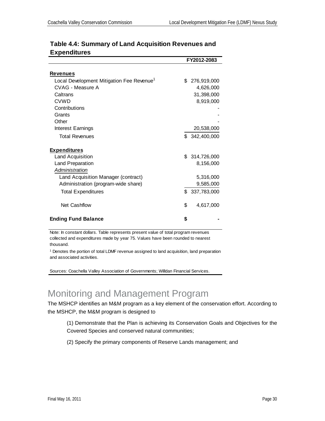**FY2012-2083**

|                                                       | F TZUTZ-ZUOJ    |
|-------------------------------------------------------|-----------------|
| <b>Revenues</b>                                       |                 |
| Local Development Mitigation Fee Revenue <sup>1</sup> | \$ 276,919,000  |
| CVAG - Measure A                                      | 4,626,000       |
| Caltrans                                              | 31,398,000      |
| <b>CVWD</b>                                           | 8,919,000       |
| Contributions                                         |                 |
| Grants                                                |                 |
| Other                                                 |                 |
| Interest Earnings                                     | 20,538,000      |
| <b>Total Revenues</b>                                 | \$342,400,000   |
| <b>Expenditures</b>                                   |                 |
| Land Acquisition                                      | \$ 314,726,000  |
| Land Preparation                                      | 8,156,000       |
| Administration                                        |                 |
| Land Acquisition Manager (contract)                   | 5,316,000       |
| Administration (program-wide share)                   | 9,585,000       |
| <b>Total Expenditures</b>                             | \$ 337,783,000  |
| <b>Net Cashflow</b>                                   | \$<br>4,617,000 |
| <b>Ending Fund Balance</b>                            | \$              |

### **Table 4.4: Summary of Land Acquisition Revenues and Expenditures**

Note: In constant dollars. Table represents present value of total program revenues collected and expenditures made by year 75. Values have been rounded to nearest thousand.

1 Denotes the portion of total LDMF revenue assigned to land acquisition, land preparation and associated activities.

Sources: Coachella Valley Association of Governments; Willdan Financial Services.

# Monitoring and Management Program

The MSHCP identifies an M&M program as a key element of the conservation effort. According to the MSHCP, the M&M program is designed to

(1) Demonstrate that the Plan is achieving its Conservation Goals and Objectives for the Covered Species and conserved natural communities;

(2) Specify the primary components of Reserve Lands management; and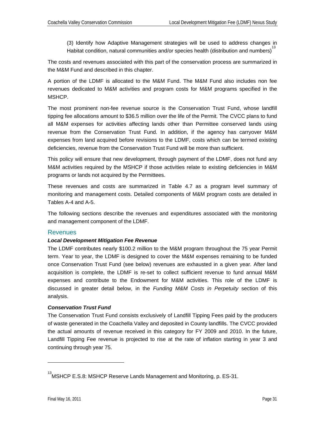(3) Identify how Adaptive Management strategies will be used to address changes in Habitat condition, natural communities and/or species health (distribution and numbers)<sup>13</sup>

The costs and revenues associated with this part of the conservation process are summarized in the M&M Fund and described in this chapter.

A portion of the LDMF is allocated to the M&M Fund. The M&M Fund also includes non fee revenues dedicated to M&M activities and program costs for M&M programs specified in the MSHCP.

The most prominent non-fee revenue source is the Conservation Trust Fund, whose landfill tipping fee allocations amount to \$36.5 million over the life of the Permit. The CVCC plans to fund all M&M expenses for activities affecting lands other than Permittee conserved lands using revenue from the Conservation Trust Fund. In addition, if the agency has carryover M&M expenses from land acquired before revisions to the LDMF, costs which can be termed existing deficiencies, revenue from the Conservation Trust Fund will be more than sufficient.

This policy will ensure that new development, through payment of the LDMF, does not fund any M&M activities required by the MSHCP if those activities relate to existing deficiencies in M&M programs or lands not acquired by the Permittees.

These revenues and costs are summarized in Table 4.7 as a program level summary of monitoring and management costs. Detailed components of M&M program costs are detailed in Tables A-4 and A-5.

The following sections describe the revenues and expenditures associated with the monitoring and management component of the LDMF.

### **Revenues**

### *Local Development Mitigation Fee Revenue*

The LDMF contributes nearly \$100.2 million to the M&M program throughout the 75 year Permit term. Year to year, the LDMF is designed to cover the M&M expenses remaining to be funded once Conservation Trust Fund (see below) revenues are exhausted in a given year. After land acquisition is complete, the LDMF is re-set to collect sufficient revenue to fund annual M&M expenses and contribute to the Endowment for M&M activities. This role of the LDMF is discussed in greater detail below, in the *Funding M&M Costs in Perpetuity* section of this analysis.

### *Conservation Trust Fund*

The Conservation Trust Fund consists exclusively of Landfill Tipping Fees paid by the producers of waste generated in the Coachella Valley and deposited in County landfills. The CVCC provided the actual amounts of revenue received in this category for FY 2009 and 2010. In the future, Landfill Tipping Fee revenue is projected to rise at the rate of inflation starting in year 3 and continuing through year 75.

 $\overline{\phantom{0}}$ 

 $^{13}$ MSHCP E.S.8: MSHCP Reserve Lands Management and Monitoring, p. ES-31.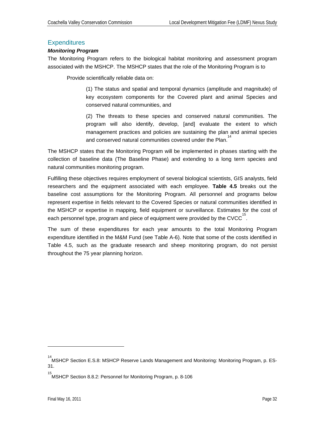### **Expenditures**

### *Monitoring Program*

The Monitoring Program refers to the biological habitat monitoring and assessment program associated with the MSHCP. The MSHCP states that the role of the Monitoring Program is to

Provide scientifically reliable data on:

(1) The status and spatial and temporal dynamics (amplitude and magnitude) of key ecosystem components for the Covered plant and animal Species and conserved natural communities, and

(2) The threats to these species and conserved natural communities. The program will also identify, develop, [and] evaluate the extent to which management practices and policies are sustaining the plan and animal species and conserved natural communities covered under the Plan.<sup>14</sup>

The MSHCP states that the Monitoring Program will be implemented in phases starting with the collection of baseline data (The Baseline Phase) and extending to a long term species and natural communities monitoring program.

Fulfilling these objectives requires employment of several biological scientists, GIS analysts, field researchers and the equipment associated with each employee. **Table 4.5** breaks out the baseline cost assumptions for the Monitoring Program. All personnel and programs below represent expertise in fields relevant to the Covered Species or natural communities identified in the MSHCP or expertise in mapping, field equipment or surveillance. Estimates for the cost of each personnel type, program and piece of equipment were provided by the CVCC $^{15}$ .

The sum of these expenditures for each year amounts to the total Monitoring Program expenditure identified in the M&M Fund (see Table A-6). Note that some of the costs identified in Table 4.5, such as the graduate research and sheep monitoring program, do not persist throughout the 75 year planning horizon.

 $\overline{\phantom{0}}$ 

<sup>14</sup> MSHCP Section E.S.8: MSHCP Reserve Lands Management and Monitoring: Monitoring Program, p. ES-31.

<sup>15</sup> MSHCP Section 8.8.2: Personnel for Monitoring Program, p. 8-106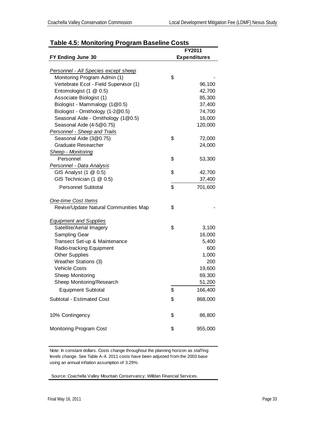|                                        | FY2011 |                     |  |  |  |  |
|----------------------------------------|--------|---------------------|--|--|--|--|
| FY Ending June 30                      |        | <b>Expenditures</b> |  |  |  |  |
|                                        |        |                     |  |  |  |  |
| Personnel - All Species except sheep   |        |                     |  |  |  |  |
| Monitoring Program Admin (1)           | \$     |                     |  |  |  |  |
| Vertebrate Ecol - Field Supervisor (1) |        | 96,100              |  |  |  |  |
| Entomologist (1 @ 0.5)                 |        | 42,700              |  |  |  |  |
| Associate Biologist (1)                |        | 85,300              |  |  |  |  |
| Biologist - Mammalogy (1@0.5)          |        | 37,400              |  |  |  |  |
| Biologist - Ornithology (1-2@0.5)      |        | 74,700              |  |  |  |  |
| Seasonal Aide - Ornithology (1@0.5)    |        | 16,000              |  |  |  |  |
| Seasonal Aide (4-5@0.75)               |        | 120,000             |  |  |  |  |
| Personnel - Sheep and Trails           |        |                     |  |  |  |  |
| Seasonal Aide (3@0.75)                 | \$     | 72,000              |  |  |  |  |
| <b>Graduate Researcher</b>             |        | 24,000              |  |  |  |  |
| <b>Sheep - Monitoring</b>              |        |                     |  |  |  |  |
| Personnel                              | \$     | 53,300              |  |  |  |  |
| Personnel - Data Analysis              |        |                     |  |  |  |  |
| GIS Analyst (1 @ 0.5)                  | \$     | 42,700              |  |  |  |  |
| GIS Technician (1 @ 0.5)               |        | 37,400              |  |  |  |  |
| <b>Personnel Subtotal</b>              | \$     | 701,600             |  |  |  |  |
| One-time Cost Items                    |        |                     |  |  |  |  |
| Revise/Update Natural Communities Map  | \$     |                     |  |  |  |  |
|                                        |        |                     |  |  |  |  |
| <b>Equipment and Supplies</b>          |        |                     |  |  |  |  |
| Satellite/Aerial Imagery               | \$     | 3,100               |  |  |  |  |
| Sampling Gear                          |        | 16,000              |  |  |  |  |
| Transect Set-up & Maintenance          |        | 5,400               |  |  |  |  |
| Radio-tracking Equipment               |        | 600                 |  |  |  |  |
| <b>Other Supplies</b>                  |        | 1,000               |  |  |  |  |
| Weather Stations (3)                   |        | 200                 |  |  |  |  |
| <b>Vehicle Costs</b>                   |        | 19,600              |  |  |  |  |
| Sheep Monitoring                       |        | 69,300              |  |  |  |  |
| Sheep Monitoring/Research              |        | 51,200              |  |  |  |  |
| <b>Equipment Subtotal</b>              | \$     | 166,400             |  |  |  |  |
| Subtotal - Estimated Cost              | \$     | 868,000             |  |  |  |  |
| 10% Contingency                        | \$     | 86,800              |  |  |  |  |
| Monitoring Program Cost                | \$     | 955,000             |  |  |  |  |

### **Table 4.5: Monitoring Program Baseline Costs**

Note: In constant dollars. Costs change throughout the planning horizon as staffing levels change. See Table A-4. 2011 costs have been adjusted from the 2003 base using an annual inflation assumption of 3.29%.

Source: Coachella Valley Mountain Conservancy; Willdan Financial Services.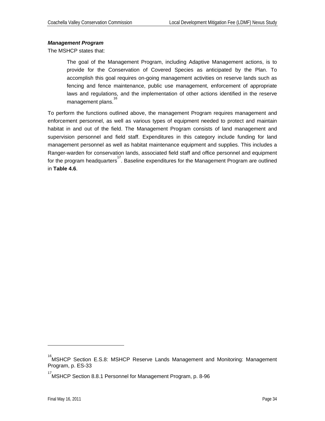#### *Management Program*

The MSHCP states that:

The goal of the Management Program, including Adaptive Management actions, is to provide for the Conservation of Covered Species as anticipated by the Plan. To accomplish this goal requires on-going management activities on reserve lands such as fencing and fence maintenance, public use management, enforcement of appropriate laws and regulations, and the implementation of other actions identified in the reserve <sup>16</sup><br>management plans.

To perform the functions outlined above, the management Program requires management and enforcement personnel, as well as various types of equipment needed to protect and maintain habitat in and out of the field. The Management Program consists of land management and supervision personnel and field staff. Expenditures in this category include funding for land management personnel as well as habitat maintenance equipment and supplies. This includes a Ranger-warden for conservation lands, associated field staff and office personnel and equipment for the program headquarters<sup>17</sup>. Baseline expenditures for the Management Program are outlined in **Table 4.6**.

 $\overline{a}$ 

<sup>&</sup>lt;sup>16</sup><br>MSHCP Section E.S.8: MSHCP Reserve Lands Management and Monitoring: Management Program, p. ES-33

<sup>&</sup>lt;sup>17</sup>MSHCP Section 8.8.1 Personnel for Management Program, p. 8-96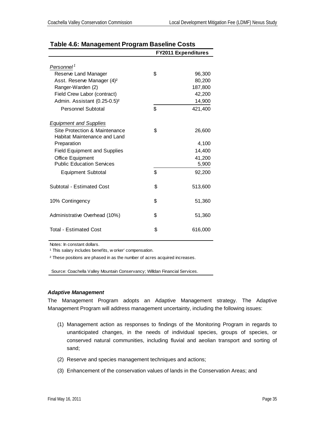|                                                               | <b>FY2011 Expenditures</b> |         |  |  |  |
|---------------------------------------------------------------|----------------------------|---------|--|--|--|
| Personnel <sup>1</sup>                                        |                            |         |  |  |  |
| Reserve Land Manager                                          | \$                         | 96,300  |  |  |  |
| Asst. Reserve Manager (4) <sup>2</sup>                        |                            | 80,200  |  |  |  |
| Ranger-Warden (2)                                             |                            | 187,800 |  |  |  |
| Field Crew Labor (contract)                                   |                            | 42,200  |  |  |  |
| Admin. Assistant (0.25-0.5) <sup>2</sup>                      |                            | 14,900  |  |  |  |
| Personnel Subtotal                                            | \$                         | 421,400 |  |  |  |
| <b>Equipment and Supplies</b>                                 |                            |         |  |  |  |
| Site Protection & Maintenance<br>Habitat Maintenance and Land | \$                         | 26,600  |  |  |  |
| Preparation                                                   |                            | 4,100   |  |  |  |
| <b>Field Equipment and Supplies</b>                           |                            | 14,400  |  |  |  |
| Office Equipment                                              |                            | 41,200  |  |  |  |
| <b>Public Education Services</b>                              |                            | 5,900   |  |  |  |
| <b>Equipment Subtotal</b>                                     | \$                         | 92,200  |  |  |  |
| Subtotal - Estimated Cost                                     | \$                         | 513,600 |  |  |  |
| 10% Contingency                                               | \$                         | 51,360  |  |  |  |
| Administrative Overhead (10%)                                 | \$                         | 51,360  |  |  |  |
| <b>Total - Estimated Cost</b>                                 | \$                         | 616,000 |  |  |  |

#### **Table 4.6: Management Program Baseline Costs**

Notes: In constant dollars.

<sup>1</sup> This salary includes benefits, w orker' compensation.

² These positions are phased in as the number of acres acquired increases.

Source: Coachella Valley Mountain Conservancy; Willdan Financial Services.

#### *Adaptive Management*

The Management Program adopts an Adaptive Management strategy. The Adaptive Management Program will address management uncertainty, including the following issues:

- (1) Management action as responses to findings of the Monitoring Program in regards to unanticipated changes, in the needs of individual species, groups of species, or conserved natural communities, including fluvial and aeolian transport and sorting of sand;
- (2) Reserve and species management techniques and actions;
- (3) Enhancement of the conservation values of lands in the Conservation Areas; and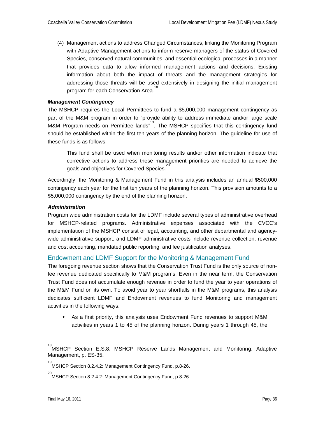(4) Management actions to address Changed Circumstances, linking the Monitoring Program with Adaptive Management actions to inform reserve managers of the status of Covered Species, conserved natural communities, and essential ecological processes in a manner that provides data to allow informed management actions and decisions. Existing information about both the impact of threats and the management strategies for addressing those threats will be used extensively in designing the initial management program for each Conservation Area. 18

#### *Management Contingency*

The MSHCP requires the Local Permittees to fund a \$5,000,000 management contingency as part of the M&M program in order to "provide ability to address immediate and/or large scale .<br>M&M Program needs on Permittee lands"<sup>19</sup>. The MSHCP specifies that this contingency fund should be established within the first ten years of the planning horizon. The guideline for use of these funds is as follows:

This fund shall be used when monitoring results and/or other information indicate that corrective actions to address these management priorities are needed to achieve the goals and objectives for Covered Species.<sup>20</sup>

Accordingly, the Monitoring & Management Fund in this analysis includes an annual \$500,000 contingency each year for the first ten years of the planning horizon. This provision amounts to a \$5,000,000 contingency by the end of the planning horizon.

#### *Administration*

Program wide administration costs for the LDMF include several types of administrative overhead for MSHCP-related programs. Administrative expenses associated with the CVCC's implementation of the MSHCP consist of legal, accounting, and other departmental and agencywide administrative support; and LDMF administrative costs include revenue collection, revenue and cost accounting, mandated public reporting, and fee justification analyses.

#### Endowment and LDMF Support for the Monitoring & Management Fund

The foregoing revenue section shows that the Conservation Trust Fund is the only source of nonfee revenue dedicated specifically to M&M programs. Even in the near term, the Conservation Trust Fund does not accumulate enough revenue in order to fund the year to year operations of the M&M Fund on its own. To avoid year to year shortfalls in the M&M programs, this analysis dedicates sufficient LDMF and Endowment revenues to fund Monitoring and management activities in the following ways:

 As a first priority, this analysis uses Endowment Fund revenues to support M&M activities in years 1 to 45 of the planning horizon. During years 1 through 45, the

 $\overline{\phantom{0}}$ 

<sup>&</sup>lt;sup>18</sup><br>MSHCP Section E.S.8: MSHCP Reserve Lands Management and Monitoring: Adaptive Management, p. ES-35.

<sup>19</sup> MSHCP Section 8.2.4.2: Management Contingency Fund, p.8-26.

<sup>&</sup>lt;sup>20</sup><br>MSHCP Section 8.2.4.2: Management Contingency Fund, p.8-26.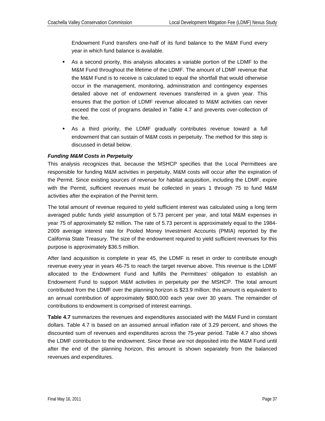Endowment Fund transfers one-half of its fund balance to the M&M Fund every year in which fund balance is available.

- As a second priority, this analysis allocates a variable portion of the LDMF to the M&M Fund throughout the lifetime of the LDMF. The amount of LDMF revenue that the M&M Fund is to receive is calculated to equal the shortfall that would otherwise occur in the management, monitoring, administration and contingency expenses detailed above net of endowment revenues transferred in a given year. This ensures that the portion of LDMF revenue allocated to M&M activities can never exceed the cost of programs detailed in Table 4.7 and prevents over-collection of the fee.
- As a third priority, the LDMF gradually contributes revenue toward a full endowment that can sustain of M&M costs in perpetuity. The method for this step is discussed in detail below.

#### *Funding M&M Costs in Perpetuity*

This analysis recognizes that, because the MSHCP specifies that the Local Permittees are responsible for funding M&M activities in perpetuity, M&M costs will occur after the expiration of the Permit. Since existing sources of revenue for habitat acquisition, including the LDMF, expire with the Permit, sufficient revenues must be collected in years 1 through 75 to fund M&M activities after the expiration of the Permit term.

The total amount of revenue required to yield sufficient interest was calculated using a long term averaged public funds yield assumption of 5.73 percent per year, and total M&M expenses in year 75 of approximately \$2 million. The rate of 5.73 percent is approximately equal to the 1984- 2009 average interest rate for Pooled Money Investment Accounts (PMIA) reported by the California State Treasury. The size of the endowment required to yield sufficient revenues for this purpose is approximately \$36.5 million.

After land acquisition is complete in year 45, the LDMF is reset in order to contribute enough revenue every year in years 46-75 to reach the target revenue above. This revenue is the LDMF allocated to the Endowment Fund and fulfills the Permittees' obligation to establish an Endowment Fund to support M&M activities in perpetuity per the MSHCP. The total amount contributed from the LDMF over the planning horizon is \$23.9 million; this amount is equivalent to an annual contribution of approximately \$800,000 each year over 30 years. The remainder of contributions to endowment is comprised of interest earnings.

**Table 4.7** summarizes the revenues and expenditures associated with the M&M Fund in constant dollars. Table 4.7 is based on an assumed annual inflation rate of 3.29 percent, and shows the discounted sum of revenues and expenditures across the 75-year period. Table 4.7 also shows the LDMF contribution to the endowment. Since these are not deposited into the M&M Fund until after the end of the planning horizon, this amount is shown separately from the balanced revenues and expenditures.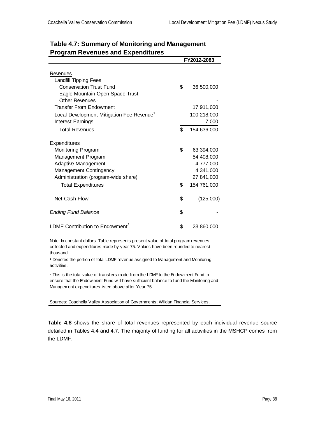|                                                                | FY2012-2083       |
|----------------------------------------------------------------|-------------------|
| Revenues                                                       |                   |
| <b>Landfill Tipping Fees</b><br><b>Conservation Trust Fund</b> | \$<br>36,500,000  |
| Eagle Mountain Open Space Trust                                |                   |
| Other Revenues                                                 |                   |
| <b>Transfer From Endowment</b>                                 | 17,911,000        |
| Local Development Mitigation Fee Revenue <sup>1</sup>          | 100,218,000       |
| Interest Earnings                                              | 7,000             |
| <b>Total Revenues</b>                                          | \$<br>154,636,000 |
| <b>Expenditures</b>                                            |                   |
| Monitoring Program                                             | \$<br>63,394,000  |
| Management Program                                             | 54,408,000        |
| Adaptive Management                                            | 4,777,000         |
| Management Contingency                                         | 4,341,000         |
| Administration (program-wide share)                            | 27,841,000        |
| <b>Total Expenditures</b>                                      | \$<br>154,761,000 |
| Net Cash Flow                                                  | \$<br>(125,000)   |
| <b>Ending Fund Balance</b>                                     | \$                |
| LDMF Contribution to Endowment <sup>2</sup>                    | \$<br>23,860,000  |

### **Table 4.7: Summary of Monitoring and Management Program Revenues and Expenditures**

Note: In constant dollars. Table represents present value of total program revenues collected and expenditures made by year 75. Values have been rounded to nearest thousand.

<sup>1</sup> Denotes the portion of total LDMF revenue assigned to Management and Monitoring activities.

2 This is the total value of transfers made from the LDMF to the Endow ment Fund to ensure that the Endow ment Fund w ill have sufficient balance to fund the Monitoring and Management expenditures listed above after Year 75.

Sources: Coachella Valley Association of Governments; Willdan Financial Services.

**Table 4.8** shows the share of total revenues represented by each individual revenue source detailed in Tables 4.4 and 4.7. The majority of funding for all activities in the MSHCP comes from the LDMF.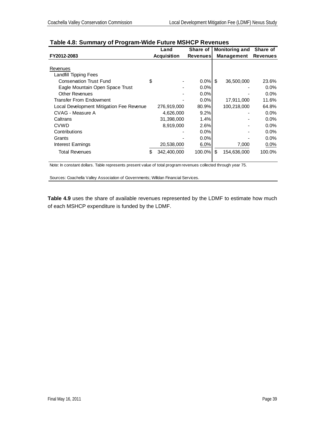|                                          | Land               | Share of |    | <b>Monitoring and</b> | Share of        |  |  |
|------------------------------------------|--------------------|----------|----|-----------------------|-----------------|--|--|
| FY2012-2083                              | <b>Acquisition</b> | Revenues |    | Management            | <b>Revenues</b> |  |  |
|                                          |                    |          |    |                       |                 |  |  |
| Revenues                                 |                    |          |    |                       |                 |  |  |
| Landfill Tipping Fees                    |                    |          |    |                       |                 |  |  |
| <b>Conservation Trust Fund</b>           | \$                 | 0.0%     | S  | 36,500,000            | 23.6%           |  |  |
| Eagle Mountain Open Space Trust          |                    | 0.0%     |    |                       | $0.0\%$         |  |  |
| <b>Other Revenues</b>                    |                    | $0.0\%$  |    |                       | $0.0\%$         |  |  |
| <b>Transfer From Endowment</b>           |                    | 0.0%     |    | 17,911,000            | 11.6%           |  |  |
| Local Development Mitigation Fee Revenue | 276,919,000        | 80.9%    |    | 100,218,000           | 64.8%           |  |  |
| CVAG - Measure A                         | 4,626,000          | 9.2%     |    |                       | $0.0\%$         |  |  |
| Caltrans                                 | 31,398,000         | 1.4%     |    |                       | $0.0\%$         |  |  |
| <b>CVWD</b>                              | 8,919,000          | 2.6%     |    |                       | 0.0%            |  |  |
| Contributions                            |                    | 0.0%     |    |                       | 0.0%            |  |  |
| Grants                                   |                    | $0.0\%$  |    |                       | $0.0\%$         |  |  |
| Interest Earnings                        | 20,538,000         | 6.0%     |    | 7,000                 | $0.0\%$         |  |  |
| <b>Total Revenues</b>                    | \$<br>342,400,000  | 100.0%   | \$ | 154,636,000           | 100.0%          |  |  |

#### **Table 4.8: Summary of Program-Wide Future MSHCP Revenues**

Note: In constant dollars. Table represents present value of total program revenues collected through year 75.

Sources: Coachella Valley Association of Governments; Willdan Financial Services.

**Table 4.9** uses the share of available revenues represented by the LDMF to estimate how much of each MSHCP expenditure is funded by the LDMF.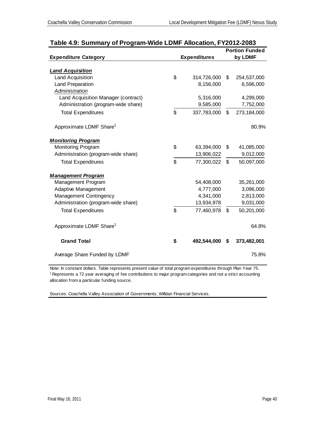|                                     |                    |                     |    | <b>Portion Funded</b> |
|-------------------------------------|--------------------|---------------------|----|-----------------------|
| <b>Expenditure Category</b>         |                    | <b>Expenditures</b> |    | by LDMF               |
|                                     |                    |                     |    |                       |
| <b>Land Acquisition</b>             |                    |                     |    |                       |
| Land Acquisition                    | \$                 | 314,726,000         | \$ | 254,537,000           |
| Land Preparation                    |                    | 8,156,000           |    | 6,596,000             |
| Administration                      |                    |                     |    |                       |
| Land Acquisition Manager (contract) |                    | 5,316,000           |    | 4,299,000             |
| Administration (program-wide share) |                    | 9,585,000           |    | 7,752,000             |
| <b>Total Expenditures</b>           | $\mathfrak{S}$     | 337,783,000         | \$ | 273,184,000           |
| Approximate LDMF Share <sup>1</sup> |                    |                     |    | 80.9%                 |
| <b>Monitoring Program</b>           |                    |                     |    |                       |
| Monitoring Program                  | \$                 | 63,394,000          | \$ | 41,085,000            |
| Administration (program-wide share) |                    | 13,906,022          |    | 9,012,000             |
| <b>Total Expenditures</b>           | $\mathfrak{P}$     | 77,300,022          | \$ | 50,097,000            |
| <b>Management Program</b>           |                    |                     |    |                       |
| Management Program                  |                    | 54,408,000          |    | 35,261,000            |
| Adaptive Management                 |                    | 4,777,000           |    | 3,096,000             |
| Management Contingency              |                    | 4,341,000           |    | 2,813,000             |
| Administration (program-wide share) |                    | 13,934,978          |    | 9,031,000             |
| <b>Total Expenditures</b>           | $\mathbf{\hat{z}}$ | 77,460,978          | \$ | 50,201,000            |
| Approximate LDMF Share <sup>1</sup> |                    |                     |    | 64.8%                 |
| <b>Grand Total</b>                  | \$                 | 492,544,000         | S  | 373,482,001           |
| Average Share Funded by LDMF        |                    |                     |    | 75.8%                 |

#### **Table 4.9: Summary of Program-Wide LDMF Allocation, FY2012-2083**

Note: In constant dollars. Table represents present value of total program expenditures through Plan Year 75. 1 Represents a 72 year averaging of fee contributions to major program categories and not a strict accounting allocation from a particular funding source.

Sources: Coachella Valley Association of Governments; Willdan Financial Services.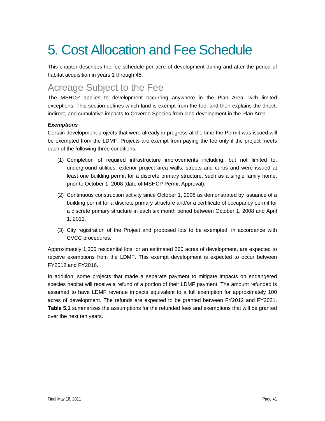# 5. Cost Allocation and Fee Schedule

This chapter describes the fee schedule per acre of development during and after the period of habitat acquisition in years 1 through 45.

# Acreage Subject to the Fee

The MSHCP applies to development occurring anywhere in the Plan Area, with limited exceptions. This section defines which land is exempt from the fee, and then explains the direct, indirect, and cumulative impacts to Covered Species from land development in the Plan Area.

#### *Exemptions*

Certain development projects that were already in progress at the time the Permit was issued will be exempted from the LDMF. Projects are exempt from paying the fee only if the project meets each of the following three conditions:

- (1) Completion of required infrastructure improvements including, but not limited to, underground utilities, exterior project area walls, streets and curbs and were issued at least one building permit for a discrete primary structure, such as a single family home, prior to October 1, 2008 (date of MSHCP Permit Approval).
- (2) Continuous construction activity since October 1, 2008 as demonstrated by issuance of a building permit for a discrete primary structure and/or a certificate of occupancy permit for a discrete primary structure in each six month period between October 1, 2008 and April 1, 2011.
- (3) City registration of the Project and proposed lots to be exempted, in accordance with CVCC procedures.

Approximately 1,300 residential lots, or an estimated 260 acres of development, are expected to receive exemptions from the LDMF. This exempt development is expected to occur between FY2012 and FY2016.

In addition, some projects that made a separate payment to mitigate impacts on endangered species habitat will receive a refund of a portion of their LDMF payment. The amount refunded is assumed to have LDMF revenue impacts equivalent to a full exemption for approximately 100 acres of development. The refunds are expected to be granted between FY2012 and FY2021. **Table 5.1** summarizes the assumptions for the refunded fees and exemptions that will be granted over the next ten years.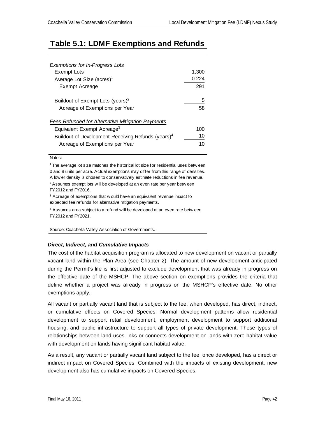### **Table 5.1: LDMF Exemptions and Refunds**

| <b>Exemptions for In-Progress Lots</b>                         |       |
|----------------------------------------------------------------|-------|
| <b>Exempt Lots</b>                                             | 1,300 |
| Average Lot Size (acres) <sup>1</sup>                          | 0.224 |
| Exempt Acreage                                                 | 291   |
| Buildout of Exempt Lots (years) <sup>2</sup>                   | 5     |
| Acreage of Exemptions per Year                                 | 58    |
| <b>Fees Refunded for Alternative Mitigation Payments</b>       |       |
| Equivalent Exempt Acreage <sup>3</sup>                         | 100   |
| Buildout of Development Receiving Refunds (years) <sup>4</sup> | 10    |
| Acreage of Exemptions per Year                                 | 10    |

Notes:

<sup>2</sup> Assumes exempt lots w ill be developed at an even rate per year betw een FY2012 and FY2016. <sup>1</sup> The average lot size matches the historical lot size for residential uses betw een 0 and 8 units per acre. Actual exemptions may differ from this range of densities. A low er density is chosen to conservatively estimate reductions in fee revenue.

<sup>3</sup> Acreage of exemptions that w ould have an equivalent revenue impact to expected fee refunds for alternative mitigation payments.

<sup>4</sup> Assumes area subject to a refund w ill be developed at an even rate betw een FY2012 and FY2021.

Source: Coachella Valley Association of Governments.

#### *Direct, Indirect, and Cumulative Impacts*

The cost of the habitat acquisition program is allocated to new development on vacant or partially vacant land within the Plan Area (see Chapter 2). The amount of new development anticipated during the Permit's life is first adjusted to exclude development that was already in progress on the effective date of the MSHCP. The above section on exemptions provides the criteria that define whether a project was already in progress on the MSHCP's effective date. No other exemptions apply.

All vacant or partially vacant land that is subject to the fee, when developed, has direct, indirect, or cumulative effects on Covered Species. Normal development patterns allow residential development to support retail development, employment development to support additional housing, and public infrastructure to support all types of private development. These types of relationships between land uses links or connects development on lands with zero habitat value with development on lands having significant habitat value.

As a result, any vacant or partially vacant land subject to the fee, once developed, has a direct or indirect impact on Covered Species. Combined with the impacts of existing development, new development also has cumulative impacts on Covered Species.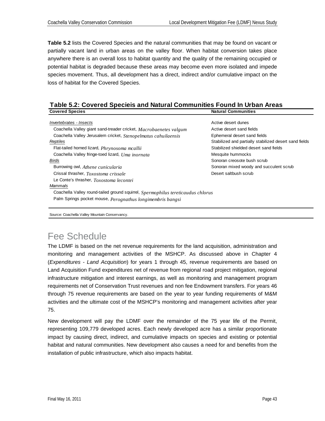**Table 5.2** lists the Covered Species and the natural communities that may be found on vacant or partially vacant land in urban areas on the valley floor. When habitat conversion takes place anywhere there is an overall loss to habitat quantity and the quality of the remaining occupied or potential habitat is degraded because these areas may become even more isolated and impede species movement. Thus, all development has a direct, indirect and/or cumulative impact on the loss of habitat for the Covered Species.

### **Table 5.2: Covered Specieis and Natural Communities Found In Urban Areas**

| <b>Covered Species</b>                                                           | <b>Natural Communities</b>                             |
|----------------------------------------------------------------------------------|--------------------------------------------------------|
| <i>Invertebrates - Insects</i>                                                   | Active desert dunes                                    |
| Coachella Valley giant sand-treader cricket, Macrobaenetes valgum                | Active desert sand fields                              |
| Coachella Valley Jerusalem cricket, Stenopelmatus cahuilaensis                   | Ephemeral desert sand fields                           |
| Reptiles                                                                         | Stabilized and partially stabilized desert sand fields |
| Flat-tailed horned lizard, Phrynosoma mcallii                                    | Stabilized shielded desert sand fields                 |
| Coachella Valley fringe-toed lizard, Uma inornata                                | Mesquite hummocks                                      |
| Birds                                                                            | Sonoran creosote bush scrub                            |
| Burrowing owl, Athene cunicularia                                                | Sonoran mixed woody and succulent scrub                |
| Crissal thrasher, Toxostoma crissale                                             | Desert saltbush scrub                                  |
| Le Conte's thrasher, Toxostoma lecontei                                          |                                                        |
| Mammals                                                                          |                                                        |
| Coachella Valley round-tailed ground squirrel, Spermophilus tereticaudus chlorus |                                                        |
| Palm Springs pocket mouse, Perognathus longimembris bangsi                       |                                                        |
|                                                                                  |                                                        |

Source: Coachella Valley Mountain Conservancy.

## Fee Schedule

The LDMF is based on the net revenue requirements for the land acquisition, administration and monitoring and management activities of the MSHCP. As discussed above in Chapter 4 (*Expenditures - Land Acquisition*) for years 1 through 45, revenue requirements are based on Land Acquisition Fund expenditures net of revenue from regional road project mitigation, regional infrastructure mitigation and interest earnings, as well as monitoring and management program requirements net of Conservation Trust revenues and non fee Endowment transfers. For years 46 through 75 revenue requirements are based on the year to year funding requirements of M&M activities and the ultimate cost of the MSHCP's monitoring and management activities after year 75.

New development will pay the LDMF over the remainder of the 75 year life of the Permit, representing 109,779 developed acres. Each newly developed acre has a similar proportionate impact by causing direct, indirect, and cumulative impacts on species and existing or potential habitat and natural communities. New development also causes a need for and benefits from the installation of public infrastructure, which also impacts habitat.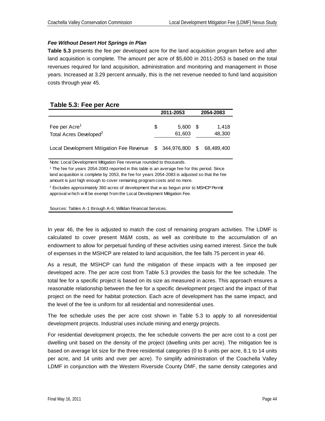#### *Fee Without Desert Hot Springs in Plan*

**Table 5.3** presents the fee per developed acre for the land acquisition program before and after land acquisition is complete. The amount per acre of \$5,600 in 2011-2053 is based on the total revenues required for land acquisition, administration and monitoring and management in those years. Increased at 3.29 percent annually, this is the net revenue needed to fund land acquisition costs through year 45.

#### **Table 5.3: Fee per Acre**

|                                                                 |   | 2011-2053                    |      | 2054-2083       |  |
|-----------------------------------------------------------------|---|------------------------------|------|-----------------|--|
| Fee per Acre <sup>1</sup><br>Total Acres Developed <sup>2</sup> | S | 5,600<br>61,603              | - \$ | 1.418<br>48,300 |  |
| Local Development Mitigation Fee Revenue                        |   | \$ 344,976,800 \$ 68,489,400 |      |                 |  |

Note: Local Development Mitigation Fee revenue rounded to thousands.

1 The fee for years 2054-2083 reported in this table is an average fee for this period. Since land acquisition is complete by 2053, the fee for years 2054-2083 is adjusted so that the fee amount is just high enough to cover remaining program costs and no more.

 $2$  Excludes approximately 360 acres of development that w as begun prior to MSHCP Permit approval w hich w ill be exempt from the Local Development Mitigation Fee.

Sources: Tables A-1 through A-6; Willdan Financial Services.

In year 46, the fee is adjusted to match the cost of remaining program activities. The LDMF is calculated to cover present M&M costs, as well as contribute to the accumulation of an endowment to allow for perpetual funding of these activities using earned interest. Since the bulk of expenses in the MSHCP are related to land acquisition, the fee falls 75 percent in year 46.

As a result, the MSHCP can fund the mitigation of these impacts with a fee imposed per developed acre. The per acre cost from Table 5.3 provides the basis for the fee schedule. The total fee for a specific project is based on its size as measured in acres. This approach ensures a reasonable relationship between the fee for a specific development project and the impact of that project on the need for habitat protection. Each acre of development has the same impact, and the level of the fee is uniform for all residential and nonresidential uses.

The fee schedule uses the per acre cost shown in Table 5.3 to apply to all nonresidential development projects. Industrial uses include mining and energy projects.

For residential development projects, the fee schedule converts the per acre cost to a cost per dwelling unit based on the density of the project (dwelling units per acre). The mitigation fee is based on average lot size for the three residential categories (0 to 8 units per acre, 8.1 to 14 units per acre, and 14 units and over per acre). To simplify administration of the Coachella Valley LDMF in conjunction with the Western Riverside County DMF, the same density categories and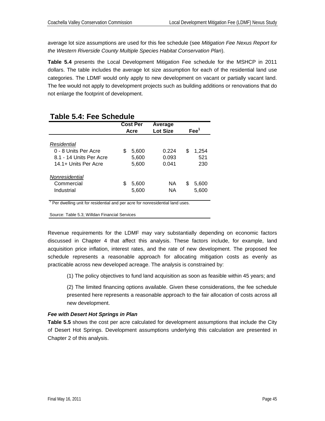average lot size assumptions are used for this fee schedule (see *Mitigation Fee Nexus Report for the Western Riverside County Multiple Species Habitat Conservation Plan*).

**Table 5.4** presents the Local Development Mitigation Fee schedule for the MSHCP in 2011 dollars. The table includes the average lot size assumption for each of the residential land use categories. The LDMF would only apply to new development on vacant or partially vacant land. The fee would not apply to development projects such as building additions or renovations that do not enlarge the footprint of development.

|                                                                                        | <b>Cost Per</b><br>Acre       | Average<br><b>Lot Size</b> | $\mathsf{F} \mathsf{e} \mathsf{e}^1$ |                     |  |
|----------------------------------------------------------------------------------------|-------------------------------|----------------------------|--------------------------------------|---------------------|--|
| Residential<br>0 - 8 Units Per Acre<br>8.1 - 14 Units Per Acre<br>14.1+ Units Per Acre | \$<br>5,600<br>5,600<br>5,600 | 0.224<br>0.093<br>0.041    | S                                    | 1,254<br>521<br>230 |  |
| Nonresidential<br>Commercial<br>Industrial                                             | \$<br>5,600<br>5,600          | ΝA<br>NА                   | S                                    | 5,600<br>5,600      |  |

### **Table 5.4: Fee Schedule**

<sup>1</sup> Per dwelling unit for residential and per acre for nonresidential land uses.

Source: Table 5.3; Willdan Financial Services

Revenue requirements for the LDMF may vary substantially depending on economic factors discussed in Chapter 4 that affect this analysis. These factors include, for example, land acquisition price inflation, interest rates, and the rate of new development. The proposed fee schedule represents a reasonable approach for allocating mitigation costs as evenly as practicable across new developed acreage. The analysis is constrained by:

(1) The policy objectives to fund land acquisition as soon as feasible within 45 years; and

(2) The limited financing options available. Given these considerations, the fee schedule presented here represents a reasonable approach to the fair allocation of costs across all new development.

#### *Fee with Desert Hot Springs in Plan*

**Table 5.5** shows the cost per acre calculated for development assumptions that include the City of Desert Hot Springs. Development assumptions underlying this calculation are presented in Chapter 2 of this analysis.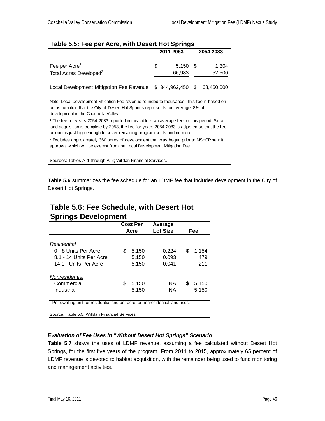|                                                                 | 2011-2053 |                      |  | 2054-2083       |
|-----------------------------------------------------------------|-----------|----------------------|--|-----------------|
| Fee per Acre <sup>1</sup><br>Total Acres Developed <sup>2</sup> |           | $5.150$ \$<br>66,983 |  | 1,304<br>52,500 |
| Local Development Mitigation Fee Revenue                        |           | $$344,962,450$ \$    |  | 68.460.000      |

#### **Table 5.5: Fee per Acre, with Desert Hot Springs**

Note: Local Development Mitigation Fee revenue rounded to thousands. This fee is based on an assumption that the City of Desert Hot Springs represents, on average, 8% of development in the Coachella Valley.

1 The fee for years 2054-2083 reported in this table is an average fee for this period. Since land acquisition is complete by 2053, the fee for years 2054-2083 is adjusted so that the fee amount is just high enough to cover remaining program costs and no more.

2 Excludes approximately 360 acres of development that w as begun prior to MSHCP permit approval w hich w ill be exempt from the Local Development Mitigation Fee.

Sources: Tables A-1 through A-6; Willdan Financial Services.

**Table 5.6** summarizes the fee schedule for an LDMF fee that includes development in the City of Desert Hot Springs.

### **Table 5.6: Fee Schedule, with Desert Hot Springs Development**

|                                                                                        |    | <b>Cost Per</b><br>Acre | Average<br><b>Lot Size</b> |   | $\mathsf{Fee}^1$    |  |  |
|----------------------------------------------------------------------------------------|----|-------------------------|----------------------------|---|---------------------|--|--|
| Residential<br>0 - 8 Units Per Acre<br>8.1 - 14 Units Per Acre<br>14.1+ Units Per Acre | \$ | 5,150<br>5,150<br>5,150 | 0.224<br>0.093<br>0.041    | S | 1,154<br>479<br>211 |  |  |
| Nonresidential<br>Commercial<br>Industrial                                             | S  | 5,150<br>5,150          | ΝA<br><b>NA</b>            | S | 5,150<br>5,150      |  |  |

<sup>1</sup> Per dwelling unit for residential and per acre for nonresidential land uses.

Source: Table 5.5; Willdan Financial Services

#### *Evaluation of Fee Uses in "Without Desert Hot Springs" Scenario*

**Table 5.7** shows the uses of LDMF revenue, assuming a fee calculated without Desert Hot Springs, for the first five years of the program. From 2011 to 2015, approximately 65 percent of LDMF revenue is devoted to habitat acquisition, with the remainder being used to fund monitoring and management activities.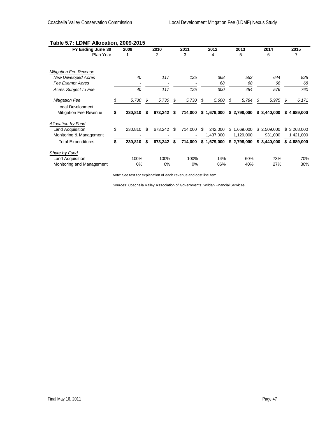#### **Table 5.7: LDMF Allocation, 2009-2015**

| FY Ending June 30          | 2009          | 2010          |    | 2011    | 2012          | 2013        | 2014        | 2015        |
|----------------------------|---------------|---------------|----|---------|---------------|-------------|-------------|-------------|
| Plan Year                  |               | 2             |    | 3       | 4             | 5           | 6           | 7           |
|                            |               |               |    |         |               |             |             |             |
| Mitigation Fee Revenue     |               |               |    |         |               |             |             |             |
| <b>New Developed Acres</b> | 40            | 117           |    | 125     | 368           | 552         | 644         | 828         |
| <b>Fee Exempt Acres</b>    |               |               |    |         | 68            | 68          | 68          | 68          |
| Acres Subject to Fee       | 40            | 117           |    | 125     | 300           | 484         | 576         | 760         |
| <b>Mitigation Fee</b>      | \$<br>5,730   | \$<br>5,730   | \$ | 5,730   | \$<br>5,600   | \$<br>5,784 | \$<br>5,975 | \$<br>6,171 |
| Local Development          |               |               |    |         |               |             |             |             |
| Mitigation Fee Revenue     | \$<br>230,810 | \$<br>673,242 | S  | 714,000 | \$1,679,000   | \$2,798,000 | \$3,440,000 | \$4,689,000 |
| <b>Allocation by Fund</b>  |               |               |    |         |               |             |             |             |
| Land Acquisition           | \$<br>230.810 | \$<br>673,242 | \$ | 714,000 | \$<br>242,000 | \$1,669,000 | \$2,509,000 | \$3,268,000 |
| Monitoring & Management    |               |               |    |         | 1,437,000     | 1,129,000   | 931,000     | 1,421,000   |
| <b>Total Expenditures</b>  | \$<br>230,810 | \$<br>673,242 | S  | 714,000 | \$1,679,000   | \$2,798,000 | \$3,440,000 | \$4,689,000 |
| Share by Fund              |               |               |    |         |               |             |             |             |
| Land Acquisition           | 100%          | 100%          |    | 100%    | 14%           | 60%         | 73%         | 70%         |
| Monitoring and Management  | $0\%$         | $0\%$         |    | $0\%$   | 86%           | 40%         | 27%         | 30%         |

Note: See text for explanation of each revenue and cost line item.

Sources: Coachella Valley Association of Governments; Willdan Financial Services.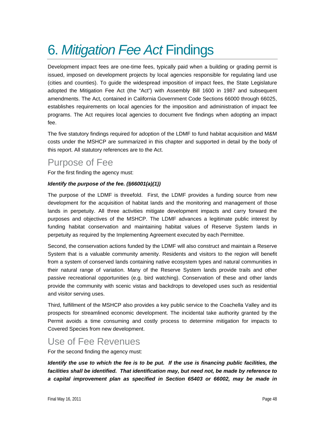# 6. *Mitigation Fee Act* Findings

Development impact fees are one-time fees, typically paid when a building or grading permit is issued, imposed on development projects by local agencies responsible for regulating land use (cities and counties). To guide the widespread imposition of impact fees, the State Legislature adopted the Mitigation Fee Act (the "Act") with Assembly Bill 1600 in 1987 and subsequent amendments. The Act, contained in California Government Code Sections 66000 through 66025, establishes requirements on local agencies for the imposition and administration of impact fee programs. The Act requires local agencies to document five findings when adopting an impact fee.

The five statutory findings required for adoption of the LDMF to fund habitat acquisition and M&M costs under the MSHCP are summarized in this chapter and supported in detail by the body of this report. All statutory references are to the Act.

## Purpose of Fee

For the first finding the agency must:

### *Identify the purpose of the fee. (§66001(a)(1))*

The purpose of the LDMF is threefold. First, the LDMF provides a funding source from new development for the acquisition of habitat lands and the monitoring and management of those lands in perpetuity. All three activities mitigate development impacts and carry forward the purposes and objectives of the MSHCP. The LDMF advances a legitimate public interest by funding habitat conservation and maintaining habitat values of Reserve System lands in perpetuity as required by the Implementing Agreement executed by each Permittee.

Second, the conservation actions funded by the LDMF will also construct and maintain a Reserve System that is a valuable community amenity. Residents and visitors to the region will benefit from a system of conserved lands containing native ecosystem types and natural communities in their natural range of variation. Many of the Reserve System lands provide trails and other passive recreational opportunities (e.g. bird watching). Conservation of these and other lands provide the community with scenic vistas and backdrops to developed uses such as residential and visitor serving uses.

Third, fulfillment of the MSHCP also provides a key public service to the Coachella Valley and its prospects for streamlined economic development. The incidental take authority granted by the Permit avoids a time consuming and costly process to determine mitigation for impacts to Covered Species from new development.

### Use of Fee Revenues

For the second finding the agency must:

*Identify the use to which the fee is to be put. If the use is financing public facilities, the facilities shall be identified. That identification may, but need not, be made by reference to a capital improvement plan as specified in Section 65403 or 66002, may be made in*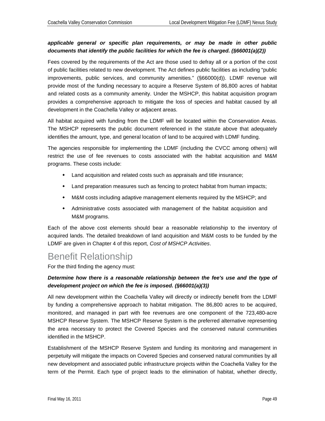### *applicable general or specific plan requirements, or may be made in other public documents that identify the public facilities for which the fee is charged. (§66001(a)(2))*

Fees covered by the requirements of the Act are those used to defray all or a portion of the cost of public facilities related to new development. The Act defines public facilities as including "public improvements, public services, and community amenities." (§66000(d)). LDMF revenue will provide most of the funding necessary to acquire a Reserve System of 86,800 acres of habitat and related costs as a community amenity. Under the MSHCP, this habitat acquisition program provides a comprehensive approach to mitigate the loss of species and habitat caused by all development in the Coachella Valley or adjacent areas.

All habitat acquired with funding from the LDMF will be located within the Conservation Areas. The MSHCP represents the public document referenced in the statute above that adequately identifies the amount, type, and general location of land to be acquired with LDMF funding.

The agencies responsible for implementing the LDMF (including the CVCC among others) will restrict the use of fee revenues to costs associated with the habitat acquisition and M&M programs. These costs include:

- Land acquisition and related costs such as appraisals and title insurance;
- Land preparation measures such as fencing to protect habitat from human impacts;
- M&M costs including adaptive management elements required by the MSHCP; and
- Administrative costs associated with management of the habitat acquisition and M&M programs.

Each of the above cost elements should bear a reasonable relationship to the inventory of acquired lands. The detailed breakdown of land acquisition and M&M costs to be funded by the LDMF are given in Chapter 4 of this report, *Cost of MSHCP Activities*.

## Benefit Relationship

For the third finding the agency must:

### *Determine how there is a reasonable relationship between the fee's use and the type of development project on which the fee is imposed. (§66001(a)(3))*

All new development within the Coachella Valley will directly or indirectly benefit from the LDMF by funding a comprehensive approach to habitat mitigation. The 86,800 acres to be acquired, monitored, and managed in part with fee revenues are one component of the 723,480-acre MSHCP Reserve System. The MSHCP Reserve System is the preferred alternative representing the area necessary to protect the Covered Species and the conserved natural communities identified in the MSHCP.

Establishment of the MSHCP Reserve System and funding its monitoring and management in perpetuity will mitigate the impacts on Covered Species and conserved natural communities by all new development and associated public infrastructure projects within the Coachella Valley for the term of the Permit. Each type of project leads to the elimination of habitat, whether directly,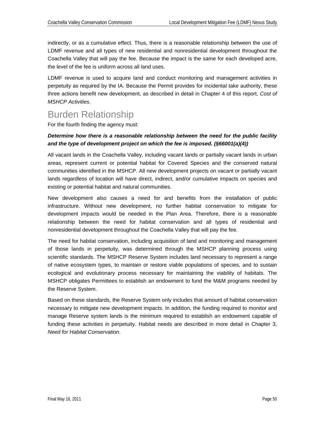indirectly, or as a cumulative effect. Thus, there is a reasonable relationship between the use of LDMF revenue and all types of new residential and nonresidential development throughout the Coachella Valley that will pay the fee. Because the impact is the same for each developed acre, the level of the fee is uniform across all land uses.

LDMF revenue is used to acquire land and conduct monitoring and management activities in perpetuity as required by the IA. Because the Permit provides for incidental take authority, these three actions benefit new development, as described in detail in Chapter 4 of this report, *Cost of MSHCP Activities*.

## Burden Relationship

For the fourth finding the agency must:

### *Determine how there is a reasonable relationship between the need for the public facility and the type of development project on which the fee is imposed. (§66001(a)(4))*

All vacant lands in the Coachella Valley, including vacant lands or partially vacant lands in urban areas, represent current or potential habitat for Covered Species and the conserved natural communities identified in the MSHCP. All new development projects on vacant or partially vacant lands regardless of location will have direct, indirect, and/or cumulative impacts on species and existing or potential habitat and natural communities.

New development also causes a need for and benefits from the installation of public infrastructure. Without new development, no further habitat conservation to mitigate for development impacts would be needed in the Plan Area. Therefore, there is a reasonable relationship between the need for habitat conservation and all types of residential and nonresidential development throughout the Coachella Valley that will pay the fee.

The need for habitat conservation, including acquisition of land and monitoring and management of those lands in perpetuity, was determined through the MSHCP planning process using scientific standards. The MSHCP Reserve System includes land necessary to represent a range of native ecosystem types, to maintain or restore viable populations of species, and to sustain ecological and evolutionary process necessary for maintaining the viability of habitats. The MSHCP obligates Permittees to establish an endowment to fund the M&M programs needed by the Reserve System.

Based on these standards, the Reserve System only includes that amount of habitat conservation necessary to mitigate new development impacts. In addition, the funding required to monitor and manage Reserve system lands is the minimum required to establish an endowment capable of funding these activities in perpetuity. Habitat needs are described in more detail in Chapter 3, *Need for Habitat Conservation*.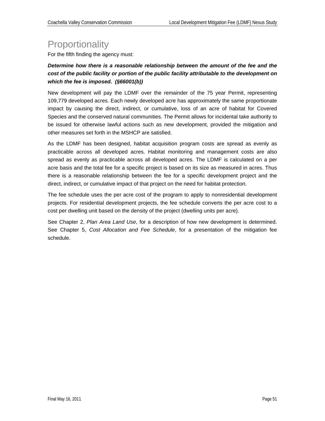# **Proportionality**

For the fifth finding the agency must:

### *Determine how there is a reasonable relationship between the amount of the fee and the cost of the public facility or portion of the public facility attributable to the development on which the fee is imposed. (§66001(b))*

New development will pay the LDMF over the remainder of the 75 year Permit, representing 109,779 developed acres. Each newly developed acre has approximately the same proportionate impact by causing the direct, indirect, or cumulative, loss of an acre of habitat for Covered Species and the conserved natural communities. The Permit allows for incidental take authority to be issued for otherwise lawful actions such as new development, provided the mitigation and other measures set forth in the MSHCP are satisfied.

As the LDMF has been designed, habitat acquisition program costs are spread as evenly as practicable across all developed acres. Habitat monitoring and management costs are also spread as evenly as practicable across all developed acres. The LDMF is calculated on a per acre basis and the total fee for a specific project is based on its size as measured in acres. Thus there is a reasonable relationship between the fee for a specific development project and the direct, indirect, or cumulative impact of that project on the need for habitat protection.

The fee schedule uses the per acre cost of the program to apply to nonresidential development projects. For residential development projects, the fee schedule converts the per acre cost to a cost per dwelling unit based on the density of the project (dwelling units per acre).

See Chapter 2, *Plan Area Land Use*, for a description of how new development is determined. See Chapter 5, *Cost Allocation and Fee Schedule*, for a presentation of the mitigation fee schedule.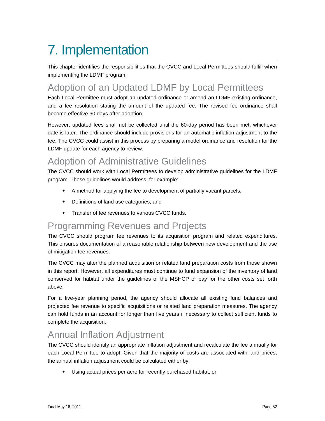# 7. Implementation

This chapter identifies the responsibilities that the CVCC and Local Permittees should fulfill when implementing the LDMF program.

# Adoption of an Updated LDMF by Local Permittees

Each Local Permittee must adopt an updated ordinance or amend an LDMF existing ordinance, and a fee resolution stating the amount of the updated fee. The revised fee ordinance shall become effective 60 days after adoption.

However, updated fees shall not be collected until the 60-day period has been met, whichever date is later. The ordinance should include provisions for an automatic inflation adjustment to the fee. The CVCC could assist in this process by preparing a model ordinance and resolution for the LDMF update for each agency to review.

# Adoption of Administrative Guidelines

The CVCC should work with Local Permittees to develop administrative guidelines for the LDMF program. These guidelines would address, for example:

- A method for applying the fee to development of partially vacant parcels;
- Definitions of land use categories; and
- **Transfer of fee revenues to various CVCC funds.**

## Programming Revenues and Projects

The CVCC should program fee revenues to its acquisition program and related expenditures. This ensures documentation of a reasonable relationship between new development and the use of mitigation fee revenues.

The CVCC may alter the planned acquisition or related land preparation costs from those shown in this report. However, all expenditures must continue to fund expansion of the inventory of land conserved for habitat under the guidelines of the MSHCP or pay for the other costs set forth above.

For a five-year planning period, the agency should allocate all existing fund balances and projected fee revenue to specific acquisitions or related land preparation measures. The agency can hold funds in an account for longer than five years if necessary to collect sufficient funds to complete the acquisition.

## Annual Inflation Adjustment

The CVCC should identify an appropriate inflation adjustment and recalculate the fee annually for each Local Permittee to adopt. Given that the majority of costs are associated with land prices, the annual inflation adjustment could be calculated either by:

Using actual prices per acre for recently purchased habitat; or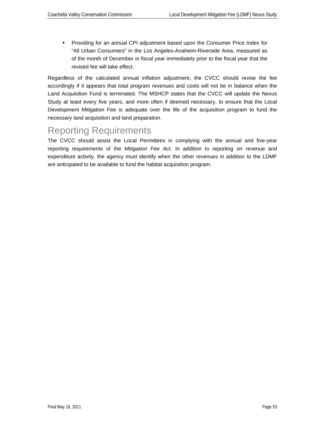Providing for an annual CPI adjustment based upon the Consumer Price Index for "All Urban Consumers" in the Los Angeles-Anaheim-Riverside Area, measured as of the month of December in fiscal year immediately prior to the fiscal year that the revised fee will take effect.

Regardless of the calculated annual inflation adjustment, the CVCC should revise the fee accordingly if it appears that total program revenues and costs will not be in balance when the Land Acquisition Fund is terminated. The MSHCP states that the CVCC will update the Nexus Study at least every five years, and more often if deemed necessary, to ensure that the Local Development Mitigation Fee is adequate over the life of the acquisition program to fund the necessary land acquisition and land preparation.

## Reporting Requirements

The CVCC should assist the Local Permittees in complying with the annual and five-year reporting requirements of the *Mitigation Fee Act*. In addition to reporting on revenue and expenditure activity, the agency must identify when the other revenues in addition to the LDMF are anticipated to be available to fund the habitat acquisition program.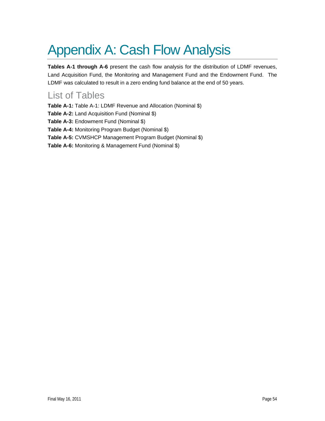# Appendix A: Cash Flow Analysis

**Tables A-1 through A-6** present the cash flow analysis for the distribution of LDMF revenues, Land Acquisition Fund, the Monitoring and Management Fund and the Endowment Fund. The LDMF was calculated to result in a zero ending fund balance at the end of 50 years.

# List of Tables

**Table A-1:** Table A-1: LDMF Revenue and Allocation (Nominal \$) **Table A-2:** Land Acquisition Fund (Nominal \$) **Table A-3:** Endowment Fund (Nominal \$) **Table A-4:** Monitoring Program Budget (Nominal \$) **Table A-5:** CVMSHCP Management Program Budget (Nominal \$) **Table A-6:** Monitoring & Management Fund (Nominal \$)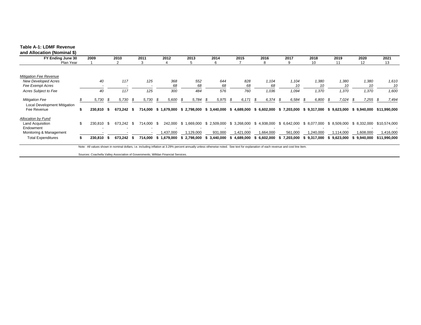#### **Table A-1: LDMF Revenue**

| FY Ending June 30             |    | 2009       |     | 2010       |      | 2011       | 2012                 |      | 2013         | 2014                                                             |     | 2015        |      | 2016      |      | 2017        |      | 2018        |      | 2019                                   |     | 2020        |      | 2021         |
|-------------------------------|----|------------|-----|------------|------|------------|----------------------|------|--------------|------------------------------------------------------------------|-----|-------------|------|-----------|------|-------------|------|-------------|------|----------------------------------------|-----|-------------|------|--------------|
| Plan Year                     |    |            |     |            |      | 3          |                      |      | 5            | 6                                                                |     |             |      | 8         |      | 9           |      | 10          |      | 11                                     |     | 12          |      | 13           |
|                               |    |            |     |            |      |            |                      |      |              |                                                                  |     |             |      |           |      |             |      |             |      |                                        |     |             |      |              |
| <b>Mitigation Fee Revenue</b> |    |            |     |            |      |            |                      |      |              |                                                                  |     |             |      |           |      |             |      |             |      |                                        |     |             |      |              |
| New Developed Acres           |    | 40         |     | 117        |      | 125        | 368                  |      | 552          | 644                                                              |     | 828         |      | 1,104     |      | 1,104       |      | 1,380       |      | 1,380                                  |     | 1,380       |      | 1,610        |
| <b>Fee Exempt Acres</b>       |    |            |     |            |      |            | 68                   |      | 68           | 68                                                               |     | 68          |      | 68        |      | 10          |      | 10          |      | 10                                     |     | 10          |      | 10           |
| Acres Subject to Fee          |    | 40         |     | 117        |      | 125        | 300                  |      | 484          | 576                                                              |     | 760         |      | 1,036     |      | 1,094       |      | 1,370       |      | 1,370                                  |     | 1,370       |      | 1,600        |
| <b>Mitigation Fee</b>         |    | 5,730      | - S | 5,730      | - \$ | 5,730      | 5,600<br>- \$        | - \$ | 5,784        | 5,975<br>\$                                                      | - S | 6.171       | - \$ | 6,374     | - \$ | 6,584       | - \$ | 6,800       | - \$ | 7,024                                  | - S | 7,255       | - \$ | 7,494        |
| Local Development Mitigation  |    |            |     |            |      |            |                      |      |              |                                                                  |     |             |      |           |      |             |      |             |      |                                        |     |             |      |              |
| Fee Revenue                   | ъ  | 230.810 \$ |     | 673,242 \$ |      |            | 714,000 \$ 1,679,000 |      |              | $$2,798,000$ $$3,440,000$ $$4,689,000$ $$6,602,000$ $$7,203,000$ |     |             |      |           |      |             |      |             |      | $$9,317,000 \$9,623,000 \$9,940,000$   |     |             |      | \$11.990.000 |
| <b>Allocation by Fund</b>     |    |            |     |            |      |            |                      |      |              |                                                                  |     |             |      |           |      |             |      |             |      |                                        |     |             |      |              |
| Land Acquisition              | \$ | 230,810 \$ |     | 673,242 \$ |      | 714,000 \$ | 242,000              |      |              | $$1,669,000$ $$2,509,000$ $$3,268,000$ $$4,938,000$ $$6,642,000$ |     |             |      |           |      |             |      |             |      | \$ 8,077,000 \$ 8,509,000 \$ 8,332,000 |     |             |      | \$10,574,000 |
| Endowment                     |    |            |     |            |      |            |                      |      |              |                                                                  |     |             |      |           |      |             |      |             |      |                                        |     |             |      |              |
| Monitoring & Management       |    |            |     |            |      |            | 1,437,000            |      | 1,129,000    | 931,000                                                          |     | ,421,000    |      | 1,664,000 |      | 561,000     |      | 1,240,000   |      | 1,114,000                              |     | 1,608,000   |      | 1,416,000    |
| <b>Total Expenditures</b>     | ж  | 230,810 \$ |     | 673,242    | - 56 | 714,000    | \$1,679,000          |      | \$ 2,798,000 | \$3,440,000                                                      |     | \$4,689,000 | ъ.   | 6,602,000 |      | \$7,203,000 |      | \$9,317,000 |      | \$9,623,000                            |     | \$9,940,000 |      | \$11,990,000 |

Note: All values shown in nominal dollars, i.e. including inflation at 3.29% percent annually unless otherwise noted. See text for explanation of each revenue and cost line item.

Sources: Coachella Valley Association of Governments; Willdan Financial Services.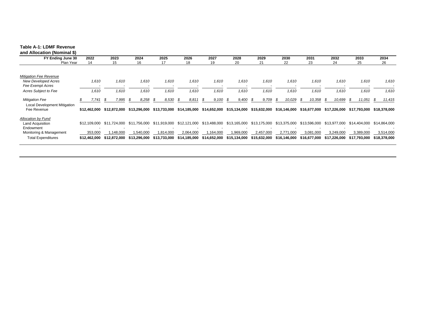| FY Ending June 30                                                                      | 2022                    | 2023                      | 2024                      | 2025                      | 2026                      | 2027                     | 2028                      | 2029                      | 2030                      | 2031                      | 2032                      | 2033                      | 2034                      |
|----------------------------------------------------------------------------------------|-------------------------|---------------------------|---------------------------|---------------------------|---------------------------|--------------------------|---------------------------|---------------------------|---------------------------|---------------------------|---------------------------|---------------------------|---------------------------|
| Plan Year                                                                              | 14                      | 15                        | 16                        | 17                        | 18                        | 19                       | 20                        | 21                        | 22                        | 23                        | 24                        | 25                        | 26                        |
| <b>Mitigation Fee Revenue</b><br><b>New Developed Acres</b><br><b>Fee Exempt Acres</b> | 1,610                   | 1,610                     | 1,610                     | 1,610                     | 1,610                     | 1,610                    | 1,610                     | 1,610                     | 1,610                     | 1,610                     | 1,610                     | 1,610                     | 1,610                     |
| Acres Subject to Fee                                                                   | 1,610                   | 1,610                     | 1,610                     | 1.610                     | 1,610                     | 1,610                    | 1,610                     | 1,610                     | 1,610                     | 1,610                     | 1.610                     | 1,610                     | 1,610                     |
| <b>Mitigation Fee</b><br>Local Development Mitigation                                  | \$<br>7,741             | 7,995<br>- \$             | 8,258<br>- \$             | 8,530<br>- \$             | 8,811<br>- \$             | 9,100<br>- \$            | 9,400<br>- \$             | 9,709<br>- \$             | 10,029<br>S               | 10,358 \$                 | 10,699                    | 11,051                    | 11,415<br>- \$            |
| Fee Revenue                                                                            | \$12,462,000            | \$12,872,000 \$13,296,000 |                           |                           | \$13,733,000 \$14,185,000 | \$14,652,000             |                           | \$15,134,000 \$15,632,000 | \$16,146,000              | \$16,677,000              | \$17,226,000              |                           | \$17,793,000 \$18,378,000 |
| <b>Allocation by Fund</b><br>Land Acquisition<br>Endowment                             | \$12.109.000            | \$11.724.000              | \$11,756,000              | \$11.919.000              | \$12.121.000              | \$13.488.000             | \$13.165.000              | \$13.175.000              | \$13.375.000              | \$13.596.000              | \$13.977.000              | \$14.404.000              | \$14,864,000              |
| Monitoring & Management<br><b>Total Expenditures</b>                                   | 353,000<br>\$12,462,000 | ,148,000<br>\$12.872.000  | 1,540,000<br>\$13.296.000 | 1,814,000<br>\$13.733.000 | 2,064,000<br>\$14.185.000 | ,164,000<br>\$14.652.000 | 1,969,000<br>\$15,134,000 | 2,457,000<br>\$15,632,000 | 2,771,000<br>\$16,146,000 | 3,081,000<br>\$16.677.000 | 3,249,000<br>\$17.226.000 | 3,389,000<br>\$17.793.000 | 3,514,000<br>\$18,378,000 |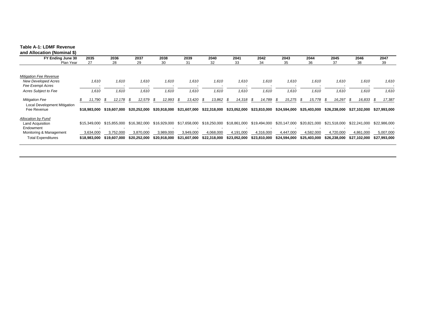| FY Ending June 30                                                                      | 2035                      | 2036                      | 2037                      | 2038                      | 2039                      | 2040                      | 2041                      | 2042                      | 2043                      | 2044                      | 2045                      | 2046                      | 2047                      |
|----------------------------------------------------------------------------------------|---------------------------|---------------------------|---------------------------|---------------------------|---------------------------|---------------------------|---------------------------|---------------------------|---------------------------|---------------------------|---------------------------|---------------------------|---------------------------|
| Plan Year                                                                              | 27                        | 28                        | 29                        | 30                        | 31                        | 32                        | 33                        | 34                        | 35                        | 36                        | 37                        | 38                        | 39                        |
| <b>Mitigation Fee Revenue</b><br><b>New Developed Acres</b><br><b>Fee Exempt Acres</b> | 1,610                     | 1,610                     | 1,610                     | 1,610                     | 1,610                     | 1,610                     | 1,610                     | 1,610                     | 1,610                     | 1,610                     | 1,610                     | 1,610                     | 1,610                     |
| Acres Subject to Fee                                                                   | 1,610                     | 1,610                     | 1,610                     | 1.610                     | 1,610                     | 1,610                     | 1,610                     | 1,610                     | 1,610                     | 1,610                     | 1,610                     | 1,610                     | 1,610                     |
| <b>Mitigation Fee</b><br><b>Local Development Mitigation</b>                           | S.<br>11,790              | 12,178<br>- \$            | 12,579<br>-8              | 12,993<br>- \$            | 13,420<br>- 56            | 13,862<br>- \$            | 14,318<br>- 56            | 14,789<br>- \$            | 15,275<br>- 56            | 15,778 \$                 | 16,297                    | 16,833                    | 17,387<br>- \$            |
| Fee Revenue                                                                            | \$18,983,000              | \$19,607,000              | \$20,252,000              | \$20,918,000              | \$21,607,000              | \$22,318,000              | \$23,052,000              | \$23,810,000              | \$24,594,000              | \$25,403,000              | \$26,238,000              | \$27,102,000              | \$27,993,000              |
| <b>Allocation by Fund</b><br>Land Acquisition<br>Endowment                             | \$15,349,000              | \$15,855,000              | \$16,382,000              | \$16.929.000              | \$17.658.000              | \$18,250,000              | \$18.861.000              | \$19.494.000              | \$20.147.000              | \$20.821.000              | \$21.518.000              | \$22.241.000              | \$22,986,000              |
| Monitoring & Management<br><b>Total Expenditures</b>                                   | 3,634,000<br>\$18,983,000 | 3,752,000<br>\$19.607.000 | 3,870,000<br>\$20.252.000 | 3,989,000<br>\$20,918,000 | 3,949,000<br>\$21.607.000 | 4,068,000<br>\$22,318,000 | 4,191,000<br>\$23,052,000 | 4,316,000<br>\$23,810,000 | 4,447,000<br>\$24.594.000 | 4,582,000<br>\$25.403.000 | 4,720,000<br>\$26.238.000 | 4,861,000<br>\$27.102.000 | 5,007,000<br>\$27.993.000 |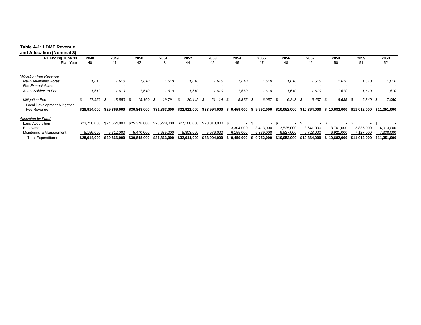| FY Ending June 30                                                        | 2048         | 2049           | 2050          | 2051           | 2052         | 2053                     | 2054           | 2055            | 2056             | 2057          | 2058           | 2059               | 2060         |
|--------------------------------------------------------------------------|--------------|----------------|---------------|----------------|--------------|--------------------------|----------------|-----------------|------------------|---------------|----------------|--------------------|--------------|
| Plan Year                                                                | 40           | 41             | 42            | 43             | 44           | 45                       | 46             | 47              | 48               | 49            | 50             | 51                 | 52           |
| Mitigation Fee Revenue<br>New Developed Acres<br><b>Fee Exempt Acres</b> | 1,610        | 1,610          | 1,610         | 1,610          | 1,610        | 1,610                    | 1,610          | 1,610           | 1,610            | 1,610         | 1,610          | 1,610              | 1,610        |
| Acres Subject to Fee                                                     | 1,610        | 1,610          | 1,610         | 1,610          | 1,610        | 1,610                    | 1,610          | 1,610           | 1,610            | 1,610         | 1,610          | 1,610              | 1,610        |
| <b>Mitigation Fee</b><br><b>Local Development Mitigation</b>             | 17,959       | 18,550<br>- \$ | 19,160<br>- S | 19,791<br>- \$ | 20,442       | $21,114$ \$<br>- \$      | 5,875          | 6,057<br>S      | 6,243<br>-S      | 6,437<br>- 55 | 6,635<br>- \$  | $6,840$ \$<br>- 86 | 7,050        |
| Fee Revenue                                                              | \$28.914.000 | \$29,866,000   | \$30,848,000  | \$31,863,000   | \$32,911,000 | \$33,994,000             | \$9,459,000    | \$9,752,000     | \$10,052,000     | \$10,364,000  | \$10,682,000   | \$11,012,000       | \$11,351,000 |
| Allocation by Fund                                                       |              |                |               |                |              |                          |                |                 |                  |               |                |                    |              |
| Land Acquisition                                                         | \$23.758.000 | \$24,554,000   | \$25,378,000  | \$26,228,000   | \$27.108.000 | \$28.018.000             | - \$<br>$\sim$ | \$              | $-$ \$<br>$\sim$ | $\sim$        | - \$<br>$\sim$ | $\sim$             | S.           |
| Endowment                                                                |              |                |               |                |              | $\overline{\phantom{a}}$ | 3,304,000      | 3,413,000       | 3,525,000        | 3,641,000     | 3,761,000      | 3,885,000          | 4,013,000    |
| Monitoring & Management                                                  | 5,156,000    | 5,312,000      | 5,470,000     | 5,635,000      | 5,803,000    | 5,976,000                | 6,155,000      | 6,339,000       | 6,527,000        | 6,723,000     | 6,921,000      | 7,127,000          | 7,338,000    |
| <b>Total Expenditures</b>                                                | \$28.914.000 | \$29,866,000   | \$30,848,000  | \$31.863.000   | \$32,911,000 | \$33.994.000             | 9.459.000<br>Ъ | 9,752,000<br>-3 | \$10.052.000     | \$10,364,000  | 10,682,000     | \$11,012,000       | \$11,351,000 |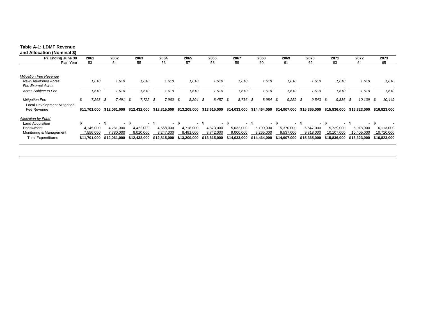| FY Ending June 30                                                        | 2061         |           | 2062          | 2063          |        | 2064         |      | 2065         | 2066          |        | 2067          | 2068         |        | 2069         |      | 2070         |      | 2071         | 2072         |      | 2073         |
|--------------------------------------------------------------------------|--------------|-----------|---------------|---------------|--------|--------------|------|--------------|---------------|--------|---------------|--------------|--------|--------------|------|--------------|------|--------------|--------------|------|--------------|
| Plan Year                                                                | 53           |           | 54            | 55            |        | 56           |      | 57           | 58            |        | 59            | 60           |        | 61           |      | 62           |      | 63           | 64           |      | 65           |
| Mitigation Fee Revenue<br><b>New Developed Acres</b><br>Fee Exempt Acres |              | 1,610     | 1,610         | 1,610         |        | 1,610        |      | 1,610        | 1,610         |        | 1,610         |              | 1,610  | 1,610        |      | 1,610        |      | 1,610        | 1,610        |      | 1,610        |
| Acres Subject to Fee                                                     |              | 1,610     | 1,610         | 1,610         |        | 1,610        |      | 1,610        | 1,610         |        | 1,610         |              | 1,610  | 1,610        |      | 1,610        |      | 1,610        | 1,610        |      | 1,610        |
| <b>Mitigation Fee</b>                                                    | \$           | 7,268     | 7,491<br>- \$ | 7,722<br>- \$ | - \$   | 7,960        | - \$ | 8,204        | 8,457<br>- \$ |        | 8,716<br>- \$ | - \$         | 8,984  | -\$<br>9,259 |      | 9,543        | - \$ | 9,836        | 10,139       | - \$ | 10,449       |
| <b>Local Development Mitigation</b><br>Fee Revenue                       | \$11.701.000 |           | \$12,061,000  | \$12,432,000  |        | \$12,815,000 |      | \$13,209,000 | \$13,615,000  |        | \$14,033,000  | \$14,464,000 |        | \$14,907,000 |      | \$15,365,000 |      | \$15,836,000 | \$16,323,000 |      | \$16,823,000 |
| <b>Allocation by Fund</b><br>Land Acquisition                            |              |           | - \$          | -S            | $-$ \$ |              | - \$ | $\sim$       | -\$           | $\sim$ | -S            | - \$         | $\sim$ |              | - \$ |              | - \$ | $\sim$       | $\sim$       | - \$ |              |
| Endowment                                                                | 4,145,000    |           | 4,281,000     | 4,422,000     |        | 4,568,000    |      | 4,718,000    | 4,873,000     |        | 5,033,000     | 5,199,000    |        | 5,370,000    |      | 5,547,000    |      | 5,729,000    | 5,918,000    |      | 6,113,000    |
| Monitoring & Management                                                  |              | 7,556,000 | 7,780,000     | 8,010,000     |        | 8,247,000    |      | 8,491,000    | 8,742,000     |        | 9,000,000     | 9,265,000    |        | 9,537,000    |      | 9,818,000    |      | 10,107,000   | 10,405,000   |      | 10,710,000   |
| <b>Total Expenditures</b>                                                | \$11.701.000 |           | \$12,061,000  | \$12.432.000  |        | \$12,815,000 |      | \$13,209,000 | \$13,615,000  |        | \$14.033.000  | \$14,464,000 |        | \$14.907.000 |      | \$15,365,000 |      | \$15,836,000 | \$16,323,000 |      | \$16,823,000 |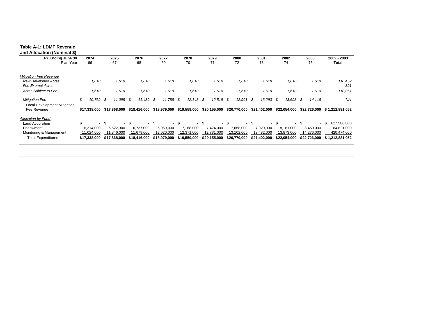#### **Table A-1: LDMF Revenue**

| FY Ending June 30                                  | 2074         | 2075           | 2076                 | 2077         | 2078           | 2079                  | 2080          | 2081           | 2082         | 2083          | 2009 - 2083                    |
|----------------------------------------------------|--------------|----------------|----------------------|--------------|----------------|-----------------------|---------------|----------------|--------------|---------------|--------------------------------|
| Plan Year                                          | 66           | 67             | 68                   | 69           | 70             | 71                    | 72            | 73             | 74           | 75            | Total                          |
| <b>Mitigation Fee Revenue</b>                      |              |                |                      |              |                |                       |               |                |              |               |                                |
| New Developed Acres<br><b>Fee Exempt Acres</b>     | 1,610        | 1,610          | 1,610                | 1,610        | 1,610          | 1,610                 | 1,610         | 1,610          | 1,610        | 1,610         | 110,452<br>391                 |
| <b>Acres Subject to Fee</b>                        | 1,610        | 1,610          | 1,610                | 1,610        | 1,610          | 1,610                 | 1,610         | 1,610          | 1,610        | 1,610         | 110,061                        |
| <b>Mitigation Fee</b>                              | 10,769       | 11,098<br>- \$ | 11,439<br>- \$       | 11,788<br>S  | - \$<br>12,148 | 12,519<br>- \$        | 12,901<br>- S | - \$<br>13,293 | 13,698<br>\$ | 14,116<br>- S | ΝA                             |
| <b>Local Development Mitigation</b><br>Fee Revenue | \$17,338,000 | \$17,868,000   | \$18,416,000         | \$18,979,000 | \$19,559,000   | \$20,155,000          | \$20,770,000  | \$21,402,000   | \$22,054,000 |               | \$22,726,000   \$1,212,881,052 |
| <b>Allocation by Fund</b>                          |              |                |                      |              |                |                       |               |                |              |               |                                |
| <b>Land Acquisition</b>                            |              | -\$            | \$<br>$\blacksquare$ |              | \$.            | \$.<br>$\blacksquare$ | £.            | - \$           | \$           | \$.<br>$\sim$ | \$<br>627,586,000              |
| Endowment                                          | 6.314.000    | 6,522,000      | 6,737,000            | 6,959,000    | 7,188,000      | 7,424,000             | 7,668,000     | 7,920,000      | 8,181,000    | 8,450,000     | 164,821,000                    |
| Monitoring & Management                            | 11,024,000   | 11,346,000     | 11,679,000           | 12,020,000   | 12,371,000     | 12,731,000            | 13,102,000    | 13,482,000     | 13,873,000   | 14,276,000    | 420,474,000                    |
| <b>Total Expenditures</b>                          | \$17,338,000 | \$17.868.000   | \$18,416,000         | \$18,979,000 | \$19,559,000   | \$20,155,000          | \$20,770,000  | \$21,402,000   | \$22,054,000 | \$22.726.000  | \$1,212,881,052                |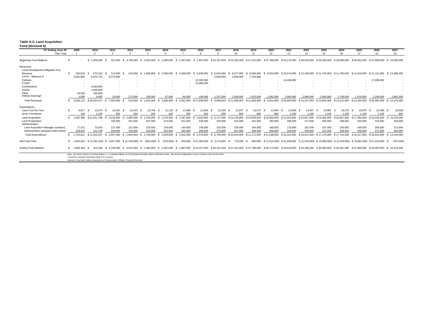#### **Table A-2: Land Acquisition Fund (Nominal \$)**

| FY Ending June 30                       | 2009                                                         | 2010         |        | 2011                        | 2012                                                                              | 2013                                                                                                                                                                              | 2014              | 2015            | 2016              | 2017         | 2018            | 2019          | 2020         | 2021                         | 2022         | 2023                                      | 2024         | 2025                         | 2026         | 2027               |
|-----------------------------------------|--------------------------------------------------------------|--------------|--------|-----------------------------|-----------------------------------------------------------------------------------|-----------------------------------------------------------------------------------------------------------------------------------------------------------------------------------|-------------------|-----------------|-------------------|--------------|-----------------|---------------|--------------|------------------------------|--------------|-------------------------------------------|--------------|------------------------------|--------------|--------------------|
| Plan Year                               |                                                              | ຳ            |        | $\mathbf{3}$                |                                                                                   |                                                                                                                                                                                   | $\epsilon$        |                 |                   |              | 10              | 11            | 12           | 13                           | 14           | 15                                        | 16           | 17                           | 18           | 19                 |
| <b>Beginning Fund Balance</b>           |                                                              | 1.604.304    | - \$   | 312,000                     | \$4,749,000                                                                       | \$2.610.000                                                                                                                                                                       | 1,690,000         | \$1,467,000     | 1,897,000<br>-S   | \$23,157,000 | \$26.331.000    | \$27,101,000  | \$27,786,000 | \$26,172,000                 | \$36,610,000 | \$34,186,000                              | \$30,690,000 | \$26,461,000                 | \$21,569,000 | 33,003,000<br>S.   |
| Revenues                                |                                                              |              |        |                             |                                                                                   |                                                                                                                                                                                   |                   |                 |                   |              |                 |               |              |                              |              |                                           |              |                              |              |                    |
| <b>Local Development Mitigation Fee</b> |                                                              |              |        |                             |                                                                                   |                                                                                                                                                                                   |                   |                 |                   |              |                 |               |              |                              |              |                                           |              |                              |              |                    |
| Revenue                                 | 230,810                                                      | 673.242      |        | 714.000                     | 242,000                                                                           | \$1.669.000                                                                                                                                                                       | 2,509,000         | \$3.268,000     | 4.938.000<br>- \$ | 6.642.000    | 8.077.000       | 8.509.000     | \$ 8.332,000 | \$10,574,000                 | \$12,109,000 | \$11,724,000                              | \$11,756,000 | \$11,919,000                 | \$12,121,000 | \$13,488,000       |
| CVAG - Measure A                        | 3.081.805                                                    | 6.670.775    |        | 6.272.000                   |                                                                                   |                                                                                                                                                                                   |                   |                 |                   | 2,000,000    | 2.000.000       | 1.794.000     |              |                              |              |                                           |              |                              |              |                    |
| Caltrans                                |                                                              |              |        |                             |                                                                                   |                                                                                                                                                                                   |                   |                 | 12.305.000        |              |                 |               |              | 14.466.000                   |              |                                           |              |                              | 17,008,000   |                    |
| <b>CVWD</b>                             |                                                              |              |        |                             |                                                                                   |                                                                                                                                                                                   |                   |                 | 10.486.000        |              |                 |               |              |                              |              |                                           |              |                              |              |                    |
| Contributions                           |                                                              | 1.540.000    |        |                             |                                                                                   |                                                                                                                                                                                   |                   |                 |                   |              |                 |               |              |                              |              |                                           |              |                              |              |                    |
| Grants                                  |                                                              | 1.645.600    |        |                             |                                                                                   |                                                                                                                                                                                   |                   |                 |                   |              |                 |               |              |                              |              |                                           |              |                              |              |                    |
| Other<br>Interest Earnings'             | 43.500                                                       | 100,800      |        |                             |                                                                                   |                                                                                                                                                                                   |                   |                 |                   |              |                 |               |              |                              |              |                                           |              |                              |              |                    |
|                                         | 2,000                                                        | 4,000        |        | 18,000                      | 272,000                                                                           | 150,000                                                                                                                                                                           | 97,000            | 84,000          | 109,000           | 1,327,000    | 1,509,000       | 1,553,000     | 1,592,000    | 1,500,000                    | 2,098,000    | 1,959,000                                 | 1,759,000    | 1,516,000                    | 1,236,000    | 1,891,000          |
| <b>Total Revenues</b>                   | 3.358.115                                                    | \$10,634,417 |        | \$7.004.000                 | 514.000                                                                           | 1.819.000<br>-S                                                                                                                                                                   | 2,606,000         | 3.352.000       | \$27,838,000      | 9.969.000    | \$11,586,000    | \$11,856,000  | \$9.924,000  | \$26,540,000                 | \$14,207,000 | \$13,683,000                              | \$13,515,000 | \$13,435,000                 | \$30,365,000 | 15,379,000<br>- \$ |
| Expenditures                            |                                                              |              |        |                             |                                                                                   |                                                                                                                                                                                   |                   |                 |                   |              |                 |               |              |                              |              |                                           |              |                              |              |                    |
| Land Cost Per Acre                      | 9.617                                                        |              | 10.574 |                             | 10.423                                                                            | 10.766                                                                                                                                                                            | 11.120            | 11.486          | 11.864            |              | 12.657          |               | 13.504       | 13.948                       | 14.407       | 14.88                                     | 15,370       | 15,876                       | 16,398       | 16,938             |
| Acres Purchased                         | 150                                                          |              | 1.100  | 200                         | 200                                                                               | 200                                                                                                                                                                               | 200               | 200             | 500               | 500          | 800             | 800           | 800          | .100                         | 1.100        | 1.100                                     | .100         | 1.100                        | 1.100        | 900                |
| <b>Land Acquisition</b>                 | 1.442.498                                                    | \$11,631,796 |        | 2.018.000                   | 2.085.000                                                                         | 2.153.000                                                                                                                                                                         | 2.224.000         | 2,297,000       | 5.932.000         | .127.000     | 10.126.000      | \$10,459,000  | \$10,803,000 | \$15,343,000                 | 15,847,000   | 16.369.000                                | 16.907.000   | \$17,464,000                 | \$18,038,000 | 15,244,000         |
| <b>Land Preparation</b>                 |                                                              |              |        | 194,000                     | 201,000                                                                           | 207.000                                                                                                                                                                           | 214,000           | 221,000         | 228,000           | 236,000      | 244,000         | 252,000       | 260,000      | 268,000                      | 277,000      | 286,000                                   | 296,000      | 305,000                      | 316,000      | 326,000            |
| Administration                          |                                                              |              |        |                             |                                                                                   |                                                                                                                                                                                   |                   |                 |                   |              |                 |               |              |                              |              |                                           |              |                              |              |                    |
| Land Acquisition Manager (contract)     | 71.412                                                       | 73.543       |        | 127,000                     | 131,000                                                                           | 135,000                                                                                                                                                                           | 139,000           | 144,000         | 149,000           | 154.000      | 159,000         | 164,000       | 169,000      | 175,000                      | 181,000      | 187.000                                   | 193,000      | 199,000                      | 206,000      | 213,000            |
| Administration (program-wide share)     | 239.901                                                      | 221.199      |        | 228,000                     | 236,000                                                                           | 244.000                                                                                                                                                                           | 252.000           | 260,000         | 269,000           | 278,000      | 287,000         | 296,000       | 306,000      | 316,000                      | 326,000      | 337.000                                   | 348,000      | 359,000                      | 371.000      | 383,000            |
| <b>Total Expenditures</b>               | 1,753,811                                                    | \$11,926,537 |        | 2,567,000                   | 2,653,000                                                                         | 2.739.000                                                                                                                                                                         | 2,829,000         | 2,922,000       | 6,578,000         | 6,795,000    | \$10,816,000    | \$11,171,000  | \$11,538,000 | \$16,102,000                 | \$16,631,000 | \$17,179,000                              | \$17,744,000 | \$18,327,000                 | \$18,931,000 | 16,166,000         |
| Net Cash Flow                           | \$ 1.604,304                                                 |              |        | \$ (1.292.120) \$ 4.437.000 | \$ (2.139.000) \$                                                                 | (920,000)                                                                                                                                                                         | (223,000)<br>- \$ | 430,000<br>- \$ | \$21,260,000      | \$ 3.174,000 | 770,000<br>- \$ | 685,000<br>-S |              | \$ (1,614,000) \$ 10,438,000 |              | $(2,424,000)$ $(3,496,000)$ $(4,229,000)$ |              | \$ (4.892,000) \$ 11,434,000 |              | (787,000)<br>- 35  |
| <b>Ending Fund Balance</b>              | 1.604.304 \$                                                 |              |        | 312.184 \$ 4.749.000        | \$2.610,000                                                                       | 1,690,000<br>- \$                                                                                                                                                                 | 1,467,000<br>-S   | 1,897,000<br>-S | \$23,157,000      | \$26,331,000 | \$27,101,000    | \$27,786,000  | \$26,172,000 | \$36,610,000                 | \$34,186,000 | \$30,690,000                              | \$26,461,000 | \$21,569,000                 | \$33,003,000 | 32.216.000<br>- \$ |
|                                         | <sup>1</sup> Assumes nominal investment vield of 5.73 percer |              |        |                             | Sources: Coachella Valley Association of Governments: Willdan Financial Services. | Note: All values shown in nominal dollars, i.e. including inflation at 3.29 percent annually unless otherwise noted. See text for explanation of each revenue and cost line item. |                   |                 |                   |              |                 |               |              |                              |              |                                           |              |                              |              |                    |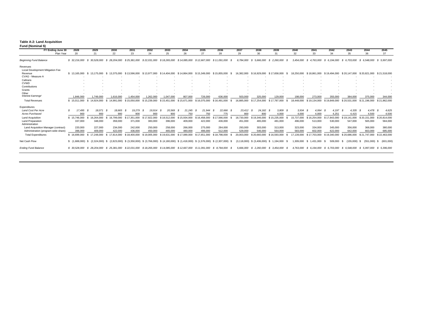#### **Table A-2: Land Acquisition Fund (Nominal \$)**

| FY Ending June 30                            | 2028                      | 2029               | 2030             | 2031         | 2032         | 2033         | 2034         | 2035             | 2036                                                                                                                                                | 2037 |            | 2038                                        | 2039         | 2040            | 2041                   | 2042          | 2043                 | 2044              | 2045                     |
|----------------------------------------------|---------------------------|--------------------|------------------|--------------|--------------|--------------|--------------|------------------|-----------------------------------------------------------------------------------------------------------------------------------------------------|------|------------|---------------------------------------------|--------------|-----------------|------------------------|---------------|----------------------|-------------------|--------------------------|
| Plan Year                                    | 20                        | 21                 | 22               | 23           | 24           | 25           | 26           | 27               | 28                                                                                                                                                  | 29   |            | 30                                          | 31           | 32              | 33                     | 34            | 35                   | 36                | 37                       |
| <b>Beginning Fund Balance</b>                | \$ 32,216,000             | 30.528.000         | \$28,204,000     | \$25,381,000 | \$22,031,000 | \$18,265,000 | \$14,085,000 | \$12,667.        | \$11.091.000                                                                                                                                        |      | 8.784.000  | 5.666.000                                   | 2,260,000    | 3.454.000       | 4,763,000              | 6.194.000     | 6.703.000            | 6,548,000         | 5,997,000<br>- \$        |
| Revenues<br>Local Development Mitigation Fee |                           |                    |                  |              |              |              |              |                  |                                                                                                                                                     |      |            |                                             |              |                 |                        |               |                      |                   |                          |
| Revenue                                      | \$13.165.000 \$13.175.000 |                    | 13.375.000<br>S. | \$13,596,000 | \$13,977,000 | \$14,404,000 | \$14,864,000 | \$15.349.000     | \$15,855,000                                                                                                                                        |      | 16.382.000 | \$16,929,000                                | \$17,658,000 | 18,250,000      | \$18,861,000           | \$19.494.000  | \$20,147,000         | \$20,821,000      | \$21,518,000             |
| CVAG - Measure A                             |                           |                    |                  |              |              |              |              |                  |                                                                                                                                                     |      |            |                                             |              |                 |                        |               |                      |                   | $\overline{\phantom{a}}$ |
| Caltrans                                     |                           |                    |                  |              |              |              |              |                  |                                                                                                                                                     |      |            |                                             |              |                 |                        |               |                      |                   |                          |
| CVWD                                         |                           |                    |                  |              |              |              |              |                  |                                                                                                                                                     |      |            |                                             |              |                 |                        |               |                      |                   |                          |
| Contributions                                |                           |                    |                  |              |              |              |              |                  |                                                                                                                                                     |      |            |                                             |              |                 |                        |               |                      |                   |                          |
| Grants                                       |                           |                    |                  |              |              |              |              |                  |                                                                                                                                                     |      |            |                                             |              |                 |                        |               |                      |                   |                          |
| Other                                        |                           |                    |                  |              |              |              |              |                  |                                                                                                                                                     |      |            |                                             |              |                 |                        |               |                      |                   |                          |
| Interest Earnings'                           | 1,846,000                 | 1,749,000          | 1,616,000        | 1,454,000    | 1,262,000    | 1,047,000    | 807,000      | 726,000          | 636,000                                                                                                                                             |      | 503,000    | 325,000                                     | 129,000      | 198,000         | 273,000                | 355,000       | 384,000              | 375,000           | 344,000                  |
| <b>Total Revenues</b>                        | \$15,011,000              | 14,924,000<br>- \$ | 14.991.000<br>£. | \$15,050,000 | \$15,239,000 | \$15,451,000 | \$15,671,000 | \$16,075,000     | \$16,491,000                                                                                                                                        |      | 16,885,000 | \$17,254,000                                | \$17,787,000 | 18,448,000      | \$19,134,000           | \$19,849,000  | \$20,531,000         | \$21,196,000      | \$21,862,000             |
| Expenditures                                 |                           |                    |                  |              |              |              |              |                  |                                                                                                                                                     |      |            |                                             |              |                 |                        |               |                      |                   |                          |
| Land Cost Per Acre                           | 17.495                    | 18.071             | 18.665           | 19.279       | 19.914       | 20.569       | 21.245       | 21.944           | 22.666                                                                                                                                              |      | 23.412     | 24.182                                      | 3.809        | 3.934<br>- \$   | 4.064                  | 4.197         | 4.335                | 4.478             | 4,625                    |
| Acres Purchased                              | 900                       | 900                | 900              | 900          | 900          | 900          | 750          | 750              | 775                                                                                                                                                 |      | 800        | 800                                         | 4.000        | 4.000           | 4.000                  | 4.251         | 4.415                | 4.500             | 4,500                    |
| <b>Land Acquisition</b>                      | \$15,746,000              | 16.264.000         | 16,799,000       | .351.000     | 17.922.000   | 18.512.000   | \$15,934,000 | \$16,458,000     | \$17,566,000                                                                                                                                        |      | 18.730.000 | 19,346,000                                  | 5.235.000    | 5.737.000       | 6.254.000              | 17.843.000    | 141.000              | 151.000<br>\$20.  | \$20,814,000             |
| <b>Land Preparation</b>                      | 337,000                   | 348,000            | 359,000          | 371.000      | 383,000      | 396,000      | 409,000      | 422.000          | 436,000                                                                                                                                             |      | 451.000    | 465,000                                     | 481,000      | 496,000         | 513,000                | 530,000       | 547,000              | 565,000           | 584,000                  |
| Administration                               |                           |                    |                  |              |              |              |              |                  |                                                                                                                                                     |      |            |                                             |              |                 |                        |               |                      |                   |                          |
| Land Acquisition Manager (contract)          | 220,000                   | 227,000            | 234,000          | 242,000      | 250,000      | 258,000      | 266,000      | 275,000          | 284.000                                                                                                                                             |      | 293,000    | 303,000                                     | 313,000      | 323,000         | 334.000                | 345,000       | 356,000              | 368,000           | 380,000                  |
| Administration (program-wide share)          | 396,000                   | 409.000            | 422.000          | 436,000      | 450,000      | 465,000      | 480,000      | 496,000          | 512,000                                                                                                                                             |      | 529,000    | 546,000                                     | 564,000      | 583.000         | 602,000                | 622.000       | 642.000              | 663,000           | 685,000                  |
| <b>Total Expenditures</b>                    | \$16,699,000              | 17,248,000         | 17.814.000       | \$18,400,000 | \$19,005,000 | \$19,631,000 | \$17,089,000 | \$17,651,000     | \$18,798,000                                                                                                                                        |      | 20.003.000 | \$20,660,000                                | 16.593.000   | 17.139.000      | 17.703.000             | \$19,340,000  | \$20,686,000         | \$21,747,000      | \$22,463,000             |
| Net Cash Flow                                |                           |                    |                  |              |              |              |              |                  | $$$ (1,688,000) $$$ (2,324,000) $$$ (2,823,000) $$$ (3,350,000) $$$ (3,766,000) $$$ (4,180,000) $$$ (1,418,000) $$$ (1,576,000) $$$ (2,307,000) $$$ |      |            | $(3,118,000)$ \$ $(3,406,000)$ \$ 1,194,000 |              | S               | 1,309,000 \$ 1,431,000 | 509,000<br>-S | $(155,000)$ \$<br>s. | $(551,000)$ \$    | (601,000)                |
| <b>Ending Fund Balance</b>                   | \$ 30,528,000             | \$28,204,000       | \$25,381,000     | \$22,031,000 | \$18,265,000 | \$14,085,000 | \$12,667,000 | \$11.091<br>.000 | \$8.784,000                                                                                                                                         | -8   | 5.666.000  | \$2,260,000                                 | \$ 3,454,000 | 4.763.000<br>-8 | \$6.194.000            | \$ 6,703,000  | \$ 6,548,000         | 5,997,000<br>- \$ | 5,396,000<br>- \$        |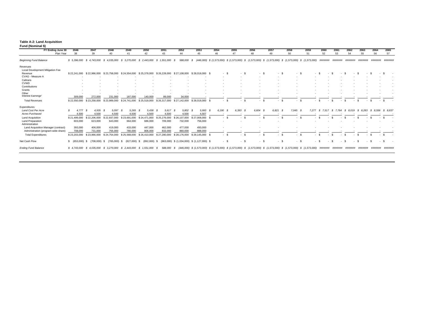#### **Table A-2: Land Acquisition Fund (Nominal \$)**

|                                     | FY Ending June 30<br>Plan Year | 2046<br>38      | 2047<br>39                | 2048<br>40             | 2049<br>41     | 2050<br>42      | 2051<br>43     | 2052<br>44     | 2053<br>45                                       | 2054<br>46    | 2055<br>47       | 2056<br>48                                                      | 2057<br>49                                   | 2058<br>50    |                          | 2059<br>51    | 2060<br>52     | 2061<br>53                      | 2062<br>54         | 2063<br>55 | 2064<br>56               | 2065<br>57     |
|-------------------------------------|--------------------------------|-----------------|---------------------------|------------------------|----------------|-----------------|----------------|----------------|--------------------------------------------------|---------------|------------------|-----------------------------------------------------------------|----------------------------------------------|---------------|--------------------------|---------------|----------------|---------------------------------|--------------------|------------|--------------------------|----------------|
| <b>Beginning Fund Balance</b>       |                                | \$5,396,000     | \$4,743,000               | \$4.035.000            | \$ 3,270,000   | \$2,443,000     | 1,551,000<br>s | 588,000        | (446,000)                                        | \$(1,573,000) | \$(1, 573, 000)  | (1,573,000)<br>-S                                               | \$(1,573,000)                                | \$(1,573,000) |                          | \$(1,573,000) |                |                                 |                    |            |                          |                |
| Revenues                            |                                |                 |                           |                        |                |                 |                |                |                                                  |               |                  |                                                                 |                                              |               |                          |               |                |                                 |                    |            |                          |                |
| Local Development Mitigation Fee    |                                |                 |                           |                        |                |                 |                |                |                                                  |               |                  |                                                                 |                                              |               |                          |               |                |                                 |                    |            |                          |                |
| Revenue                             |                                | \$22,241,000    | \$22,986,000              | \$23,758,000           | \$24,554,000   | \$25,378,000    | \$26,228,000   | \$27,108,000   | \$28,018,000 \$                                  | - \$          | $-S$             | - \$                                                            |                                              |               | $-$ \$                   |               |                |                                 |                    |            |                          |                |
| CVAG - Measure A                    |                                |                 |                           |                        |                |                 |                |                |                                                  |               |                  |                                                                 |                                              |               |                          |               |                |                                 |                    |            |                          |                |
| Caltrans                            |                                |                 |                           |                        |                |                 |                |                |                                                  |               |                  |                                                                 |                                              |               |                          |               |                |                                 |                    |            |                          |                |
| <b>CVWD</b>                         |                                |                 |                           |                        |                |                 |                |                |                                                  |               |                  |                                                                 |                                              |               |                          |               |                |                                 |                    |            |                          |                |
| Contributions                       |                                |                 |                           |                        |                |                 |                |                |                                                  |               |                  |                                                                 |                                              |               |                          |               |                |                                 |                    |            |                          |                |
| Grants                              |                                |                 |                           |                        |                |                 |                |                |                                                  |               |                  |                                                                 |                                              |               |                          |               |                |                                 |                    |            |                          |                |
| Other<br>Interest Earnings'         |                                |                 |                           |                        |                |                 |                |                |                                                  |               |                  |                                                                 |                                              |               |                          |               |                |                                 |                    |            |                          |                |
|                                     |                                | 309,000         | 272,000                   | 231,000                | 187,000        | 140,000         | 89,000         | 34,000         |                                                  | $\sim$        | $\sim$           | $\sim$                                                          | $\overline{\phantom{a}}$                     |               |                          |               |                |                                 |                    |            |                          |                |
| <b>Total Revenues</b>               |                                | \$22,550,000    | \$23,258,000              | \$23,989,000           | \$24,741,000   | \$25,518,000    | \$26,317,000   | \$27.142.000   | \$28,018,000                                     |               | $-$ \$<br>$-$ \$ | $-$ \$                                                          |                                              | $-5$          | $-$ \$                   | $\sim$        | -S<br>$\sim$   | $\overline{\phantom{a}}$        | <b>S</b><br>$\sim$ |            | $\sim$                   | - S            |
| Expenditures                        |                                |                 |                           |                        |                |                 |                |                |                                                  |               |                  |                                                                 |                                              |               |                          |               |                |                                 |                    |            |                          |                |
| Land Cost Per Acre                  |                                | 4.777           | 4.935                     | 5.097                  | 5.265          | 5.438           | 5.617          | 5.802          | 5.993                                            | 6.190         | 6,393            | 6.604                                                           | 6.821                                        |               | $7.045$ \$               | 7.277         |                | \$7.517 \$7.764 \$8.019 \$8.283 |                    |            | -S                       | 8,556 \$ 8,837 |
| <b>Acres Purchased</b>              |                                | 4,500           | 4.500                     | 4,500                  | 4,500          | 4,500           | 4.500          | 4,500          | 4,507                                            |               |                  |                                                                 |                                              |               |                          |               |                |                                 |                    |            |                          |                |
| <b>Land Acquisition</b>             |                                | \$21,499,000    | \$22,206,000              | \$22,937,000           | 23.691.000     | \$24,471,000    | \$25,276,000   | \$26,107,000   | \$27,008,000                                     |               | $\sim$           | $\sim$                                                          |                                              |               | $\overline{\phantom{a}}$ |               |                |                                 |                    |            |                          |                |
| Land Preparation                    |                                | 603,000         | 623,000                   | 643,000                | 664,000        | 686,000         | 709,000        | 732,000        | 756,000                                          |               |                  |                                                                 |                                              |               |                          |               |                |                                 |                    |            |                          |                |
| Administration                      |                                |                 |                           |                        |                |                 |                |                |                                                  |               |                  |                                                                 |                                              |               |                          |               |                |                                 |                    |            |                          |                |
| Land Acquisition Manager (contract) |                                | 393,000         | 406.000                   | 419,000                | 433,000        | 447.000         | 462.000        | 477.000        | 493,000                                          |               |                  |                                                                 |                                              |               |                          |               |                |                                 |                    |            |                          |                |
| Administration (program-wide share) |                                | 708,000         | 731,000                   | 755,000                | 780,000        | 806,000         | 833,000        | 860,000        | 888,000                                          |               |                  |                                                                 |                                              |               |                          |               |                |                                 |                    |            |                          |                |
| <b>Total Expenditures</b>           |                                | \$23,203,000    | \$23,966,000              | \$24,754,000           | \$25,568,000   | \$26,410,000    | \$27,280,000   | \$28,176,000   | \$29,145,000                                     | $-$ \$        | $-S$             | - \$                                                            | $\overline{\phantom{a}}$                     | - \$          | $-$ \$                   | $\sim$        | - \$<br>$\sim$ | $-$ \$<br>- \$                  | - \$               | $-$ \$     | $\sim$                   | - S            |
| Net Cash Flow                       |                                | \$ (653,000) \$ | (708,000)                 | $(765,000)$ \$<br>- \$ | $(827,000)$ \$ | $(892,000)$ \$  |                |                | $(963,000)$ \$ $(1,034,000)$ \$ $(1,127,000)$ \$ |               | $-$ \$<br>$-$ \$ | $\sim$                                                          | $\overline{\phantom{a}}$                     | - \$          | $-$ \$                   |               |                |                                 |                    |            | $\overline{\phantom{a}}$ |                |
| <b>Ending Fund Balance</b>          |                                |                 | $$4,743,000$ $$4,035,000$ | \$ 3,270,000           | \$2,443,000    | 1.551.000<br>-S | 588,000        | (446,000)<br>s |                                                  |               |                  | $$$ (1,573,000) $$$ (1,573,000) $$$ (1,573,000) $$$ (1,573,000) | $$(1,573,000)$ $$(1,573,000)$ $$(1,573,000)$ |               |                          |               |                |                                 |                    |            |                          |                |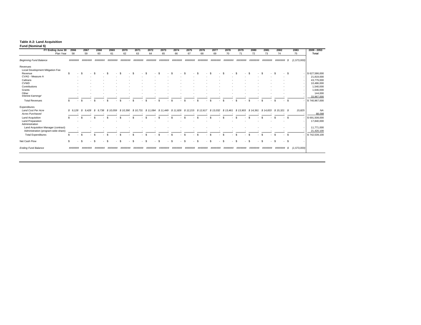#### **Table A-2: Land Acquisition**

**Fund (Nominal \$)**

| FY Ending June 30                                                                               | 2066                          | 2067                   | 2068         | 2069            | 2070                   | 2071              | 2072           | 2073                     | 2074            | 2075                                     | 2076                   | 2077              | 2078                                    | 2079                    | 2080                     | 2081                      | 2082               | 2083                                                 | $2009 - 2053$                                               |
|-------------------------------------------------------------------------------------------------|-------------------------------|------------------------|--------------|-----------------|------------------------|-------------------|----------------|--------------------------|-----------------|------------------------------------------|------------------------|-------------------|-----------------------------------------|-------------------------|--------------------------|---------------------------|--------------------|------------------------------------------------------|-------------------------------------------------------------|
| Plan Year                                                                                       | 58                            | 59                     | 60           | 61              | 62                     | 63                | 64             | 65                       | 66              | 67                                       | 68                     | 69                | 70                                      | 71                      | 72                       | 73                        | 74                 | 75                                                   | Total                                                       |
| <b>Beginning Fund Balance</b>                                                                   |                               | <del>,,,,,,,,,,,</del> | <del></del>  |                 | <del>,,,,,,,,,,,</del> |                   | <del></del>    |                          | <del>####</del> | <del></del>                              | <del></del>            | <del>ининин</del> | <del></del>                             | <del>ишинни</del>       | <del>,,,,,,,,,,,,,</del> | <i><b>**********</b></i>  | <i>********</i> ** | (1,573,000)                                          |                                                             |
| Revenues<br>Local Development Mitigation Fee<br>Revenue<br>CVAG - Measure A<br>Caltrans<br>CVWD | \$.                           |                        |              |                 |                        |                   |                |                          |                 |                                          |                        |                   |                                         |                         |                          |                           |                    | $\overline{\phantom{a}}$                             | $-$ \$627,586,000<br>21,819,000<br>43,779,000<br>10,486,000 |
| Contributions<br>Grants<br>Other<br>Interest Earnings'                                          |                               |                        |              |                 |                        |                   |                |                          |                 |                                          |                        |                   |                                         |                         |                          |                           |                    | $\overline{\phantom{a}}$<br>$\overline{\phantom{a}}$ | 1,540,000<br>1,646,000<br>144,000<br>33,967,000             |
| <b>Total Revenues</b>                                                                           | s.                            | $\mathbf{\hat{s}}$     | $\mathbf{s}$ |                 |                        | \$.               |                |                          |                 | £.                                       |                        |                   |                                         |                         |                          |                           |                    |                                                      | $-$ \$740,967,000                                           |
| Expenditures<br>Land Cost Per Acre<br>Acres Purchased                                           | \$9.128                       | S.<br>9,428            |              | \$9,738\$10,059 |                        | \$10,390 \$10,731 | \$11.084       | \$11,449                 | \$11,826        |                                          |                        |                   | $$12,215$ $$12,617$ $$13,032$ $$13,461$ | \$13,903 \$14,361       |                          | \$14.833                  | $$15,321$ \$       | 15,825                                               | NA<br>88,098                                                |
| Land Acquisition<br><b>Land Preparation</b><br>Administration                                   |                               |                        |              |                 |                        |                   |                |                          |                 |                                          |                        |                   |                                         |                         |                          |                           |                    |                                                      | $-$ \$691,508,000<br>17,840,000                             |
| Land Acquisition Manager (contract)<br>Administration (program-wide share)                      |                               |                        |              |                 |                        |                   |                |                          |                 |                                          |                        |                   |                                         |                         |                          |                           |                    |                                                      | 11,771,000<br>21,420,100                                    |
| <b>Total Expenditures</b>                                                                       | S<br>$\overline{\phantom{a}}$ | £.<br>$\sim$           | - \$         | - \$<br>$\sim$  | $\mathbf{s}$<br>$\sim$ | -S<br>$\sim$      | - \$<br>$\sim$ | $\mathbf{s}$<br>$\sim$   | \$.<br>$\sim$   | $\mathbf{s}$<br>$\overline{\phantom{a}}$ | $\mathbf{s}$<br>$\sim$ | S.<br>$\sim$      | £.<br>$\sim$                            | -S<br>$\sim$            | -S<br>$\sim$             | $\sim$                    | $-$ \$<br>-S       |                                                      | \$742,539,100                                               |
| Net Cash Flow                                                                                   | \$.                           |                        | -S           |                 |                        |                   |                | $\overline{\phantom{a}}$ |                 |                                          |                        |                   |                                         |                         |                          |                           | $-$ \$             | $\overline{\phantom{a}}$                             |                                                             |
| <b>Ending Fund Balance</b>                                                                      |                               |                        |              |                 |                        |                   |                |                          |                 |                                          |                        |                   |                                         | <del>"********</del> ** | <del>,,,,,,,,,,,,</del>  | <i><b>***********</b></i> | #######<br>s.      | (1,573,000)                                          |                                                             |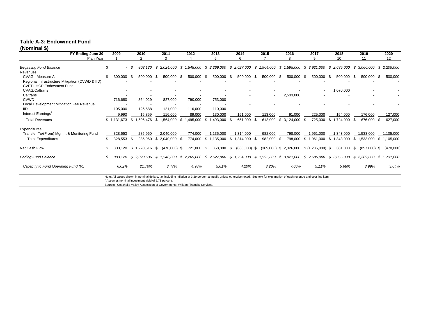#### **(Nominal \$)**

| FY Ending June 30                               |     | 2009        |      | 2010                                              | 2011                                                                                                                                                                                                                                                                  |      | 2012                    | 2013        |           |      | 2014           |   | 2015    |      | 2016                                         |      | 2017        |      | 2018                    |      | 2019                      |      | 2020        |
|-------------------------------------------------|-----|-------------|------|---------------------------------------------------|-----------------------------------------------------------------------------------------------------------------------------------------------------------------------------------------------------------------------------------------------------------------------|------|-------------------------|-------------|-----------|------|----------------|---|---------|------|----------------------------------------------|------|-------------|------|-------------------------|------|---------------------------|------|-------------|
| Plan Year                                       |     |             |      | 2                                                 | 3                                                                                                                                                                                                                                                                     |      |                         | 5           |           |      | 6              |   |         |      | 8                                            |      | 9           |      | 10                      |      | 11                        |      | 12          |
| <b>Beginning Fund Balance</b>                   | \$  |             |      |                                                   | 803,120 \$ 2,024,000                                                                                                                                                                                                                                                  |      | \$1,548,000 \$2,269,000 |             |           |      | \$2,627,000    |   |         |      | \$1,964,000 \$1,595,000                      |      |             |      | \$3,921,000 \$2,685,000 |      | \$3.066.000               |      | \$2,209,000 |
| Revenues                                        |     |             |      |                                                   |                                                                                                                                                                                                                                                                       |      |                         |             |           |      |                |   |         |      |                                              |      |             |      |                         |      |                           |      |             |
| CVAG - Measure A                                | \$  | 300.000     | - 96 | 500.000                                           | 500.000<br>- \$                                                                                                                                                                                                                                                       | - \$ | 500.000                 | - \$        | 500.000   | S.   | 500.000        | S | 500,000 | - \$ | 500,000 \$                                   |      | 500.000     | - \$ | 500.000                 | - \$ | 500.000                   | - \$ | 500,000     |
| Regional Infrastructure Mitigation (CVWD & IID) |     |             |      |                                                   |                                                                                                                                                                                                                                                                       |      |                         |             |           |      |                |   |         |      |                                              |      |             |      |                         |      |                           |      |             |
| <b>CVFTL HCP Endowment Fund</b>                 |     |             |      |                                                   |                                                                                                                                                                                                                                                                       |      |                         |             |           |      |                |   |         |      |                                              |      |             |      |                         |      |                           |      |             |
| <b>CVAG/Caltrans</b>                            |     |             |      |                                                   |                                                                                                                                                                                                                                                                       |      |                         |             |           |      |                |   |         |      |                                              |      |             |      | 1,070,000               |      |                           |      |             |
| Caltrans                                        |     |             |      |                                                   |                                                                                                                                                                                                                                                                       |      |                         |             |           |      |                |   |         |      | 2,533,000                                    |      |             |      |                         |      |                           |      |             |
| <b>CVWD</b>                                     |     | 716,680     |      | 864,029                                           | 827,000                                                                                                                                                                                                                                                               |      | 790,000                 |             | 753,000   |      |                |   |         |      |                                              |      |             |      |                         |      |                           |      |             |
| Local Development Mitigation Fee Revenue        |     |             |      |                                                   |                                                                                                                                                                                                                                                                       |      |                         |             |           |      |                |   |         |      |                                              |      |             |      |                         |      |                           |      |             |
| IID.                                            |     | 105,000     |      | 126,588                                           | 121,000                                                                                                                                                                                                                                                               |      | 116,000                 |             | 110,000   |      |                |   |         |      |                                              |      |             |      |                         |      |                           |      |             |
| Interest Earnings <sup>1</sup>                  |     | 9,993       |      | 15,859                                            | 116,000                                                                                                                                                                                                                                                               |      | 89,000                  |             | 130,000   |      | 151,000        |   | 113,000 |      | 91,000                                       |      | 225,000     |      | 154.000                 |      | 176,000                   |      | 127,000     |
| <b>Total Revenues</b>                           |     | \$1.131.673 | -S   | .506.476                                          | .564.000<br>S.                                                                                                                                                                                                                                                        | - \$ | .495.000                | £.          | .493.000  | -S   | 651.000        |   | 613.000 | S.   | 3,124,000                                    | - \$ | 725,000     |      | \$1.724.000             | - \$ | 676.000                   | - \$ | 627,000     |
| Expenditures                                    |     |             |      |                                                   |                                                                                                                                                                                                                                                                       |      |                         |             |           |      |                |   |         |      |                                              |      |             |      |                         |      |                           |      |             |
| Transfer To/(From) Mgmnt & Monitoring Fund      |     | 328,553     |      | 285,960                                           | 2,040,000                                                                                                                                                                                                                                                             |      | 774,000                 |             | 1,135,000 |      | 1,314,000      |   | 982,000 |      | 798,000                                      |      | 1,961,000   |      | 1,343,000               |      | 1,533,000                 |      | 1,105,000   |
| <b>Total Expenditures</b>                       | \$. | 328,553     |      | 285,960                                           | 2.040.000<br>S.                                                                                                                                                                                                                                                       |      | 774.000                 | \$1.135.000 |           | S.   | 1,314,000      |   | 982,000 | -S   | 798,000                                      | S.   | 1.961.000   |      | \$1.343.000             | \$1  | .533.000                  | S.   | 1,105,000   |
| Net Cash Flow                                   | \$  | 803.120     |      | \$1,220,516                                       | $(476,000)$ \$<br>- SS                                                                                                                                                                                                                                                |      | 721,000                 | - \$        | 358,000   | - \$ | $(663,000)$ \$ |   |         |      | $(369,000)$ \$ 2,326,000 \$ $(1,236,000)$ \$ |      |             |      | 381,000                 | - \$ | (857,000)                 | - \$ | (478,000)   |
| <b>Ending Fund Balance</b>                      | S   | 803.120     |      |                                                   | $$2.023.636 \quad $1.548.000$                                                                                                                                                                                                                                         |      | \$2,269,000             | \$2,627,000 |           | S.   | 1,964,000      |   |         |      | \$1,595,000 \$3,921,000                      |      | \$2,685,000 |      | \$ 3,066,000            |      | \$ 2,209,000 \$ 1,731,000 |      |             |
| Capacity to Fund Operating Fund (%)             |     | 6.02%       |      | 21.70%                                            | 3.47%                                                                                                                                                                                                                                                                 |      | 4.98%                   |             | 5.61%     |      | 4.20%          |   | 3.20%   |      | 7.66%                                        |      | 5.11%       |      | 5.68%                   |      | 3.99%                     |      | 3.04%       |
|                                                 |     |             |      | Assumes nominal investment yield of 5.73 percent. | Note: All values shown in nominal dollars, i.e. including inflation at 3.29 percent annually unless otherwise noted. See text for explanation of each revenue and cost line item<br>Sources: Coachella Valley Association of Governments; Willdan Financial Services. |      |                         |             |           |      |                |   |         |      |                                              |      |             |      |                         |      |                           |      |             |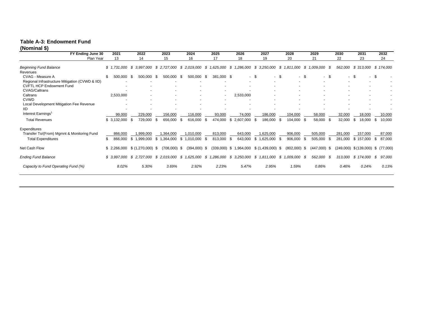#### **(Nominal \$)**

| FY Ending June 30                                                                  | 2021                  | 2022                       | 2023                       | 2024                       | 2025                    | 2026                      | 2027                                         | 2028                       | 2029                        | 2030             | 2031                                     | 2032                   |
|------------------------------------------------------------------------------------|-----------------------|----------------------------|----------------------------|----------------------------|-------------------------|---------------------------|----------------------------------------------|----------------------------|-----------------------------|------------------|------------------------------------------|------------------------|
| Plan Year                                                                          | 13                    | 14                         | 15                         | 16                         | 17                      | 18                        | 19                                           | 20                         | 21                          | 22               | 23                                       | 24                     |
| <b>Beginning Fund Balance</b>                                                      | \$1.731.000           | \$3,997,000                | \$2,727,000                | \$2,019,000                | 1,625,000<br>\$         | \$1,286,000               | \$3,250,000                                  | \$1,811,000                | $$1,009,000$ \$             | 562,000          | \$313,000                                | \$174,000              |
| Revenues<br>CVAG - Measure A                                                       | \$<br>500,000         | 500,000<br>- \$            | 500,000<br>- \$            | 500,000<br>- \$            | 381,000 \$<br>- \$      |                           | $-$ \$<br>- \$                               | - \$                       | $-$ \$                      |                  | - \$<br>$\sim$                           | - \$                   |
| Regional Infrastructure Mitigation (CVWD & IID)<br><b>CVFTL HCP Endowment Fund</b> |                       | $\overline{\phantom{a}}$   |                            |                            |                         | $\overline{\phantom{a}}$  | $\overline{\phantom{a}}$                     |                            |                             |                  |                                          |                        |
| <b>CVAG/Caltrans</b><br>Caltrans                                                   | 2,533,000             |                            |                            |                            | $\blacksquare$          | 2,533,000                 |                                              |                            |                             |                  |                                          |                        |
| <b>CVWD</b><br>Local Development Mitigation Fee Revenue                            |                       |                            |                            |                            |                         |                           |                                              |                            |                             |                  |                                          |                        |
| <b>IID</b>                                                                         |                       |                            |                            |                            |                         |                           |                                              |                            |                             |                  |                                          |                        |
| Interest Earnings <sup>1</sup><br><b>Total Revenues</b>                            | 99,000<br>\$3,132,000 | 229,000<br>729,000<br>- \$ | 156,000<br>656,000<br>- \$ | 116,000<br>616,000<br>- \$ | 93,000<br>474,000<br>-S | 74,000<br>2,607,000<br>S. | 186,000<br>186,000<br>- \$                   | 104,000<br>104,000<br>- 95 | 58,000<br>58,000 \$<br>- \$ | 32,000<br>32,000 | 18,000<br>18,000<br>S.                   | 10,000<br>10,000<br>\$ |
| Expenditures<br>Transfer To/(From) Mgmnt & Monitoring Fund                         | 866,000               | 1,999,000                  | ,364,000                   | 010,000                    | 813,000                 | 643,000                   | ,625,000                                     | 906,000                    | 505,000                     | 281,000          | 157,000                                  | 87,000                 |
| <b>Total Expenditures</b>                                                          | S<br>866,000          | 1,999,000<br>S.            | 1,364,000<br>S.            | 1,010,000<br>\$            | 813,000<br>-S           | 643,000<br>- \$           | 1,625,000<br>\$                              | 906,000<br>- 95            | 505,000<br>-S<br>- 35       | 281,000          | \$157,000                                | 87,000<br>S.           |
| Net Cash Flow                                                                      | \$2,266,000           | $$(1,270,000)$ \$          | $(708,000)$ \$             | $(394,000)$ \$             |                         |                           | $(339,000)$ \$ 1,964,000 \$ $(1,439,000)$ \$ | $(802,000)$ \$             | $(447,000)$ \$              |                  | $(249,000)$ \$ $(139,000)$ \$ $(77,000)$ |                        |
| <b>Ending Fund Balance</b>                                                         | \$3,997,000           | \$2,727,000                | \$2,019,000                | \$1,625,000                | \$<br>1,286,000         | \$3,250,000               | \$1,811,000                                  | 1.009.000<br>S             | 562,000<br>- \$<br>- \$     |                  | 313,000 \$ 174,000                       | -\$<br>97,000          |
| Capacity to Fund Operating Fund (%)                                                | 8.02%                 | 5.30%                      | 3.69%                      | 2.92%                      | 2.23%                   | 5.47%                     | 2.95%                                        | 1.59%                      | 0.86%                       | 0.46%            | 0.24%                                    | 0.13%                  |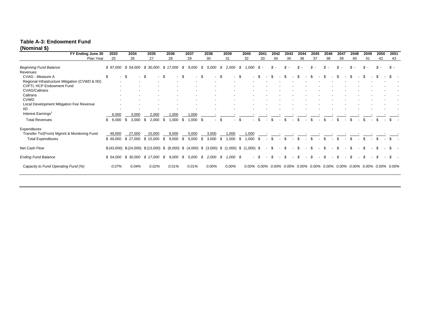| (Nominal \$) |  |
|--------------|--|
|--------------|--|

| FY Ending June 30                                                                                                                                                                                                                                                |           | 2033                   | 2034                                     | 2035                        | 2036                                | 2037                                                                                                                                                                                                                                                 | 2038                   | 2039                           | 2040                 | 2041                                              | 2042               | 2043                                     | 2044           | 2045                         | 2046                           | 2047                                                                                               | 2048         | 2049  | 2050  | 2051            |
|------------------------------------------------------------------------------------------------------------------------------------------------------------------------------------------------------------------------------------------------------------------|-----------|------------------------|------------------------------------------|-----------------------------|-------------------------------------|------------------------------------------------------------------------------------------------------------------------------------------------------------------------------------------------------------------------------------------------------|------------------------|--------------------------------|----------------------|---------------------------------------------------|--------------------|------------------------------------------|----------------|------------------------------|--------------------------------|----------------------------------------------------------------------------------------------------|--------------|-------|-------|-----------------|
|                                                                                                                                                                                                                                                                  | Plan Year | 25                     | 26                                       | 27                          | 28                                  | 29                                                                                                                                                                                                                                                   | 30                     | 31                             | 32                   | 33                                                | 34                 | 35                                       | 36             | 37                           | 38                             | 39                                                                                                 | 40           | 41    | 42    | 43              |
| <b>Beginning Fund Balance</b><br>Revenues                                                                                                                                                                                                                        |           | \$97,000               | \$54.000                                 | \$30,000                    | \$17.000                            | 9,000<br>S                                                                                                                                                                                                                                           | 5,000<br>S.            | S.<br>2,000                    | - \$<br>$1,000$ \$ - |                                                   | S<br>$\sim$        | $s$ -                                    | \$ -           | $\mathcal{S}$ -              | $s$ -                          | $s$ -                                                                                              | S<br>$\sim$  | $s$ - | $s$ - | $s$ .           |
| CVAG - Measure A<br>Regional Infrastructure Mitigation (CVWD & IID)<br>CVFTL HCP Endowment Fund<br><b>CVAG/Caltrans</b><br>Caltrans<br><b>CVWD</b><br>Local Development Mitigation Fee Revenue<br>IID<br>Interest Earnings <sup>1</sup><br><b>Total Revenues</b> |           | \$<br>6.000<br>\$6,000 | $-$ \$<br>$\sim$<br>3.000<br>\$<br>3,000 | . ድ<br>2,000<br>2,000<br>S. | - \$<br>- \$<br>000.1<br>000,<br>-S | - \$<br>1,000<br>\$<br>$1,000$ \$                                                                                                                                                                                                                    | $\sim$<br>$\sim$       | -\$<br>$\sim$<br>-\$<br>$\sim$ | - \$<br>-S<br>$\sim$ | - \$<br>$\overline{\phantom{0}}$<br>\$.<br>$\sim$ | \$<br>$\sim$<br>£. | \$<br>$\sim$<br>$\mathfrak{L}$<br>$\sim$ | \$<br>$\sim$   | S.<br>$\sim$<br>\$<br>$\sim$ | -S.<br>$\sim$<br>\$.<br>$\sim$ | -SS<br>\$<br>$\sim$                                                                                | -S.<br>\$.   |       |       |                 |
| Expenditures<br>Transfer To/(From) Mgmnt & Monitoring Fund<br><b>Total Expenditures</b>                                                                                                                                                                          |           | 49,000<br>\$49,000     | 27,000<br>\$27,000                       | 15,000<br>\$15,000          | 9,000<br>9,000<br>\$                | 5,000<br>5,000<br>\$                                                                                                                                                                                                                                 | 3,000<br>3,000<br>- \$ | 1,000<br>1,000<br>- \$         | 1,000<br>1,000<br>\$ | \$<br>$\sim$                                      | \$<br>$\sim$       | \$<br>$\sim$ $-$                         | \$<br>$\sim$   | $\mathbb{S}$<br>$\sim 100$   | $\mathbb{S}$<br>$\sim$         | \$<br>$\sim$ $-$                                                                                   | \$<br>$\sim$ | \$    | \$    |                 |
| Net Cash Flow                                                                                                                                                                                                                                                    |           |                        |                                          |                             |                                     | $$(43,000)$ $$(24,000)$ $$(13,000)$ $$(8,000)$ $$(4,000)$ $$(1,000)$ $$(1,000)$ $$(1,000)$ $$(5,000)$ $$(1,000)$ $$(1,000)$ $$(1,000)$ $$(1,000)$ $$(1,000)$ $$(1,000)$ $$(1,000)$ $$(1,000)$ $$(1,000)$ $$(1,000)$ $$(1,000)$ $$(1,000)$ $$(1,000)$ |                        |                                |                      |                                                   | $-$ \$<br>$\sim$   | <b>S</b><br>$\sim$ $-$                   | - \$<br>$\sim$ | \$.<br>$\sim$                | \$<br>$\sim$                   | S.                                                                                                 | -S<br>$\sim$ | - \$  | - \$  | $\mathbb{S}$ -  |
| <b>Ending Fund Balance</b>                                                                                                                                                                                                                                       |           |                        |                                          |                             |                                     | $$54,000$ $$30,000$ $$17,000$ $$9,000$ $$5,000$ $$2,000$ $$1,000$ $$$                                                                                                                                                                                |                        |                                |                      | - \$<br>$\sim$                                    |                    | - \$<br>$\sim$                           | S.<br>$\sim$   | \$<br>$\sim$                 | S.<br>$\sim$                   | S.                                                                                                 | - \$         | -S    |       | $\mathcal{S}$ - |
| Capacity to Fund Operating Fund (%)                                                                                                                                                                                                                              |           | 0.07%                  | 0.04%                                    | 0.02%                       | 0.01%                               | 0.01%                                                                                                                                                                                                                                                | 0.00%                  | 0.00%                          | $0.00\%$             |                                                   |                    |                                          |                |                              |                                | $0.00\%$ $0.00\%$ $0.00\%$ $0.00\%$ $0.00\%$ $0.00\%$ $0.00\%$ $0.00\%$ $0.00\%$ $0.00\%$ $0.00\%$ |              |       |       |                 |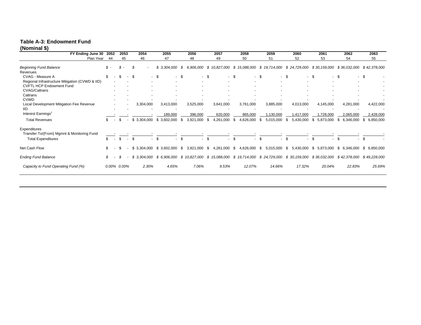#### **(Nominal \$)**

| FY Ending June 30                                                                  | 2052           | 2053 |        | 2054         | 2055<br>2056<br>2057                    |      | 2058<br>2059 |      |              |        | 2060         | 2061   |            |     | 2062                      | 2063   |                           |        |              |        |              |
|------------------------------------------------------------------------------------|----------------|------|--------|--------------|-----------------------------------------|------|--------------|------|--------------|--------|--------------|--------|------------|-----|---------------------------|--------|---------------------------|--------|--------------|--------|--------------|
| Plan Year                                                                          | 44             | 45   |        | 46           | 47                                      |      | 48           |      | 49           |        | 50           |        | 51         |     | 52                        |        | 53                        |        | 54           |        | 55           |
| <b>Beginning Fund Balance</b>                                                      | $\mathcal S$ - |      |        | S            | \$ 3.304.000                            | -S   | 6.906.000    | S    | 10.827.000   | S      | 15,088,000   | S      | 19.714.000 |     | \$24,729,000              |        | \$30.159.000              |        | \$36,032,000 |        | \$42,378,000 |
| Revenues<br>CVAG - Measure A                                                       | \$             |      | $\sim$ | -S           | $-$ \$<br>$\sim$                        | - \$ | $\sim$       | - \$ |              | $-$ \$ |              | $-$ \$ | $\sim$     | -\$ |                           | $-$ \$ |                           | $-$ \$ |              | $-$ \$ |              |
| Regional Infrastructure Mitigation (CVWD & IID)<br><b>CVFTL HCP Endowment Fund</b> |                |      |        |              |                                         |      |              |      |              |        |              |        |            |     |                           |        |                           |        |              |        |              |
| <b>CVAG/Caltrans</b>                                                               |                |      |        |              |                                         |      |              |      |              |        |              |        |            |     |                           |        |                           |        |              |        |              |
| Caltrans<br><b>CVWD</b>                                                            |                |      |        |              |                                         |      |              |      |              |        |              |        |            |     |                           |        |                           |        |              |        |              |
| Local Development Mitigation Fee Revenue<br><b>IID</b>                             |                |      |        | 3,304,000    | 3,413,000                               |      | 3,525,000    |      | 3,641,000    |        | 3,761,000    |        | 3,885,000  |     | 4,013,000                 |        | 4,145,000                 |        | 4,281,000    |        | 4,422,000    |
| Interest Earnings <sup>1</sup>                                                     |                |      |        |              | 189,000                                 |      | 396,000      |      | 620,000      |        | 865,000      |        | ,130,000   |     | ,417,000                  |        | 1,728,000                 |        | 2,065,000    |        | 2,428,000    |
| <b>Total Revenues</b>                                                              | \$             | \$   |        | \$ 3,304,000 | \$3,602,000                             | \$   | 3,921,000    | S    | 4,261,000    |        | 4,626,000    | - \$   | 5,015,000  | S.  | 5,430,000                 | S      | 5,873,000                 | S      | 6,346,000    | S.     | 6,850,000    |
| Expenditures<br>Transfer To/(From) Mgmnt & Monitoring Fund                         |                |      |        |              |                                         |      |              |      |              |        |              |        |            |     |                           |        |                           |        |              |        |              |
| <b>Total Expenditures</b>                                                          |                | \$.  |        |              |                                         | \$   |              | \$.  |              | £.     |              |        |            | \$  |                           | \$     |                           |        |              |        |              |
| Net Cash Flow                                                                      | \$             |      |        | \$ 3,304,000 | \$ 3,602,000                            | - \$ | 3,921,000    | -S   | 4.261.000    | - \$   | 4.626.000    | - \$   | 5.015.000  | S.  | 5.430.000                 | S.     | 5,873,000                 | S.     | 6,346,000    |        | \$6,850,000  |
| <b>Ending Fund Balance</b>                                                         | \$             |      |        |              | $$3,304,000$ $$6,906,000$ $$10,827,000$ |      |              |      | \$15,088,000 |        | \$19,714,000 |        |            |     | \$24,729,000 \$30,159,000 |        | \$36,032,000 \$42,378,000 |        |              |        | \$49,228,000 |
| Capacity to Fund Operating Fund (%)                                                | 0.00% 0.00%    |      |        | 2.30%        | 4.65%                                   |      | 7.06%        |      | 9.53%        |        | 12.07%       |        | 14.66%     |     | 17.32%                    |        | 20.04%                    |        | 22.83%       |        | 25.69%       |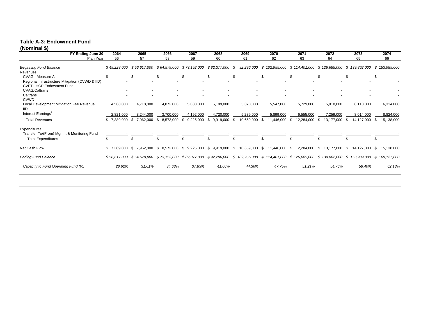## **Table A-3: Endowment Fund (Nominal \$)**

| FY Ending June 30                                                                                                              | 2064                     | 2065                         | 2066                                  | 2067                           | 2068                         | 2069                            | 2070                            | 2071                                  | 2072                                                                                                                                                 | 2073                            | 2074                           |
|--------------------------------------------------------------------------------------------------------------------------------|--------------------------|------------------------------|---------------------------------------|--------------------------------|------------------------------|---------------------------------|---------------------------------|---------------------------------------|------------------------------------------------------------------------------------------------------------------------------------------------------|---------------------------------|--------------------------------|
| Plan Year                                                                                                                      | 56                       | 57                           | 58                                    | 59                             | 60                           | 61                              | 62                              | 63                                    | 64                                                                                                                                                   | 65                              | 66                             |
| <b>Beginning Fund Balance</b><br>Revenues                                                                                      | \$49.228.000             | \$56.617.000                 | \$64.579.000                          | \$73,152,000                   | \$82,377,000                 | 92,296,000<br>S                 | \$102.955.000                   | \$114,401,000                         | \$126.685.000                                                                                                                                        | \$139,862,000                   | \$153,989,000                  |
| CVAG - Measure A<br>Regional Infrastructure Mitigation (CVWD & IID)<br><b>CVFTL HCP Endowment Fund</b><br><b>CVAG/Caltrans</b> | \$                       | - \$<br>- \$                 |                                       | - \$                           | $-$ \$<br>$-$ \$             | $\sim$                          | - \$                            | - \$                                  | - \$<br>- \$                                                                                                                                         | - \$                            |                                |
| Caltrans<br><b>CVWD</b><br>Local Development Mitigation Fee Revenue<br>IID                                                     | 4,568,000                | 4,718,000                    | 4,873,000<br>$\overline{\phantom{a}}$ | 5,033,000                      | 5,199,000                    | 5,370,000<br>$\overline{a}$     | 5,547,000                       | 5,729,000<br>$\overline{\phantom{a}}$ | 5,918,000                                                                                                                                            | 6,113,000                       | 6,314,000                      |
| Interest Earnings <sup>1</sup><br><b>Total Revenues</b>                                                                        | 2,821,000<br>\$7,389,000 | 3,244,000<br>7,962,000<br>\$ | 3,700,000<br>8,573,000<br>S.          | 4,192,000<br>9,225,000<br>- \$ | 4,720,000<br>9,919,000<br>\$ | 5,289,000<br>10,659,000<br>- \$ | 5,899,000<br>11,446,000<br>- \$ | 6,555,000<br>12,284,000<br>- \$       | 7,259,000<br>13,177,000<br>- \$                                                                                                                      | 8,014,000<br>14,127,000<br>- \$ | 8,824,000<br>15,138,000<br>- S |
| Expenditures<br>Transfer To/(From) Mgmnt & Monitoring Fund<br><b>Total Expenditures</b>                                        |                          | \$                           | £.                                    | -S                             | $\mathcal{L}$                | \$.<br>$\sim$                   | \$.<br>$\sim$                   | -\$<br>$\sim$                         | £.                                                                                                                                                   | \$                              | - \$                           |
| Net Cash Flow                                                                                                                  | \$ 7.389.000             | \$7,962,000                  | $$8,573,000$ \$                       | 9,225,000                      | \$ 9,919,000 \$              | 10,659,000                      | - \$<br>11,446,000              | $5^{\circ}$<br>12,284,000             | 13,177,000<br>- \$                                                                                                                                   | 14,127,000 \$<br>- \$           | 15,138,000                     |
| <b>Ending Fund Balance</b>                                                                                                     |                          |                              |                                       |                                |                              |                                 |                                 |                                       | \$56,617,000 \$64,579,000 \$73,152,000 \$82,377,000 \$92,296,000 \$102,955,000 \$114,401,000 \$126,685,000 \$139,862,000 \$153,989,000 \$169,127,000 |                                 |                                |
| Capacity to Fund Operating Fund (%)                                                                                            | 28.62%                   | 31.61%                       | 34.68%                                | 37.83%                         | 41.06%                       | 44.36%                          | 47.75%                          | 51.21%                                | 54.76%                                                                                                                                               | 58.40%                          | 62.13%                         |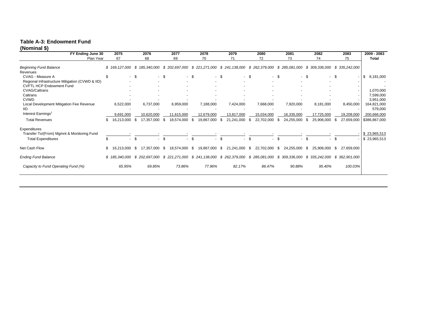## **Table A-3: Endowment Fund (Nominal \$)**

| FY Ending June 30                                          | 2075                 |      | 2076          |                | 2077          |          | 2078                                                                                                                                   |        | 2079          |      | 2080          |     | 2081          |        | 2082          |      | 2083          | 2009 - 2083            |
|------------------------------------------------------------|----------------------|------|---------------|----------------|---------------|----------|----------------------------------------------------------------------------------------------------------------------------------------|--------|---------------|------|---------------|-----|---------------|--------|---------------|------|---------------|------------------------|
| Plan Year                                                  | 67                   |      | 68            |                | 69            |          | 70                                                                                                                                     |        | 71            |      | 72            |     | 73            |        | 74            |      | 75            | <b>Total</b>           |
| <b>Beginning Fund Balance</b>                              | \$169, 127,000       |      | \$185,340,000 |                | \$202,697,000 |          | \$221,271,000                                                                                                                          |        | \$241,138,000 |      | \$262,379,000 | S   | 285,081,000   |        | \$309,336,000 |      | \$335,242,000 |                        |
| Revenues                                                   |                      |      |               |                |               |          |                                                                                                                                        |        |               |      |               |     |               |        |               |      |               |                        |
| CVAG - Measure A                                           | \$<br>$\overline{a}$ | - \$ |               | - \$           |               | - \$     |                                                                                                                                        | $-$ \$ | $\sim$        | - \$ | $\sim$        | \$  |               | $-$ \$ | $-$ \$        |      |               | S.<br>8,181,000        |
| Regional Infrastructure Mitigation (CVWD & IID)            |                      |      |               |                |               |          |                                                                                                                                        |        |               |      |               |     |               |        |               |      |               |                        |
| <b>CVFTL HCP Endowment Fund</b>                            |                      |      |               |                |               |          |                                                                                                                                        |        |               |      |               |     |               |        |               |      |               |                        |
| <b>CVAG/Caltrans</b>                                       |                      |      |               |                |               |          |                                                                                                                                        |        |               |      |               |     |               |        |               |      |               | 1,070,000              |
| Caltrans                                                   |                      |      |               |                |               |          |                                                                                                                                        |        |               |      |               |     |               |        |               |      |               | 7,599,000              |
| <b>CVWD</b>                                                |                      |      |               |                |               |          |                                                                                                                                        |        |               |      |               |     |               |        |               |      |               | 3,951,000              |
| Local Development Mitigation Fee Revenue<br><b>IID</b>     | 6,522,000            |      | 6,737,000     |                | 6,959,000     |          | 7,188,000                                                                                                                              |        | 7,424,000     |      | 7,668,000     |     | 7,920,000     |        | 8,181,000     |      | 8,450,000     | 164,821,000<br>579,000 |
| Interest Earnings <sup>1</sup>                             |                      |      |               |                |               |          |                                                                                                                                        |        |               |      |               |     |               |        |               |      |               |                        |
|                                                            | 9,691,000            |      | 10,620,000    |                | 11,615,000    |          | 12.679.000                                                                                                                             |        | 13.817.000    |      | 15,034,000    |     | 16,335,000    |        | 17,725,000    |      | 19,209,000    | 200,666,000            |
| <b>Total Revenues</b>                                      | 16,213,000           | - \$ | 17,357,000 \$ |                | 18,574,000 \$ |          | 19,867,000                                                                                                                             | - \$   | 21,241,000    | - \$ | 22,702,000    | S   | 24,255,000    | -\$    | 25,906,000    | - \$ | 27,659,000    | \$386,867,000          |
| Expenditures<br>Transfer To/(From) Mgmnt & Monitoring Fund |                      |      |               |                |               |          |                                                                                                                                        |        |               |      |               |     |               |        |               |      |               | \$23,965,513           |
| <b>Total Expenditures</b>                                  | \$<br>$\sim$         | \$   | $\sim$        | $\mathfrak{L}$ | $\sim$        | <b>S</b> |                                                                                                                                        | $-$ \$ | $\sim$        | \$   | $\sim$        | \$  | $\sim$        | \$     | $\sim$        | \$   |               | \$23,965,513           |
| Net Cash Flow                                              | 16.213.000 \$        |      | 17,357,000 \$ |                | 18,574,000 \$ |          | 19,867,000 \$                                                                                                                          |        | 21,241,000 \$ |      | 22,702,000    | -\$ | 24,255,000 \$ |        | 25,906,000 \$ |      | 27,659,000    |                        |
| <b>Ending Fund Balance</b>                                 |                      |      |               |                |               |          | $$185,340,000$ $$202,697,000$ $$221,271,000$ $$241,138,000$ $$262,379,000$ $$285,081,000$ $$309,336,000$ $$335,242,000$ $$362,901,000$ |        |               |      |               |     |               |        |               |      |               |                        |
| Capacity to Fund Operating Fund (%)                        | 65.95%               |      | 69.85%        |                | 73.86%        |          | 77.96%                                                                                                                                 |        | 82.17%        |      | 86.47%        |     | 90.88%        |        | 95.40%        |      | 100.03%       |                        |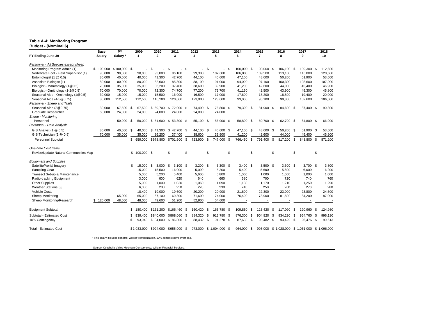**Table A-4: Monitoring Program** 

|                                        | <b>Base</b>   | PY                  |     | 2009          | 2010                            | 2011            |      | 2012                     |      | 2013                    |      | 2014                     |      | 2015                     |      | 2016                                |    | 2017       |      | 2018    |
|----------------------------------------|---------------|---------------------|-----|---------------|---------------------------------|-----------------|------|--------------------------|------|-------------------------|------|--------------------------|------|--------------------------|------|-------------------------------------|----|------------|------|---------|
| FY Ending June 30                      | Salary        | Salary <sup>1</sup> |     | $\mathbf{1}$  | $\mathbf{2}$                    | 3               |      | 4                        |      | 5                       |      | 6                        |      | $\overline{7}$           |      | 8                                   |    | 9          |      | 10      |
|                                        |               |                     |     |               |                                 |                 |      |                          |      |                         |      |                          |      |                          |      |                                     |    |            |      |         |
| Personnel - All Species except sheep   |               |                     |     |               |                                 |                 |      |                          |      |                         |      |                          |      |                          |      |                                     |    |            |      |         |
| Monitoring Program Admin (1)           | \$100,000     | \$100,000 \$        |     | $\sim$        | -\$<br>$\overline{\phantom{a}}$ | \$              | - \$ |                          | - \$ |                         | - \$ | 100,000 \$               |      | 103,000 \$               |      | 106,100 \$                          |    | 109,300 \$ |      | 112,600 |
| Vertebrate Ecol - Field Supervisor (1) | 90,000        | 90,000              |     | 90,000        | 93,000                          | 96,100          |      | 99,300                   |      | 102,600                 |      | 106,000                  |      | 109,500                  |      | 113,100                             |    | 116,800    |      | 120,600 |
| Entomologist (1 @ 0.5)                 | 80,000        | 40,000              |     | 40,000        | 41,300                          | 42,700          |      | 44,100                   |      | 45,600                  |      | 47,100                   |      | 48,600                   |      | 50,200                              |    | 51,900     |      | 53,600  |
| Associate Biologist (1)                | 80,000        | 80,000              |     | 80,000        | 82,600                          | 85,300          |      | 88,100                   |      | 91,000                  |      | 94,000                   |      | 97,100                   |      | 100,300                             |    | 103,600    |      | 107,000 |
| Biologist - Mammalogy (1@0.5)          | 70,000        | 35,000              |     | 35,000        | 36,200                          | 37,400          |      | 38,600                   |      | 39,900                  |      | 41,200                   |      | 42,600                   |      | 44,000                              |    | 45,400     |      | 46,900  |
| Biologist - Ornithology (1-2@0.5)      | 70,000        | 70,000              |     | 70,000        | 72,300                          | 74,700          |      | 77,200                   |      | 79,700                  |      | 41,150                   |      | 42,500                   |      | 43,900                              |    | 45,300     |      | 46,800  |
| Seasonal Aide - Ornithology (1@0.5)    | 30,000        | 15,000              |     | 15,000        | 15,500                          | 16,000          |      | 16,500                   |      | 17,000                  |      | 17,600                   |      | 18,200                   |      | 18,800                              |    | 19,400     |      | 20,000  |
| Seasonal Aide (4-5@0.75)               | 30,000        | 112,500             |     | 112,500       | 116,200                         | 120,000         |      | 123,900                  |      | 128,000                 |      | 93,000                   |      | 96,100                   |      | 99,300                              |    | 102,600    |      | 106,000 |
| Personnel - Sheep and Trails           |               |                     |     |               |                                 |                 |      |                          |      |                         |      |                          |      |                          |      |                                     |    |            |      |         |
| Seasonal Aide (3@0.75)                 | 30,000        | 67,500 \$           |     | 67,500        | \$<br>69,700                    | 72,000 \$<br>\$ |      | 74,400 \$                |      | 76,800 \$               |      | 79,300 \$                |      | 81,900 \$                |      | 84,600 \$                           |    | 87,400 \$  |      | 90,300  |
| Graduate Researcher                    | 60,000        | 24,000              |     | 24,000        | 24,000                          | 24,000          |      | 24,000                   |      | 24,000                  |      |                          |      |                          |      |                                     |    |            |      |         |
| Sheep - Monitorina                     |               |                     |     |               |                                 |                 |      |                          |      |                         |      |                          |      |                          |      |                                     |    |            |      |         |
| Personnel                              |               | 50.000              | -\$ | 50.000        | \$ 51,600                       | $$53,300$ \$    |      | 55.100 \$                |      | 56,900 \$               |      | 58,800 \$                |      | 60.700 \$                |      | 62.700 \$                           |    | 64,800 \$  |      | 66,900  |
| Personnel - Data Analysis              |               |                     |     |               |                                 |                 |      |                          |      |                         |      |                          |      |                          |      |                                     |    |            |      |         |
| GIS Analyst (1 @ 0.5)                  | 80.000        | 40.000              | \$  | 40.000        | \$41,300                        | S.<br>42.700 \$ |      | 44.100 \$                |      | 45.600 \$               |      | 47.100 \$                |      | 48.600 \$                |      | 50,200 \$                           |    | 51.900 \$  |      | 53,600  |
| GIS Technician (1 @ 0.5)               | 70,000        | 35,000              |     | 35.000        | 36,200                          | 37,400          |      | 38,600                   |      | 39,900                  |      | 41,200                   |      | 42,600                   |      | 44,000                              |    | 45,400     |      | 46,900  |
| <b>Personnel Subtotal</b>              |               |                     | \$  | 659.000       | \$678,800                       | \$701.600       | \$   | 723,900                  | \$   | 747.000                 | \$   | 766.450 \$               |      | 791.400                  | \$   | 817.200                             | -S | 843.800    | - \$ | 871,200 |
| One-time Cost Items                    |               |                     |     |               |                                 |                 |      |                          |      |                         |      |                          |      |                          |      |                                     |    |            |      |         |
| Revise/Update Natural Communities Map  |               |                     |     | $$100,000$ \$ |                                 | -\$             | \$   | $\overline{\phantom{a}}$ | \$   |                         | - \$ | $\overline{\phantom{a}}$ | \$   | $\overline{\phantom{a}}$ | - \$ | $-$ \$                              |    | $-$ \$     |      |         |
|                                        |               |                     |     |               |                                 |                 |      |                          |      |                         |      |                          |      |                          |      |                                     |    |            |      |         |
| <b>Equipment and Supplies</b>          |               |                     |     |               |                                 |                 |      |                          |      |                         |      |                          |      |                          |      |                                     |    |            |      |         |
| Satellite/Aerial Imagery               |               |                     | \$  | 15,000        | $3,000$ \$<br>\$                | $3,100$ \$      |      | $3,200$ \$               |      | $3,300$ \$              |      | $3,400$ \$               |      | $3,500$ \$               |      | $3,600$ \$                          |    | $3,700$ \$ |      | 3,800   |
| Sampling Gear                          |               |                     |     | 15,000        | 15,500                          | 16,000          |      | 5,000                    |      | 5,200                   |      | 5,400                    |      | 5,600                    |      | 5,800                               |    | 6,000      |      | 6,200   |
| Transect Set-up & Maintenance          |               |                     |     | 5,000         | 5,200                           | 5,400           |      | 5,600                    |      | 5,800                   |      | 1,000                    |      | 1,000                    |      | 1,000                               |    | 1,000      |      | 1,000   |
| Radio-tracking Equipment               |               |                     |     | 3,000         | 600                             | 620             |      | 640                      |      | 660                     |      | 680                      |      | 700                      |      | 720                                 |    | 740        |      | 760     |
| Other Supplies                         |               |                     |     | 5,000         | 1,000                           | 1,030           |      | 1,060                    |      | 1,090                   |      | 1,130                    |      | 1,170                    |      | 1,210                               |    | 1,250      |      | 1,290   |
| Weather Stations (3)                   |               |                     |     | 6,000         | 200                             | 210             |      | 220                      |      | 230                     |      | 240                      |      | 250                      |      | 260                                 |    | 270        |      | 280     |
| <b>Vehicle Costs</b>                   |               |                     |     | 18,400        | 19,000                          | 19,600          |      | 20,200                   |      | 20,900                  |      | 21,600                   |      | 22,300                   |      | 23,000                              |    | 23,800     |      | 24,600  |
| Sheep Monitoring                       |               | 65,000              |     | 65,000        | 67,100                          | 69,300          |      | 71,600                   |      | 74,000                  |      | 76,400                   |      | 78,900                   |      | 81,500                              |    | 84,200     |      | 87,000  |
| Sheep Monitoring/Research              | \$<br>120,000 | 48,000              |     | 48,000        | 49,600                          | 51,200          |      | 52,900                   |      | 54,600                  |      |                          |      |                          |      |                                     |    |            |      |         |
| <b>Equipment Subtotal</b>              |               |                     | \$  | 180.400       | \$161,200                       | \$166,460       | \$   | 160,420                  | \$   | 165,780 \$              |      | 109,850                  | -S   | 113,420                  | \$   | 117,090 \$                          |    | 120,960    | - \$ | 124,930 |
| Subtotal - Estimated Cost              |               |                     | \$. | 939.400       | \$840,000                       | \$868,060       | -\$  | 884,320 \$               |      | 912,780 \$              |      | 876,300 \$               |      | 904,820 \$               |      | 934,290 \$                          |    | 964.760 \$ |      | 996,130 |
| 10% Contingency                        |               |                     | \$. | 93.940        | \$ 84,000                       | \$ 86,806       | \$   | 88,432 \$                |      | 91,278 \$               |      | 87,630 \$                |      | 90,482 \$                |      | 93,429 \$                           |    | 96,476 \$  |      | 99,613  |
| <b>Total - Estimated Cost</b>          |               |                     |     | \$1.033.000   | \$924.000                       | \$955,000       | \$   |                          |      | 973,000 \$ 1,004,000 \$ |      | 964,000                  | - \$ | 995,000                  |      | \$1,028,000 \$1,061,000 \$1,096,000 |    |            |      |         |

<sup>1</sup> This salary includes benefits, worker' compensation, 10% administrative overhead.

Source: Coachella Valley Mountain Conservancy; Willdan Financial Services.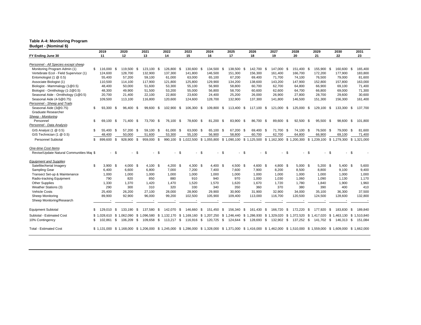**Table A-4: Monitoring Program** 

| uugu - (nommar v <i>j</i>                | 2019             |              | 2020                    |      | 2021       |      | 2022       |        | 2023       |      | 2024                    |        | 2025        |      | 2026                                                                                                                                            |          | 2027        |      | 2028                    |      | 2029       |      | 2030                                |      | 2031        |
|------------------------------------------|------------------|--------------|-------------------------|------|------------|------|------------|--------|------------|------|-------------------------|--------|-------------|------|-------------------------------------------------------------------------------------------------------------------------------------------------|----------|-------------|------|-------------------------|------|------------|------|-------------------------------------|------|-------------|
| FY Ending June 30                        | 11               |              | $12 \,$                 |      | 13         |      | 14         |        | 15         |      | 16                      |        | 17          |      | 18                                                                                                                                              |          | 19          |      | 20                      |      | 21         |      | 22                                  |      | 23          |
| Personnel - All Species except sheep     |                  |              |                         |      |            |      |            |        |            |      |                         |        |             |      |                                                                                                                                                 |          |             |      |                         |      |            |      |                                     |      |             |
| Monitoring Program Admin (1)             | \$<br>116.000    | - \$         | 119,500 \$              |      | 123.100    | - \$ | 126,800    | - \$   | 130.600 \$ |      | 134.500                 | - \$   | 138.500     | - \$ | 142.700 \$                                                                                                                                      |          | 147.000     | -\$  | 151.400                 | - \$ | 155.900    | - \$ | 160.600                             | - \$ | 165.400     |
| Vertebrate Ecol - Field Supervisor (1)   | 124.600          |              | 128,700                 |      | 132.900    |      | 137.300    |        | 141.800    |      | 146.500                 |        | 151.300     |      | 156.300                                                                                                                                         |          | 161.400     |      | 166.700                 |      | 172,200    |      | 177,900                             |      | 183.800     |
| Entomologist (1 @ 0.5)                   | 55,400           |              | 57,200                  |      | 59,100     |      | 61,000     |        | 63,000     |      | 65,100                  |        | 67,200      |      | 69,400                                                                                                                                          |          | 71,700      |      | 74,100                  |      | 76,500     |      | 79,000                              |      | 81,600      |
| Associate Biologist (1)                  | 110,500          |              | 114,100                 |      | 117,900    |      | 121,800    |        | 125,800    |      | 129,900                 |        | 134,200     |      | 138,600                                                                                                                                         |          | 143,200     |      | 147,900                 |      | 152,800    |      | 157,800                             |      | 163,000     |
| Biologist - Mammalogy (1@0.5)            | 48,400           |              | 50,000                  |      | 51,600     |      | 53,300     |        | 55,100     |      | 56,900                  |        | 58,800      |      | 60,700                                                                                                                                          |          | 62,700      |      | 64,800                  |      | 66,900     |      | 69,100                              |      | 71,400      |
| Biologist - Ornithology (1-2@0.5)        | 48,300           |              | 49,900                  |      | 51,500     |      | 53,200     |        | 55,000     |      | 56,800                  |        | 58,700      |      | 60,600                                                                                                                                          |          | 62,600      |      | 64,700                  |      | 66,800     |      | 69,000                              |      | 71,300      |
| Seasonal Aide - Ornithology (1@0.5)      | 20,700           |              | 21,400                  |      | 22,100     |      | 22,800     |        | 23,600     |      | 24,400                  |        | 25,200      |      | 26,000                                                                                                                                          |          | 26,900      |      | 27,800                  |      | 28,700     |      | 29,600                              |      | 30,600      |
| Seasonal Aide (4-5@0.75)                 | 109,500          |              | 113,100                 |      | 116,800    |      | 120,600    |        | 124,600    |      | 128,700                 |        | 132,900     |      | 137,300                                                                                                                                         |          | 141,800     |      | 146,500                 |      | 151,300    |      | 156,300                             |      | 161,400     |
| Personnel - Sheep and Trails             |                  |              |                         |      |            |      |            |        |            |      |                         |        |             |      |                                                                                                                                                 |          |             |      |                         |      |            |      |                                     |      |             |
| Seasonal Aide (3@0.75)                   | \$<br>93,300 \$  |              | 96,400 \$               |      | 99.600     | - \$ | 102,900 \$ |        | 106,300 \$ |      | 109,800                 | -\$    | 113,400     | \$   | 117,100 \$                                                                                                                                      |          | 121,000     | \$   | 125,000 \$              |      | 129,100 \$ |      | 133,300                             | \$   | 137,700     |
| Graduate Researcher                      |                  |              |                         |      |            |      |            |        |            |      |                         |        |             |      |                                                                                                                                                 |          |             |      |                         |      |            |      |                                     |      |             |
| Sheep - Monitoring                       |                  |              |                         |      |            |      |            |        |            |      |                         |        |             |      |                                                                                                                                                 |          |             |      |                         |      |            |      |                                     |      |             |
| Personnel                                | \$<br>69.100 \$  |              | 71.400 \$               |      | 73,700     | - \$ | 76,100 \$  |        | 78,600     | - \$ | 81,200 \$               |        | 83,900 \$   |      | 86,700                                                                                                                                          | - \$     | 89,600      | - \$ | 92,500 \$               |      | 95.500     | - \$ | 98,600                              | - \$ | 101.800     |
| Personnel - Data Analysis                |                  |              |                         |      |            |      |            |        |            |      |                         |        |             |      |                                                                                                                                                 |          |             |      |                         |      |            |      |                                     |      |             |
| GIS Analyst (1 @ 0.5)                    | \$<br>55.400 \$  |              | 57,200 \$               |      | 59.100 \$  |      | 61.000 \$  |        | 63,000 \$  |      | 65.100 \$               |        | 67.200 \$   |      | 69,400 \$                                                                                                                                       |          | 71,700 \$   |      | 74.100 \$               |      | 76,500 \$  |      | 79.000 \$                           |      | 81.600      |
| GIS Technician (1 @ 0.5)                 | 48,400           |              | 50,000                  |      | 51,600     |      | 53,300     |        | 55,100     |      | 56,900                  |        | 58,800      |      | 60,700                                                                                                                                          |          | 62,700      |      | 64,800                  |      | 66,900     |      | 69,100                              |      | 71,400      |
| <b>Personnel Subtotal</b>                | \$<br>899.600    | \$           | 928.900 \$              |      | 959,000 \$ |      |            |        |            |      |                         |        |             |      | 990,100 \$ 1,022,500 \$ 1,055,800 \$ 1,090,100 \$ 1,125,500 \$ 1,162,300                                                                        |          |             |      | \$1,200,300             |      |            |      | \$1.239.100 \$1.279.300 \$1.321.000 |      |             |
| <b>One-time Cost Items</b>               |                  |              |                         |      |            |      |            |        |            |      |                         |        |             |      |                                                                                                                                                 |          |             |      |                         |      |            |      |                                     |      |             |
| Revise/Update Natural Communities Mar \$ |                  | $-$ \$       |                         | - \$ |            | - \$ |            | $-$ \$ |            | \$   |                         | $-$ \$ |             | - \$ |                                                                                                                                                 | <b>S</b> |             | - \$ |                         | - \$ |            | - \$ |                                     | - \$ |             |
| <b>Equipment and Supplies</b>            |                  |              |                         |      |            |      |            |        |            |      |                         |        |             |      |                                                                                                                                                 |          |             |      |                         |      |            |      |                                     |      |             |
| Satellite/Aerial Imagery                 | \$<br>$3,900$ \$ |              | $4,000$ \$              |      | 4.100 \$   |      | $4,200$ \$ |        | 4,300 \$   |      | $4.400$ \$              |        | 4,500 \$    |      | 4,600 \$                                                                                                                                        |          | 4,800 \$    |      | $5,000$ \$              |      | $5.200$ \$ |      | 5,400 \$                            |      | 5,600       |
| Sampling Gear                            | 6,400            |              | 6,600                   |      | 6,800      |      | 7,000      |        | 7.200      |      | 7,400                   |        | 7,600       |      | 7,900                                                                                                                                           |          | 8,200       |      | 8,500                   |      | 8,800      |      | 9,100                               |      | 9,400       |
| Transect Set-up & Maintenance            | 1,000            |              | 1,000                   |      | 1,000      |      | 1.000      |        | 1.000      |      | 1,000                   |        | 1,000       |      | 1,000                                                                                                                                           |          | 1,000       |      | 1,000                   |      | 1,000      |      | 1,000                               |      | 1,000       |
| Radio-tracking Equipment                 | 790              |              | 820                     |      | 850        |      | 880        |        | 910        |      | 940                     |        | 970         |      | 1.000                                                                                                                                           |          | 1,030       |      | 1.060                   |      | 1.090      |      | 1,130                               |      | 1.170       |
| <b>Other Supplies</b>                    | 1,330            |              | 1,370                   |      | 1,420      |      | 1,470      |        | 1,520      |      | 1,570                   |        | 1,620       |      | 1,670                                                                                                                                           |          | 1,720       |      | 1,780                   |      | 1,840      |      | 1,900                               |      | 1,960       |
| Weather Stations (3)                     | 290              |              | 300                     |      | 310        |      | 320        |        | 330        |      | 340                     |        | 350         |      | 360                                                                                                                                             |          | 370         |      | 380                     |      | 390        |      | 400                                 |      | 410         |
| <b>Vehicle Costs</b>                     | 25,400           |              | 26,200                  |      | 27,100     |      | 28.000     |        | 28,900     |      | 29,900                  |        | 30.900      |      | 31,900                                                                                                                                          |          | 32,900      |      | 34,000                  |      | 35.100     |      | 36,300                              |      | 37,500      |
| Sheep Monitoring                         | 89,900           |              | 92,900                  |      | 96,000     |      | 99,200     |        | 102,500    |      | 105,900                 |        | 109,400     |      | 113,000                                                                                                                                         |          | 116,700     |      | 120,500                 |      | 124,500    |      | 128,600                             |      | 132,800     |
| Sheep Monitoring/Research                |                  |              |                         |      |            |      |            |        |            |      |                         |        |             |      |                                                                                                                                                 |          |             |      |                         |      |            |      |                                     |      |             |
| <b>Equipment Subtotal</b>                | 129.010          | \$           | 133.190                 | - \$ | 137.580    | - \$ | 142.070    | - \$   | 146.660 \$ |      | 151.450                 | - \$   | 156.340     | - \$ | 161.430                                                                                                                                         | - \$     | 166.720     | -\$  | 172.220                 | - \$ | 177.920    | \$   | 183.830                             | - \$ | 189.840     |
| Subtotal - Estimated Cost                | 1.028.610        |              | \$1.062.090 \$1.096.580 |      |            | - \$ | 1.132.170  |        |            |      | \$1,169,160 \$1,207,250 |        | \$1,246,440 |      | \$1,286,930                                                                                                                                     |          | \$1,329,020 |      | \$1,372,520 \$1,417,020 |      |            |      | \$1,463,130                         |      | \$1,510,840 |
| 10% Contingency                          | 102,861          | $\mathbf{s}$ | 106,209 \$              |      | 109,658 \$ |      | 113,217 \$ |        | 116,916 \$ |      | 120,725 \$              |        | 124,644 \$  |      | 128,693 \$                                                                                                                                      |          | 132,902 \$  |      | 137,252 \$              |      | 141,702 \$ |      | 146,313 \$                          |      | 151,084     |
| <b>Total - Estimated Cost</b>            | \$1.131.000      |              |                         |      |            |      |            |        |            |      |                         |        |             |      | \$1,669,000 \$1,206,000 \$1,245,000 \$1,286,000 \$1,328,000 \$1,371,000 \$1,416,000 \$1,462,000 \$1,510,000 \$1,559,000 \$1,609,000 \$1,662,000 |          |             |      |                         |      |            |      |                                     |      |             |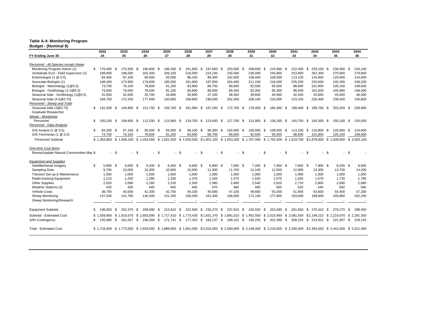**Table A-4: Monitoring Program** 

| uugu - (nommar v <i>j</i>                |     | 2032                                |        | 2033       |      | 2034       |      | 2035                                |          | 2036       |      | 2037                  |      | 2038       |        | 2039                                                                                                                                                        |        | 2040       |      | 2041                                            |        | 2042     |      | 2043                                |      | 2044    |
|------------------------------------------|-----|-------------------------------------|--------|------------|------|------------|------|-------------------------------------|----------|------------|------|-----------------------|------|------------|--------|-------------------------------------------------------------------------------------------------------------------------------------------------------------|--------|------------|------|-------------------------------------------------|--------|----------|------|-------------------------------------|------|---------|
| FY Ending June 30                        |     | 24                                  |        | 25         |      | 26         |      | 27                                  |          | 28         |      | 29                    |      | 30         |        | 31                                                                                                                                                          |        | 32         |      | 33                                              |        | 34       |      | 35                                  |      | 36      |
| Personnel - All Species except sheep     |     |                                     |        |            |      |            |      |                                     |          |            |      |                       |      |            |        |                                                                                                                                                             |        |            |      |                                                 |        |          |      |                                     |      |         |
| Monitoring Program Admin (1)             | \$  | 170,400                             | \$     | 175,500    | - \$ | 180,800    | - \$ | 186,200                             | -\$      | 191.800    | \$   | 197.600               | -\$  | 203,500    | -S     | 209,600                                                                                                                                                     | - \$   | 215,900    | - \$ | 222,400                                         | -\$    | 229,100  | \$   | 236,000                             | S.   | 243,100 |
| Vertebrate Ecol - Field Supervisor (1)   |     | 189,800                             |        | 196,000    |      | 202,400    |      | 209,100                             |          | 216,000    |      | 223,100               |      | 230,400    |        | 238,000                                                                                                                                                     |        | 245,800    |      | 253,900                                         |        | 262,300  |      | 270,900                             |      | 279,800 |
| Entomologist (1 @ 0.5)                   |     | 84,300                              |        | 87,100     |      | 90,000     |      | 93,000                              |          | 96,100     |      | 99,300                |      | 102,600    |        | 106,000                                                                                                                                                     |        | 109,500    |      | 113,100                                         |        | 116,800  |      | 120,600                             |      | 124,600 |
| Associate Biologist (1)                  |     | 168,400                             |        | 173,900    |      | 179,600    |      | 185,500                             |          | 191,600    |      | 197,900               |      | 204,400    |        | 211,100                                                                                                                                                     |        | 218,000    |      | 225,200                                         |        | 232,600  |      | 240,300                             |      | 248,200 |
| Biologist - Mammalogy (1@0.5)            |     | 73,700                              |        | 76,100     |      | 78,600     |      | 81,200                              |          | 83,900     |      | 86,700                |      | 89,600     |        | 92,500                                                                                                                                                      |        | 95,500     |      | 98,600                                          |        | 101,800  |      | 105,100                             |      | 108,600 |
| Biologist - Ornithology (1-2@0.5)        |     | 73,600                              |        | 76,000     |      | 78,500     |      | 81,100                              |          | 83,800     |      | 86,600                |      | 89,400     |        | 92,300                                                                                                                                                      |        | 95,300     |      | 98,400                                          |        | 101,600  |      | 104,900                             |      | 108,400 |
| Seasonal Aide - Ornithology (1@0.5)      |     | 31,600                              |        | 32,600     |      | 33,700     |      | 34,800                              |          | 35,900     |      | 37,100                |      | 38,300     |        | 39,600                                                                                                                                                      |        | 40,900     |      | 42,200                                          |        | 43,600   |      | 45,000                              |      | 46,500  |
| Seasonal Aide (4-5@0.75)                 |     | 166,700                             |        | 172,200    |      | 177,900    |      | 183,800                             |          | 189,800    |      | 196,000               |      | 202,400    |        | 209,100                                                                                                                                                     |        | 216,000    |      | 223,100                                         |        | 230,400  |      | 238,000                             |      | 245,800 |
| Personnel - Sheep and Trails             |     |                                     |        |            |      |            |      |                                     |          |            |      |                       |      |            |        |                                                                                                                                                             |        |            |      |                                                 |        |          |      |                                     |      |         |
| Seasonal Aide (3@0.75)                   | \$. | 142,200 \$                          |        | 146.900    | - \$ | 151,700    | \$   | 156,700 \$                          |          | 161,900 \$ |      | 167,200               | -\$  | 172,700    | - \$   | 178,400                                                                                                                                                     | - \$   | 184,300    | -\$  | 190.400                                         | \$     | 196,700  | - \$ | 203,200                             | - \$ | 209,900 |
| Graduate Researcher                      |     |                                     |        |            |      |            |      |                                     |          |            |      |                       |      |            |        |                                                                                                                                                             |        |            |      |                                                 |        |          |      |                                     |      |         |
| Sheep - Monitoring                       |     |                                     |        |            |      |            |      |                                     |          |            |      |                       |      |            |        |                                                                                                                                                             |        |            |      |                                                 |        |          |      |                                     |      |         |
| Personnel                                | \$  | 105.100 \$                          |        | 108,600 \$ |      | 112.200    | - \$ | 115,900 \$                          |          | 119,700 \$ |      | 123,600               | \$   | 127,700 \$ |        | 131,900 \$                                                                                                                                                  |        | 136,200 \$ |      | 140,700 \$ 145,300                              |        |          | - \$ | 150.100 \$                          |      | 155,000 |
| Personnel - Data Analysis                |     |                                     |        |            |      |            |      |                                     |          |            |      |                       |      |            |        |                                                                                                                                                             |        |            |      |                                                 |        |          |      |                                     |      |         |
| GIS Analyst (1 @ 0.5)                    | \$  | 84,300 \$                           |        | 87.100 \$  |      | 90,000 \$  |      | 93,000                              | -\$      | 96,100 \$  |      | 99,300                | - \$ | 102,600    | - \$   | 106,000 \$                                                                                                                                                  |        | 109,500 \$ |      | 113,100 \$ 116,800 \$                           |        |          |      | 120,600 \$                          |      | 124,600 |
| GIS Technician (1 @ 0.5)                 |     | 73,700                              |        | 76,100     |      | 78,600     |      | 81,200                              |          | 83,900     |      | 86,700                |      | 89,600     |        | 92,500                                                                                                                                                      |        | 95,500     |      | 98,600                                          |        | 101,800  |      | 105,100                             |      | 108,600 |
| <b>Personnel Subtotal</b>                |     |                                     |        |            |      |            |      |                                     |          |            |      |                       |      |            |        | \$1,363,800 \$1,408,100 \$1,454,000 \$1,501,500 \$1,550,500 \$1,601,100 \$1,653,200 \$1,707,000 \$1,762,400 \$1,819,700                                     |        |            |      |                                                 |        |          |      | \$1,878,800 \$1,939,800 \$2,003,100 |      |         |
| One-time Cost Items                      |     |                                     |        |            |      |            |      |                                     |          |            |      |                       |      |            |        |                                                                                                                                                             |        |            |      |                                                 |        |          |      |                                     |      |         |
| Revise/Update Natural Communities Mar \$ |     |                                     | $-$ \$ |            | - \$ | ÷.         | - \$ |                                     | <b>S</b> |            | - \$ |                       | - \$ |            | $-$ \$ |                                                                                                                                                             | $-$ \$ |            | - \$ |                                                 | $-$ \$ |          | \$   |                                     | - \$ |         |
| <b>Equipment and Supplies</b>            |     |                                     |        |            |      |            |      |                                     |          |            |      |                       |      |            |        |                                                                                                                                                             |        |            |      |                                                 |        |          |      |                                     |      |         |
| Satellite/Aerial Imagery                 | \$  | 5,800 \$                            |        | $6,000$ \$ |      | $6,200$ \$ |      | $6,400$ \$                          |          | 6,600 \$   |      | 6,800 \$              |      | 7,000 \$   |        | $7.200$ \$                                                                                                                                                  |        | $7,400$ \$ |      | 7,600 \$                                        |        | 7,900 \$ |      | 8,200 \$                            |      | 8,500   |
| Sampling Gear                            |     | 9,700                               |        | 10,000     |      | 10,300     |      | 10,600                              |          | 10,900     |      | 11,300                |      | 11,700     |        | 12,100                                                                                                                                                      |        | 12,500     |      | 12,900                                          |        | 13,300   |      | 13,700                              |      | 14,200  |
| Transect Set-up & Maintenance            |     | 1,000                               |        | 1,000      |      | 1,000      |      | 1,000                               |          | 1,000      |      | 1,000                 |      | 1,000      |        | 1,000                                                                                                                                                       |        | 1,000      |      | 1,000                                           |        | 1,000    |      | 1,000                               |      | 1,000   |
| Radio-tracking Equipment                 |     | 1,210                               |        | 1,250      |      | 1,290      |      | 1,330                               |          | 1,370      |      | 1,420                 |      | 1,470      |        | 1,520                                                                                                                                                       |        | 1,570      |      | 1,620                                           |        | 1,670    |      | 1,720                               |      | 1,780   |
| <b>Other Supplies</b>                    |     | 2,020                               |        | 2,090      |      | 2.160      |      | 2,230                               |          | 2,300      |      | 2,380                 |      | 2,460      |        | 2.540                                                                                                                                                       |        | 2,620      |      | 2.710                                           |        | 2,800    |      | 2,890                               |      | 2,990   |
| Weather Stations (3)                     |     | 420                                 |        | 430        |      | 440        |      | 450                                 |          | 460        |      | 470                   |      | 480        |        | 490                                                                                                                                                         |        | 500        |      | 520                                             |        | 540      |      | 560                                 |      | 580     |
| Vehicle Costs                            |     | 38,700                              |        | 40,000     |      | 41,300     |      | 42,700                              |          | 44,100     |      | 45,600                |      | 47,100     |        | 48,600                                                                                                                                                      |        | 50,200     |      | 51,900                                          |        | 53,600   |      | 55,400                              |      | 57,200  |
| Sheep Monitoring                         |     | 137,200                             |        | 141,700    |      | 146,400    |      | 151,200                             |          | 156,200    |      | 161,300               |      | 166,600    |        | 172,100                                                                                                                                                     |        | 177,800    |      | 183,600                                         |        | 189,600  |      | 195,800                             |      | 202,200 |
| Sheep Monitoring/Research                |     |                                     |        |            |      |            |      |                                     |          |            |      |                       |      |            |        |                                                                                                                                                             |        |            |      |                                                 |        |          |      |                                     |      |         |
| <b>Equipment Subtotal</b>                |     | 196.050 \$                          |        | 202.470    | - \$ | 209.090    | \$   | 215.910 \$                          |          | 222.930    | - \$ | 230,270               | - \$ | 237.810    | - \$   | 245,550                                                                                                                                                     | - \$   | 253,590    | - \$ | 261.850 \$ 270.410 \$                           |        |          |      | 279.270                             | - \$ | 288,450 |
| Subtotal - Estimated Cost                |     | \$1.559.850 \$1.610.570 \$1.663.090 |        |            |      |            |      | \$1.717.410 \$1.773.430 \$1.831.370 |          |            |      |                       |      |            |        | \$1,891,010 \$1,952,550 \$                                                                                                                                  |        | 2.015.990  |      | \$2.081.550 \$2.149.210 \$2.219.070 \$2.291.550 |        |          |      |                                     |      |         |
| 10% Contingency                          | \$. | 155,985 \$                          |        | 161,057 \$ |      | 166,309    | - \$ | 171,741 \$                          |          |            |      | 177,343 \$ 183,137 \$ |      | 189,101 \$ |        | 195,255 \$                                                                                                                                                  |        | 201,599 \$ |      | 208,155 \$ 214,921 \$                           |        |          |      | 221,907 \$                          |      | 229,155 |
| <b>Total - Estimated Cost</b>            |     |                                     |        |            |      |            |      |                                     |          |            |      |                       |      |            |        | \$1,716,000 \$1,772,000 \$1,829,000 \$1,889,000 \$1,951,000 \$2,015,000 \$2,080,000 \$2,148,000 \$2,218,000 \$2,290,000 \$2,364,000 \$2,441,000 \$2,521,000 |        |            |      |                                                 |        |          |      |                                     |      |         |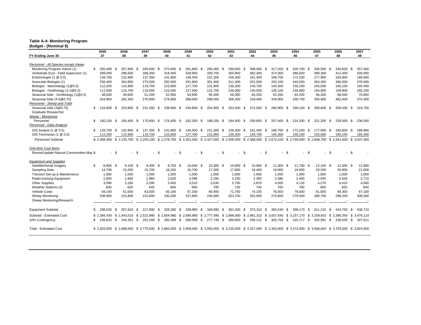**Table A-4: Monitoring Program** 

| uugu - (nommar v <i>j</i>                | 2045             |      | 2046        |      | 2047       |      | 2048       |        | 2049            | 2050          |      | 2051        |          | 2052                                                                                                                                                                     |           | 2053       |     | 2054        |      | 2055        |      | 2056                                |      | 2057         |
|------------------------------------------|------------------|------|-------------|------|------------|------|------------|--------|-----------------|---------------|------|-------------|----------|--------------------------------------------------------------------------------------------------------------------------------------------------------------------------|-----------|------------|-----|-------------|------|-------------|------|-------------------------------------|------|--------------|
| FY Ending June 30                        | 37               |      | 38          |      | 39         |      | 40         |        | 41              | 42            |      | 43          |          | 44                                                                                                                                                                       |           | 45         |     | 46          |      | 47          |      | 48                                  |      | 49           |
| Personnel - All Species except sheep     |                  |      |             |      |            |      |            |        |                 |               |      |             |          |                                                                                                                                                                          |           |            |     |             |      |             |      |                                     |      |              |
| Monitoring Program Admin (1)             | \$<br>250.400    | - \$ | 257.900     | - \$ | 265.600    | - \$ | 273.600    | - \$   | 281.800 \$      | 290.300       | - \$ | 299,000     | -S       | 308,000 \$                                                                                                                                                               |           | 317.200    | -\$ | 326,700 \$  |      | 336.500 \$  |      | 346.600                             | - \$ | 357.000      |
| Vertebrate Ecol - Field Supervisor (1)   | 289,000          |      | 298,500     |      | 308,300    |      | 318,400    |        | 328,900         | 339.700       |      | 350.900     |          | 362,400                                                                                                                                                                  |           | 374.300    |     | 386.600     |      | 399,300     |      | 412.400                             |      | 426.000      |
| Entomologist (1 @ 0.5)                   | 128.700          |      | 132,900     |      | 137,300    |      | 141,800    |        | 146,500         | 151,300       |      | 156,300     |          | 161,400                                                                                                                                                                  |           | 166,700    |     | 172,200     |      | 177,900     |      | 183,800                             |      | 189,800      |
| Associate Biologist (1)                  | 256,400          |      | 264,800     |      | 273,500    |      | 282,500    |        | 291,800         | 301,400       |      | 311,300     |          | 321,500                                                                                                                                                                  |           | 332,100    |     | 343,000     |      | 354,300     |      | 366,000                             |      | 378,000      |
| Biologist - Mammalogy (1@0.5)            | 112,200          |      | 115,900     |      | 119,700    |      | 123,600    |        | 127,700         | 131,900       |      | 136,200     |          | 140,700                                                                                                                                                                  |           | 145,300    |     | 150,100     |      | 155,000     |      | 160,100                             |      | 165,400      |
| Biologist - Ornithology (1-2@0.5)        | 112,000          |      | 115,700     |      | 119,500    |      | 123,400    |        | 127,500         | 131,700       |      | 136,000     |          | 140,500                                                                                                                                                                  |           | 145,100    |     | 149,900     |      | 154,800     |      | 159,900                             |      | 165,200      |
| Seasonal Aide - Ornithology (1@0.5)      | 48,000           |      | 49,600      |      | 51,200     |      | 52,900     |        | 54,600          | 56,400        |      | 58,300      |          | 60,200                                                                                                                                                                   |           | 62,200     |     | 64,200      |      | 66,300      |      | 68,500                              |      | 70,800       |
| Seasonal Aide (4-5@0.75)                 | 253,900          |      | 262,300     |      | 270,900    |      | 279,800    |        | 289,000         | 298,500       |      | 308,300     |          | 318,400                                                                                                                                                                  |           | 328,900    |     | 339,700     |      | 350,900     |      | 362,400                             |      | 374,300      |
| Personnel - Sheep and Trails             |                  |      |             |      |            |      |            |        |                 |               |      |             |          |                                                                                                                                                                          |           |            |     |             |      |             |      |                                     |      |              |
| Seasonal Aide (3@0.75)                   | \$<br>216,800 \$ |      | 223,900     | - \$ | 231.300    | - \$ | 238,900    | \$     | 246,800 \$      | 254,900 \$    |      | 263,300     | - \$     | 272,000 \$                                                                                                                                                               |           | 280,900    | \$  | 290,100 \$  |      | 299,600 \$  |      | 309.500                             | \$   | 319.700      |
| <b>Graduate Researcher</b>               |                  |      |             |      |            |      |            |        |                 |               |      |             |          |                                                                                                                                                                          |           |            |     |             |      |             |      |                                     |      |              |
| Sheep - Monitoring                       |                  |      |             |      |            |      |            |        |                 |               |      |             |          |                                                                                                                                                                          |           |            |     |             |      |             |      |                                     |      |              |
| Personnel                                | \$<br>160.100 \$ |      | 165,400 \$  |      | 170.800 \$ |      | 176.400 \$ |        | 182.200 \$      | 188.200       | - \$ | 194.400     | - \$     | 200.800 \$                                                                                                                                                               |           | 207.400 \$ |     | 214.200     | - \$ | 221.200     | - \$ | 228.500 \$                          |      | 236.000      |
| Personnel - Data Analysis                |                  |      |             |      |            |      |            |        |                 |               |      |             |          |                                                                                                                                                                          |           |            |     |             |      |             |      |                                     |      |              |
| GIS Analyst (1 @ 0.5)                    | \$<br>128,700 \$ |      | 132,900 \$  |      | 137,300 \$ |      | 141,800 \$ |        | 146,500 \$      | 151,300 \$    |      | 156,300 \$  |          | 161,400 \$                                                                                                                                                               |           | 166,700 \$ |     | 172,200 \$  |      | 177,900 \$  |      | 183,800 \$                          |      | 189,800      |
| GIS Technician (1 @ 0.5)                 | 112,200          |      | 115,900     |      | 119,700    |      | 123,600    |        | 127,700         | 131,900       |      | 136,200     |          | 140,700                                                                                                                                                                  |           | 145,300    |     | 150,100     |      | 155,000     |      | 160,100                             |      | 165,400      |
| <b>Personnel Subtotal</b>                |                  |      |             |      |            |      |            |        |                 |               |      |             |          | \$2,068,400 \$2,135,700 \$2,205,100 \$2,276,700 \$2,351,000 \$2,427,500 \$2,506,500 \$2,588,000 \$2,672,100 \$2,759,000                                                  |           |            |     |             |      |             |      | \$2,848,700 \$2,941,600 \$3,037,400 |      |              |
| One-time Cost Items                      |                  |      |             |      |            |      |            |        |                 |               |      |             |          |                                                                                                                                                                          |           |            |     |             |      |             |      |                                     |      |              |
| Revise/Update Natural Communities Mar \$ | $-$ \$           |      |             | - \$ |            | - \$ |            | $-$ \$ |                 | \$            | - \$ |             | - \$     | $\overline{a}$                                                                                                                                                           | <b>\$</b> |            | \$  |             | - \$ |             | - \$ |                                     | - \$ |              |
| <b>Equipment and Supplies</b>            |                  |      |             |      |            |      |            |        |                 |               |      |             |          |                                                                                                                                                                          |           |            |     |             |      |             |      |                                     |      |              |
| Satellite/Aerial Imagery                 | \$<br>8.800 \$   |      | $9.100$ \$  |      | $9,400$ \$ |      | $9.700$ \$ |        | 10,000 \$       | 10,300 \$     |      | 10,600 \$   |          | 10,900 \$                                                                                                                                                                |           | 11,300 \$  |     | 11.700 \$   |      | $12,100$ \$ |      | 12,500 \$                           |      | 12,900       |
| Sampling Gear                            | 14,700           |      | 15,200      |      | 15,700     |      | 16,200     |        | 16,700          | 17,200        |      | 17,800      |          | 18,400                                                                                                                                                                   |           | 19,000     |     | 19,600      |      | 20,200      |      | 20,900                              |      | 21,600       |
| Transect Set-up & Maintenance            | 1,000            |      | 1,000       |      | 1,000      |      | 1,000      |        | 1,000           | 1,000         |      | 1,000       |          | 1,000                                                                                                                                                                    |           | 1,000      |     | 1,000       |      | 1,000       |      | 1,000                               |      | 1,000        |
| Radio-tracking Equipment                 | 1,840            |      | 1,900       |      | 1,960      |      | 2,020      |        | 2,090           | 2,160         |      | 2,230       |          | 2,300                                                                                                                                                                    |           | 2,380      |     | 2,460       |      | 2,540       |      | 2,620                               |      | 2,710        |
| Other Supplies                           | 3,090            |      | 3,190       |      | 3,290      |      | 3,400      |        | 3,510           | 3,630         |      | 3,750       |          | 3,870                                                                                                                                                                    |           | 4,000      |     | 4,130       |      | 4,270       |      | 4,410                               |      | 4,560        |
| Weather Stations (3)                     | 600              |      | 620         |      | 640        |      | 660        |        | 680             | 700           |      | 720         |          | 740                                                                                                                                                                      |           | 760        |     | 780         |      | 800         |      | 820                                 |      | 840          |
| <b>Vehicle Costs</b>                     | 59,100           |      | 61,000      |      | 63,000     |      | 65.100     |        | 67,200          | 69,400        |      | 71.700      |          | 74,100                                                                                                                                                                   |           | 76,500     |     | 79,000      |      | 81,600      |      | 84,300                              |      | 87.100       |
| Sheep Monitoring                         | 208,900          |      | 215,800     |      | 222,900    |      | 230,200    |        | 237,800         | 245,600       |      | 253,700     |          | 262,000                                                                                                                                                                  |           | 270,600    |     | 279,500     |      | 288,700     |      | 298,200                             |      | 308,000      |
| Sheep Monitoring/Research                |                  |      |             |      |            |      |            |        |                 |               |      |             |          |                                                                                                                                                                          |           |            |     |             |      |             |      |                                     |      |              |
| <b>Equipment Subtotal</b>                | 298.030          | \$   | 307.810     | \$   | 317.890    | -\$  | 328,280    | \$     | 338.980         | \$<br>349.990 | -\$  | 361.500     | \$       | 373.310                                                                                                                                                                  | - \$      | 385.540    | -\$ | 398.170     | \$   | 411.210     | \$   | 424.750                             | - \$ | 438.710      |
| Subtotal - Estimated Cost                | 2.366.430        |      | \$2.443.510 | - \$ | 2.522.990  | - \$ | 2.604.980  |        | $$2.689.980$ \$ | 2.777.490     |      | \$2.868,000 |          | $$2.961.310$ \$                                                                                                                                                          |           | 3.057.640  |     | \$3.157.170 |      | \$3.259.910 |      | \$3.366.350                         |      | \$ 3.476.110 |
| 10% Contingency                          | 236.643 \$       |      | 244,351 \$  |      | 252,299 \$ |      | 260,498 \$ |        | 268,998 \$      | 277,749 \$    |      | 286,800     | <b>S</b> | 296,131 \$                                                                                                                                                               |           | 305,764 \$ |     | 315,717 \$  |      | 325,991 \$  |      | 336,635 \$                          |      | 347.611      |
| <b>Total - Estimated Cost</b>            |                  |      |             |      |            |      |            |        |                 |               |      |             |          | \$ 2,603,000 \$ 2,688,000 \$ 2,775,000 \$ 2,865,000 \$ 2,959,000 \$ 3,055,000 \$ 3,155,000 \$ 3,257,000 \$ 3,363,000 \$ 3,473,000 \$ 3,586,000 \$ 3,703,000 \$ 3,824,000 |           |            |     |             |      |             |      |                                     |      |              |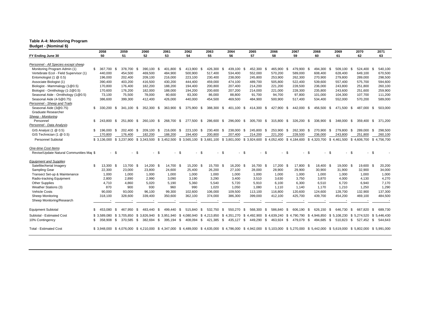**Table A-4: Monitoring Program** 

|                                          | 2058                                                |        | 2059        |          | 2060        |      | 2061        |      | 2062        |     | 2063        |      | 2064        |      | 2065                                                                                            |      | 2066        |      | 2067        |      | 2068        |      | 2069        |      | 2070                    |     | 2071        |
|------------------------------------------|-----------------------------------------------------|--------|-------------|----------|-------------|------|-------------|------|-------------|-----|-------------|------|-------------|------|-------------------------------------------------------------------------------------------------|------|-------------|------|-------------|------|-------------|------|-------------|------|-------------------------|-----|-------------|
| FY Ending June 30                        | 50                                                  |        | 51          |          | 52          |      | 53          |      | 54          |     | 55          |      | 56          |      | 57                                                                                              |      | 58          |      | 59          |      | 60          |      | 61          |      | 62                      |     | 63          |
|                                          |                                                     |        |             |          |             |      |             |      |             |     |             |      |             |      |                                                                                                 |      |             |      |             |      |             |      |             |      |                         |     |             |
| Personnel - All Species except sheep     |                                                     |        |             |          |             |      |             |      |             |     |             |      |             |      |                                                                                                 |      |             |      |             |      |             |      |             |      |                         |     |             |
| Monitoring Program Admin (1)             | \$<br>367,700                                       | - \$   | 378,700     |          | 390,100     | . ኖ  | 401.800     | .ኖ   | 413.900     | . ፍ | 426,300     | -\$  | 439,100     | -\$  | 452,300                                                                                         | -9   | 465.900     | ؟.   | 479,900 \$  |      | 494,300     | - \$ | 509,100     | - \$ | 524,400                 |     | 540,100     |
| Vertebrate Ecol - Field Supervisor (1)   | 440,000                                             |        | 454,500     |          | 469,500     |      | 484,900     |      | 500,900     |     | 517,400     |      | 534,400     |      | 552,000                                                                                         |      | 570,200     |      | 589,000     |      | 608,400     |      | 628,400     |      | 649,100                 |     | 670,500     |
| Entomologist (1 @ 0.5)                   | 196,000                                             |        | 202,400     |          | 209,100     |      | 216,000     |      | 223,100     |     | 230,400     |      | 238,000     |      | 245,800                                                                                         |      | 253,900     |      | 262,300     |      | 270,900     |      | 279,800     |      | 289,000                 |     | 298,500     |
| Associate Biologist (1)                  | 390,400                                             |        | 403,200     |          | 416,500     |      | 430,200     |      | 444,400     |     | 459,000     |      | 474,100     |      | 489,700                                                                                         |      | 505,800     |      | 522,400     |      | 539,600     |      | 557,400     |      | 575,700                 |     | 594,600     |
| Biologist - Mammalogy (1@0.5)            | 170,800                                             |        | 176,400     |          | 182,200     |      | 188,200     |      | 194,400     |     | 200,800     |      | 207,400     |      | 214,200                                                                                         |      | 221,200     |      | 228,500     |      | 236,000     |      | 243,800     |      | 251,800                 |     | 260,100     |
| Biologist - Ornithology (1-2@0.5)        | 170,600                                             |        | 176,200     |          | 182,000     |      | 188,000     |      | 194,200     |     | 200,600     |      | 207,200     |      | 214,000                                                                                         |      | 221,000     |      | 228,300     |      | 235,800     |      | 243,600     |      | 251,600                 |     | 259,900     |
| Seasonal Aide - Ornithology (1@0.5)      | 73.100                                              |        | 75,500      |          | 78.000      |      | 80.600      |      | 83.300      |     | 86.000      |      | 88,800      |      | 91.700                                                                                          |      | 94,700      |      | 97.800      |      | 101.000     |      | 104,300     |      | 107.700                 |     | 111,200     |
| Seasonal Aide (4-5@0.75)                 | 386,600                                             |        | 399,300     |          | 412,400     |      | 426,000     |      | 440,000     |     | 454,500     |      | 469,500     |      | 484,900                                                                                         |      | 500,900     |      | 517,400     |      | 534,400     |      | 552,000     |      | 570,200                 |     | 589,000     |
| Personnel - Sheep and Trails             |                                                     |        |             |          |             |      |             |      |             |     |             |      |             |      |                                                                                                 |      |             |      |             |      |             |      |             |      |                         |     |             |
| Seasonal Aide (3@0.75)                   | \$<br>330.200                                       | - \$   | 341.100 \$  |          | 352,300 \$  |      | 363.900     | - \$ | 375,900 \$  |     | 388,300     | - \$ | 401.100     | -\$  | 414,300                                                                                         | - \$ | 427,900 \$  |      | 442,000 \$  |      | 456,500     | - \$ | 471.500     | \$   | 487,000 \$              |     | 503.000     |
| Graduate Researcher                      |                                                     |        |             |          |             |      |             |      |             |     |             |      |             |      |                                                                                                 |      |             |      |             |      |             |      |             |      |                         |     |             |
| Sheep - Monitorina                       |                                                     |        |             |          |             |      |             |      |             |     |             |      |             |      |                                                                                                 |      |             |      |             |      |             |      |             |      |                         |     |             |
| Personnel                                | \$<br>243.800                                       | - \$   | 251.800 \$  |          | 260.100 \$  |      | 268.700 \$  |      | 277.500 \$  |     | 286,600 \$  |      | 296.000     | - \$ | 305.700                                                                                         | - \$ | 315,800 \$  |      | 326.200 \$  |      | 336.900 \$  |      | 348.000     | - \$ | 359.400 \$              |     | 371,200     |
| Personnel - Data Analysis                |                                                     |        |             |          |             |      |             |      |             |     |             |      |             |      |                                                                                                 |      |             |      |             |      |             |      |             |      |                         |     |             |
| GIS Analyst (1 @ 0.5)                    | \$<br>196.000                                       | - \$   | 202.400     | - \$     | 209.100 \$  |      | 216.000     | - \$ | 223.100 \$  |     | 230,400     | - \$ | 238,000     | -\$  | 245.800                                                                                         | - \$ | 253,900     | - \$ | 262,300 \$  |      | 270.900 \$  |      | 279.800 \$  |      | 289,000 \$              |     | 298,500     |
| GIS Technician (1 @ 0.5)                 | 170.800                                             |        | 176,400     |          | 182,200     |      | 188,200     |      | 194,400     |     | 200,800     |      | 207,400     |      | 214,200                                                                                         |      | 221,200     |      | 228,500     |      | 236.000     |      | 243,800     |      | 251,800                 |     | 260,100     |
| <b>Personnel Subtotal</b>                | \$3.136.000                                         |        | \$3,237,900 |          | \$3,343,500 |      | \$3,452,500 |      | \$3,565,100 |     | \$3,681,100 |      | \$3,801,000 |      | \$3,924,600                                                                                     |      | \$4,052,400 |      | \$4,184,600 |      | \$4,320,700 |      | \$4.461.500 |      | \$4.606.700             |     | \$4.756.700 |
|                                          |                                                     |        |             |          |             |      |             |      |             |     |             |      |             |      |                                                                                                 |      |             |      |             |      |             |      |             |      |                         |     |             |
| One-time Cost Items                      |                                                     | $-$ \$ |             | \$       |             | - \$ |             | - \$ |             | -\$ |             | -\$  |             |      | - \$                                                                                            |      |             | - \$ |             | - \$ |             | -\$  |             | S.   |                         |     |             |
| Revise/Update Natural Communities Mar \$ |                                                     |        |             |          |             |      |             |      |             |     |             |      |             | \$   |                                                                                                 |      |             |      |             |      |             |      |             |      |                         |     |             |
| <b>Equipment and Supplies</b>            |                                                     |        |             |          |             |      |             |      |             |     |             |      |             |      |                                                                                                 |      |             |      |             |      |             |      |             |      |                         |     |             |
| Satellite/Aerial Imagery                 | \$<br>13,300 \$                                     |        | 13,700 \$   |          | 14,200 \$   |      | 14,700 \$   |      | 15,200 \$   |     | 15,700 \$   |      | 16,200 \$   |      | 16,700 \$                                                                                       |      | 17,200 \$   |      | 17,800 \$   |      | 18.400 \$   |      | 19,000 \$   |      | 19,600 \$               |     | 20,200      |
| Sampling Gear                            | 22,300                                              |        | 23,000      |          | 23,800      |      | 24,600      |      | 25,400      |     | 26,200      |      | 27,100      |      | 28,000                                                                                          |      | 28,900      |      | 29,900      |      | 30,900      |      | 31,900      |      | 32,900                  |     | 34,000      |
| Transect Set-up & Maintenance            | 1.000                                               |        | 1.000       |          | 1.000       |      | 1.000       |      | 1.000       |     | 1.000       |      | 1.000       |      | 1.000                                                                                           |      | 1.000       |      | 1.000       |      | 1.000       |      | 1.000       |      | 1.000                   |     | 1.000       |
| Radio-tracking Equipment                 | 2.800                                               |        | 2.890       |          | 2.990       |      | 3.090       |      | 3.190       |     | 3.290       |      | 3.400       |      | 3.510                                                                                           |      | 3.630       |      | 3.750       |      | 3.870       |      | 4.000       |      | 4.130                   |     | 4.270       |
| <b>Other Supplies</b>                    | 4.710                                               |        | 4,860       |          | 5,020       |      | 5,190       |      | 5,360       |     | 5,540       |      | 5,720       |      | 5,910                                                                                           |      | 6,100       |      | 6,300       |      | 6,510       |      | 6,720       |      | 6,940                   |     | 7,170       |
| Weather Stations (3)                     | 870                                                 |        | 900         |          | 930         |      | 960         |      | 990         |     | 1.020       |      | 1.050       |      | 1.080                                                                                           |      | 1.110       |      | 1.140       |      | 1.170       |      | 1.210       |      | 1.250                   |     | 1.290       |
| <b>Vehicle Costs</b>                     | 90.000                                              |        | 93.000      |          | 96.100      |      | 99.300      |      | 102.600     |     | 106.000     |      | 109.500     |      | 113.100                                                                                         |      | 116.800     |      | 120.600     |      | 124.600     |      | 128.700     |      | 132.900                 |     | 137,300     |
| Sheep Monitoring                         | 318,100                                             |        | 328,600     |          | 339,400     |      | 350,600     |      | 362,100     |     | 374,000     |      | 386,300     |      | 399,000                                                                                         |      | 412,100     |      | 425,700     |      | 439,700     |      | 454,200     |      | 469,100                 |     | 484,500     |
| Sheep Monitoring/Research                |                                                     |        |             |          |             |      |             |      |             |     |             |      |             |      |                                                                                                 |      |             |      |             |      |             |      |             |      |                         |     |             |
| <b>Equipment Subtotal</b>                | \$<br>453.080                                       | -S     | 467.950     | - 35     | 483.440     | -\$  | 499.440     | - \$ | 515.840     | \$  | 532.750     | \$   | 550.270     | £.   | 568,300                                                                                         | \$   | 586.840     | -\$  | 606.190     | -\$  | 626.150     | \$   | 646,730     | - \$ | 667.820                 | -\$ | 689.730     |
| Subtotal - Estimated Cost                | \$3.589.080                                         |        | \$3.705.850 | -\$      | 3.826.940   |      | \$3.951.940 | - \$ | 4.080.940   | \$  | 4.213.850   |      | \$4.351.270 | \$   | 4.492.900                                                                                       | \$   | 4.639.240   |      | \$4,790,790 | - \$ | 4.946.850   | - \$ | 5.108.230   |      | $$5.274.520$ \$         |     | 5.446.430   |
| 10% Contingency                          | \$<br>358.908                                       | \$     | 370,585     | <b>S</b> | 382,694     | - \$ | 395,194 \$  |      | 408,094 \$  |     | 421,385     | \$   | 435,127     | \$   | 449.290                                                                                         | - \$ | 463.924     | - \$ | 479.079 \$  |      | 494.685     | \$   | 510.823     | \$   | 527,452 \$              |     | 544,643     |
| <b>Total - Estimated Cost</b>            | \$ 3.948.000 \$ 4.076.000 \$ 4.210.000 \$ 4.347.000 |        |             |          |             |      |             |      |             |     |             |      |             |      | \$4,489,000 \$4,635,000 \$4,786,000 \$4,942,000 \$5,103,000 \$5,270,000 \$5,442,000 \$5,619,000 |      |             |      |             |      |             |      |             |      | \$5.802.000 \$5.991.000 |     |             |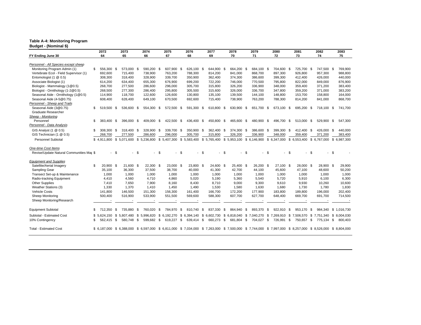**Table A-4: Monitoring Program** 

|                                          | 2072            |          | 2073                                                                                                                    |      | 2074         |        | 2075       |        | 2076       |      | 2077                                                                                            |          | 2078       |        | 2079       |     | 2080            |      | 2081       |        | 2082                      |      | 2083                 |
|------------------------------------------|-----------------|----------|-------------------------------------------------------------------------------------------------------------------------|------|--------------|--------|------------|--------|------------|------|-------------------------------------------------------------------------------------------------|----------|------------|--------|------------|-----|-----------------|------|------------|--------|---------------------------|------|----------------------|
| FY Ending June 30                        | 64              |          | 65                                                                                                                      |      | 66           |        | 67         |        | 68         |      | 69                                                                                              |          | 70         |        | 71         |     | 72              |      | 73         |        | 74                        |      | 75                   |
| Personnel - All Species except sheep     |                 |          |                                                                                                                         |      |              |        |            |        |            |      |                                                                                                 |          |            |        |            |     |                 |      |            |        |                           |      |                      |
| Monitoring Program Admin (1)             | \$<br>556.300   | -\$      | 573,000 \$                                                                                                              |      | 590,200 \$   |        | 607,900 \$ |        | 626.100 \$ |      | 644,900 \$                                                                                      |          | 664.200 \$ |        | 684,100 \$ |     | 704.600 \$      |      | 725,700 \$ |        | 747.500 \$                |      | 769,900              |
| Vertebrate Ecol - Field Supervisor (1)   | 692,600         |          | 715,400                                                                                                                 |      | 738.900      |        | 763,200    |        | 788,300    |      | 814,200                                                                                         |          | 841,000    |        | 868.700    |     | 897,300         |      | 926.800    |        | 957,300                   |      | 988.800              |
| Entomologist (1 @ 0.5)                   | 308,300         |          | 318,400                                                                                                                 |      | 328,900      |        | 339,700    |        | 350,900    |      | 362,400                                                                                         |          | 374,300    |        | 386,600    |     | 399,300         |      | 412,400    |        | 426,000                   |      | 440,000              |
| Associate Biologist (1)                  | 614,200         |          | 634,400                                                                                                                 |      | 655,300      |        | 676,900    |        | 699,200    |      | 722,200                                                                                         |          | 746,000    |        | 770,500    |     | 795,800         |      | 822,000    |        | 849,000                   |      | 876,900              |
| Biologist - Mammalogy (1@0.5)            | 268,700         |          | 277,500                                                                                                                 |      | 286,600      |        | 296,000    |        | 305,700    |      | 315,800                                                                                         |          | 326,200    |        | 336,900    |     | 348,000         |      | 359,400    |        | 371,200                   |      | 383,400              |
| Biologist - Ornithology (1-2@0.5)        | 268,500         |          | 277,300                                                                                                                 |      | 286,400      |        | 295,800    |        | 305,500    |      | 315,600                                                                                         |          | 326,000    |        | 336,700    |     | 347,800         |      | 359,200    |        | 371,000                   |      | 383,200              |
| Seasonal Aide - Ornithology (1@0.5)      | 114,900         |          | 118,700                                                                                                                 |      | 122,600      |        | 126,600    |        | 130,800    |      | 135,100                                                                                         |          | 139,500    |        | 144,100    |     | 148,800         |      | 153,700    |        | 158,800                   |      | 164,000              |
| Seasonal Aide (4-5@0.75)                 | 608,400         |          | 628,400                                                                                                                 |      | 649,100      |        | 670,500    |        | 692,600    |      | 715,400                                                                                         |          | 738,900    |        | 763,200    |     | 788,300         |      | 814,200    |        | 841,000                   |      | 868,700              |
| Personnel - Sheep and Trails             |                 |          |                                                                                                                         |      |              |        |            |        |            |      |                                                                                                 |          |            |        |            |     |                 |      |            |        |                           |      |                      |
| Seasonal Aide (3@0.75)                   | \$<br>519,500   | - \$     | 536,600 \$                                                                                                              |      | 554,300 \$   |        | 572,500 \$ |        | 591,300 \$ |      | 610,800                                                                                         | - \$     | 630,900 \$ |        | 651.700    | \$  | 673,100 \$      |      | 695,200    | - \$   | 718,100 \$                |      | 741,700              |
| Graduate Researcher                      |                 |          |                                                                                                                         |      |              |        |            |        |            |      |                                                                                                 |          |            |        |            |     |                 |      |            |        |                           |      |                      |
| Sheep - Monitoring                       |                 |          |                                                                                                                         |      |              |        |            |        |            |      |                                                                                                 |          |            |        |            |     |                 |      |            |        |                           |      |                      |
| Personnel                                | \$<br>383.400   | -\$      | 396,000 \$                                                                                                              |      | 409.000 \$   |        | 422.500 \$ |        | 436.400 \$ |      | 450.800 \$                                                                                      |          | 465,600 \$ |        | 480.900    | S.  | 496.700 \$      |      | 513.000    | - \$   | 529.900 \$                |      | 547.300              |
| Personnel - Data Analysis                |                 |          |                                                                                                                         |      |              |        |            |        |            |      |                                                                                                 |          |            |        |            |     |                 |      |            |        |                           |      |                      |
| GIS Analyst (1 @ 0.5)                    | \$<br>308.300   | \$       | 318,400 \$                                                                                                              |      | 328,900 \$   |        | 339,700 \$ |        | 350,900 \$ |      | 362,400 \$                                                                                      |          | 374,300 \$ |        | 386,600    | -\$ | 399,300 \$      |      | 412,400 \$ |        | 426,000 \$                |      | 440,000              |
| GIS Technician (1 @ 0.5)                 | 268,700         |          | 277,500                                                                                                                 |      | 286,600      |        | 296,000    |        | 305,700    |      | 315,800                                                                                         |          | 326,200    |        | 336,900    |     | 348,000         |      | 359,400    |        | 371,200                   |      | 383,400              |
| <b>Personnel Subtotal</b>                |                 |          | \$4.911.800 \$5.071.600                                                                                                 |      |              |        |            |        |            |      | \$5,236,800 \$5,407,300 \$5,583,400 \$5,765,400 \$5,953,100 \$6,146,900 \$6,347,000 \$6,553,400 |          |            |        |            |     |                 |      |            |        | \$ 6,767,000 \$ 6,987,300 |      |                      |
| <b>One-time Cost Items</b>               |                 |          |                                                                                                                         |      |              |        |            |        |            |      |                                                                                                 |          |            |        |            |     |                 |      |            |        |                           |      |                      |
| Revise/Update Natural Communities Mar \$ |                 | $-$ \$   |                                                                                                                         | - \$ |              | $-$ \$ |            | $-$ \$ |            | - \$ | $\overline{a}$                                                                                  | <b>S</b> |            | $-$ \$ |            | \$  |                 | - \$ |            | $-$ \$ |                           | - \$ |                      |
| <b>Equipment and Supplies</b>            |                 |          |                                                                                                                         |      |              |        |            |        |            |      |                                                                                                 |          |            |        |            |     |                 |      |            |        |                           |      |                      |
| Satellite/Aerial Imagery                 | \$<br>20.900 \$ |          | 21,600 \$                                                                                                               |      | 22,300 \$    |        | 23,000 \$  |        | 23,800 \$  |      | 24,600 \$                                                                                       |          | 25,400 \$  |        | 26,200 \$  |     | 27.100 \$       |      | 28,000 \$  |        | 28,900 \$                 |      | 29,900               |
| Sampling Gear                            | 35,100          |          | 36,300                                                                                                                  |      | 37,500       |        | 38,700     |        | 40,000     |      | 41,300                                                                                          |          | 42,700     |        | 44,100     |     | 45,600          |      | 47,100     |        | 48,600                    |      | 50,200               |
| Transect Set-up & Maintenance            | 1,000           |          | 1,000                                                                                                                   |      | 1,000        |        | 1,000      |        | 1,000      |      | 1,000                                                                                           |          | 1,000      |        | 1,000      |     | 1,000           |      | 1,000      |        | 1,000                     |      | 1,000                |
| Radio-tracking Equipment                 | 4,410           |          | 4,560                                                                                                                   |      | 4,710        |        | 4,860      |        | 5,020      |      | 5,190                                                                                           |          | 5,360      |        | 5,540      |     | 5,720           |      | 5,910      |        | 6,100                     |      | 6,300                |
| <b>Other Supplies</b>                    | 7,410           |          | 7,650                                                                                                                   |      | 7,900        |        | 8,160      |        | 8,430      |      | 8,710                                                                                           |          | 9,000      |        | 9,300      |     | 9,610           |      | 9,930      |        | 10,260                    |      | 10,600               |
| Weather Stations (3)                     | 1,330           |          | 1,370                                                                                                                   |      | 1,410        |        | 1,450      |        | 1,490      |      | 1,530                                                                                           |          | 1,580      |        | 1,630      |     | 1,680           |      | 1,730      |        | 1,780                     |      | 1,830                |
| <b>Vehicle Costs</b>                     | 141,800         |          | 146,500                                                                                                                 |      | 151,300      |        | 156,300    |        | 161,400    |      | 166,700                                                                                         |          | 172,200    |        | 177,900    |     | 183,800         |      | 189,800    |        | 196,000                   |      | 202,400              |
| Sheep Monitoring                         | 500,400         |          | 516,900                                                                                                                 |      | 533,900      |        | 551,500    |        | 569,600    |      | 588,300                                                                                         |          | 607,700    |        | 627,700    |     | 648,400         |      | 669,700    |        | 691,700                   |      | 714,500              |
| Sheep Monitoring/Research                |                 |          |                                                                                                                         |      |              |        |            |        |            |      |                                                                                                 |          |            |        |            |     |                 |      |            |        |                           |      |                      |
| <b>Equipment Subtotal</b>                | \$<br>712.350   | \$       | 735.880                                                                                                                 | -\$  | 760.020      | - \$   | 784,970    | -\$    | 810.740    | \$   | 837,330                                                                                         | \$       | 864.940    | -\$    | 893,370    | S   | 922.910         | -\$  | 953.170    | \$     |                           |      | 984.340 \$ 1.016.730 |
| Subtotal - Estimated Cost                | \$5.624.150     |          | \$5.807.480                                                                                                             | - \$ | 5.996.820 \$ |        | 6.192.270  | \$     | 6.394.140  | \$   | 6.602.730                                                                                       | - \$     | 6.818.040  | \$     | 7.040.270  |     | $$7.269.910$ \$ |      | 7.506.570  | - \$   | 7.751.340 \$ 8.004.030    |      |                      |
| 10% Contingency                          | \$<br>562.415   | <b>S</b> | 580.748 \$                                                                                                              |      | 599,682 \$   |        | 619,227    | -S     | 639.414 \$ |      | 660,273                                                                                         | - \$     | 681,804 \$ |        | 704,027    | \$  | 726,991 \$      |      | 750,657 \$ |        | 775,134 \$                |      | 800.403              |
| <b>Total - Estimated Cost</b>            |                 |          | \$6.187.000 \$6.388.000 \$6.597.000 \$6.811.000 \$7.034.000 \$7.263.000 \$7.500.000 \$7.744.000 \$7.997.000 \$8.257.000 |      |              |        |            |        |            |      |                                                                                                 |          |            |        |            |     |                 |      |            |        | \$ 8.526,000 \$ 8.804,000 |      |                      |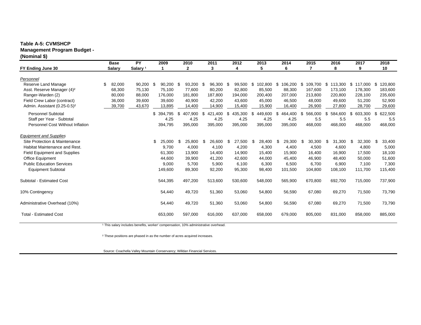|                                          | <b>Base</b>  | <b>PY</b>           | 2009      | 2010          |      | 2011      | 2012          |     | 2013    | 2014          |     | 2015       |    | 2016    |    | 2017    | 2018          |
|------------------------------------------|--------------|---------------------|-----------|---------------|------|-----------|---------------|-----|---------|---------------|-----|------------|----|---------|----|---------|---------------|
| FY Ending June 30                        | Salary       | Salary <sup>1</sup> | 1         | $\mathbf{2}$  |      | 3         | 4             |     | 5       | 6             |     | 7          |    | 8       |    | 9       | 10            |
|                                          |              |                     |           |               |      |           |               |     |         |               |     |            |    |         |    |         |               |
| Personnel<br>Reserve Land Manage         | \$<br>82,000 | 90,200 \$           | 90,200 \$ | 93,200        | -\$  | 96,300 \$ | 99,500        | \$  | 102,800 | \$<br>106,200 | \$  | 109.700 \$ |    | 113,300 | \$ | 117.000 | \$<br>120,800 |
| Asst. Reserve Manager (4) <sup>2</sup>   | 68,300       | 75,130              | 75,100    | 77,600        |      | 80,200    | 82,800        |     | 85,500  | 88,300        |     | 167,600    |    | 173,100 |    | 178,300 | 183,600       |
| Ranger-Warden (2)                        | 80,000       | 88,000              | 176,000   | 181.800       |      | 187.800   | 194.000       |     | 200,400 | 207,000       |     | 213,800    |    | 220,800 |    | 228.100 | 235,600       |
| Field Crew Labor (contract)              | 36,000       | 39,600              | 39,600    | 40,900        |      | 42,200    | 43,600        |     | 45,000  | 46,500        |     | 48,000     |    | 49,600  |    | 51,200  | 52,900        |
| Admin. Assistant (0.25-0.5) <sup>2</sup> | 39,700       | 43,670              | 13,895    | 14,400        |      | 14,900    | 15,400        |     | 15,900  | 16,400        |     | 26,900     |    | 27,800  |    | 28,700  | 29,600        |
|                                          |              |                     |           |               |      |           |               |     |         |               |     |            |    |         |    |         |               |
| <b>Personnel Subtotal</b>                |              |                     | \$394,795 | \$<br>407,900 | S.   | 421.400   | \$<br>435,300 | \$  | 449.600 | \$<br>464.400 | \$  | 566,000    | -S | 584.600 | S. | 603,300 | \$<br>622,500 |
| Staff per Year - Subtotal                |              |                     | 4.25      | 4.25          |      | 4.25      | 4.25          |     | 4.25    | 4.25          |     | 5.5        |    | 5.5     |    | 5.5     | 5.5           |
| Personnel Cost Without Inflation         |              |                     | 394,795   | 395,000       |      | 395,000   | 395,000       |     | 395,000 | 395,000       |     | 468,000    |    | 468,000 |    | 468,000 | 468,000       |
|                                          |              |                     |           |               |      |           |               |     |         |               |     |            |    |         |    |         |               |
| <b>Equipment and Supplies</b>            |              |                     |           |               |      |           |               |     |         |               |     |            |    |         |    |         |               |
| Site Protection & Maintenance            |              |                     | 25,000    | \$<br>25,800  | - \$ | 26,600    | \$<br>27,500  | \$. | 28,400  | \$<br>29,300  | \$. | 30,300     | \$ | 31,300  | \$ | 32,300  | \$<br>33,400  |
| Habitat Maintenance and Rest.            |              |                     | 9,700     | 4,000         |      | 4,100     | 4,200         |     | 4,300   | 4,400         |     | 4,500      |    | 4,600   |    | 4,800   | 5,000         |
| <b>Field Equipment and Supplies</b>      |              |                     | 61,300    | 13,900        |      | 14,400    | 14,900        |     | 15,400  | 15,900        |     | 16,400     |    | 16,900  |    | 17,500  | 18,100        |
| Office Equipment                         |              |                     | 44,600    | 39,900        |      | 41,200    | 42,600        |     | 44,000  | 45,400        |     | 46,900     |    | 48,400  |    | 50,000  | 51,600        |
| <b>Public Education Services</b>         |              |                     | 9,000     | 5,700         |      | 5,900     | 6.100         |     | 6,300   | 6,500         |     | 6.700      |    | 6,900   |    | 7,100   | 7,300         |
| <b>Equipment Subtotal</b>                |              |                     | 149,600   | 89,300        |      | 92,200    | 95,300        |     | 98,400  | 101,500       |     | 104,800    |    | 108,100 |    | 111,700 | 115,400       |
| Subtotal - Estimated Cost                |              |                     | 544,395   | 497,200       |      | 513,600   | 530,600       |     | 548,000 | 565,900       |     | 670,800    |    | 692,700 |    | 715,000 | 737,900       |
| 10% Contingency                          |              |                     | 54,440    | 49,720        |      | 51,360    | 53,060        |     | 54,800  | 56,590        |     | 67,080     |    | 69,270  |    | 71,500  | 73,790        |
| Administrative Overhead (10%)            |              |                     | 54,440    | 49,720        |      | 51,360    | 53,060        |     | 54,800  | 56,590        |     | 67,080     |    | 69,270  |    | 71,500  | 73,790        |
| <b>Total - Estimated Cost</b>            |              |                     | 653,000   | 597,000       |      | 616,000   | 637,000       |     | 658,000 | 679,000       |     | 805,000    |    | 831,000 |    | 858,000 | 885,000       |

<sup>1</sup> This salary includes benefits, worker' compensation, 10% administrative overhead.

² These positions are phased in as the number of acres acquired increases.

Source: Coachella Valley Mountain Conservancy; Willdan Financial Services.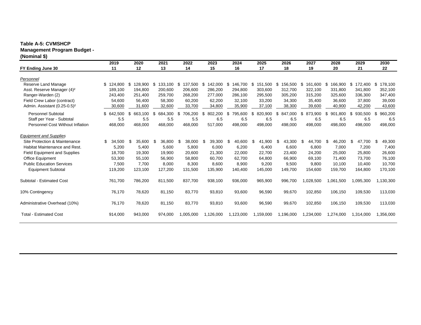|                                                                                                   | 2019                        | 2020                             | 2021                            | 2022                            | 2023                            | 2024                            | 2025                            | 2026                            | 2027                            | 2028                            | 2029                            | 2030                            |
|---------------------------------------------------------------------------------------------------|-----------------------------|----------------------------------|---------------------------------|---------------------------------|---------------------------------|---------------------------------|---------------------------------|---------------------------------|---------------------------------|---------------------------------|---------------------------------|---------------------------------|
| FY Ending June 30                                                                                 | 11                          | 12                               | 13                              | 14                              | 15                              | 16                              | 17                              | 18                              | 19                              | 20                              | 21                              | 22                              |
| Personnel                                                                                         |                             |                                  |                                 |                                 |                                 |                                 |                                 |                                 |                                 |                                 |                                 |                                 |
| Reserve Land Manage<br>Asst. Reserve Manager (4) <sup>2</sup>                                     | \$124.800<br>189,100        | 128.900<br>-S<br>194,800         | 133,100 \$<br>\$<br>200,600     | 137,500<br>206,600              | 142.000<br>\$<br>286,200        | 146.700<br>\$<br>294,800        | 151.500<br>\$<br>303,600        | 156.500<br>\$<br>312,700        | 161.600<br>\$<br>322,100        | 166.900<br>- \$<br>331,800      | \$<br>172.400<br>341,800        | 178,100<br>\$<br>352,100        |
| Ranger-Warden (2)<br>Field Crew Labor (contract)<br>Admin. Assistant (0.25-0.5) <sup>2</sup>      | 243,400<br>54,600<br>30,600 | 251.400<br>56,400<br>31,600      | 259,700<br>58,300<br>32,600     | 268,200<br>60,200<br>33,700     | 277.000<br>62,200<br>34,800     | 286,100<br>32.100<br>35,900     | 295,500<br>33,200<br>37,100     | 305,200<br>34,300<br>38,300     | 315,200<br>35,400<br>39,600     | 325,600<br>36,600<br>40,900     | 336.300<br>37,800<br>42,200     | 347,400<br>39,000<br>43,600     |
| <b>Personnel Subtotal</b><br>Staff per Year - Subtotal<br><b>Personnel Cost Without Inflation</b> | \$642,500<br>5.5<br>468,000 | 663.100<br>\$.<br>5.5<br>468.000 | 684.300<br>\$<br>5.5<br>468,000 | 706,200<br>\$<br>5.5<br>468,000 | 802.200<br>\$<br>6.5<br>517,000 | 795.600<br>\$<br>6.5<br>498,000 | 820.900<br>\$<br>6.5<br>498,000 | 847.000<br>\$<br>6.5<br>498,000 | 873.900<br>\$<br>6.5<br>498.000 | 901.800<br>Я.<br>6.5<br>498,000 | 930.500<br>\$<br>6.5<br>498,000 | 960,200<br>\$<br>6.5<br>498,000 |
| <b>Equipment and Supplies</b>                                                                     |                             |                                  |                                 |                                 |                                 |                                 |                                 |                                 |                                 |                                 |                                 |                                 |
| Site Protection & Maintenance<br>Habitat Maintenance and Rest.                                    | \$<br>34,500<br>5,200       | 35,600<br>\$<br>5,400            | 36,800<br>\$.<br>5,600          | 38,000<br>-\$<br>5,800          | 39,300<br>\$<br>6,000           | \$<br>40,600<br>6,200           | 41,900<br>\$.<br>6.400          | \$<br>43,300<br>6,600           | 44,700<br>\$.<br>6,800          | 46,200<br>\$<br>7,000           | 47,700<br>7,200                 | - \$<br>49,300<br>7,400         |
| <b>Field Equipment and Supplies</b><br>Office Equipment                                           | 18,700<br>53,300            | 19,300<br>55,100                 | 19,900<br>56,900                | 20.600<br>58,800                | 21,300<br>60,700                | 22,000<br>62.700                | 22,700<br>64.800                | 23,400<br>66.900                | 24,200<br>69.100                | 25,000<br>71,400                | 25,800<br>73,700                | 26,600<br>76,100                |
| <b>Public Education Services</b><br><b>Equipment Subtotal</b>                                     | 7,500<br>119,200            | 7.700<br>123,100                 | 8.000<br>127,200                | 8,300<br>131,500                | 8.600<br>135,900                | 8.900<br>140,400                | 9,200<br>145,000                | 9.500<br>149,700                | 9.800<br>154,600                | 10.100<br>159,700               | 10.400<br>164,800               | 10.700<br>170,100               |
| Subtotal - Estimated Cost                                                                         | 761,700                     | 786,200                          | 811,500                         | 837,700                         | 938,100                         | 936,000                         | 965,900                         | 996,700                         | 1,028,500                       | 1,061,500                       | 1,095,300                       | 1,130,300                       |
| 10% Contingency                                                                                   | 76,170                      | 78,620                           | 81,150                          | 83.770                          | 93,810                          | 93,600                          | 96,590                          | 99,670                          | 102,850                         | 106,150                         | 109,530                         | 113,030                         |
| Administrative Overhead (10%)                                                                     | 76,170                      | 78,620                           | 81,150                          | 83,770                          | 93,810                          | 93,600                          | 96,590                          | 99,670                          | 102,850                         | 106,150                         | 109,530                         | 113,030                         |
| <b>Total - Estimated Cost</b>                                                                     | 914,000                     | 943,000                          | 974,000                         | 1,005,000                       | 1.126.000                       | 1,123,000                       | 1.159.000                       | 1.196.000                       | 1.234.000                       | .274.000                        | 1.314.000                       | 1.356.000                       |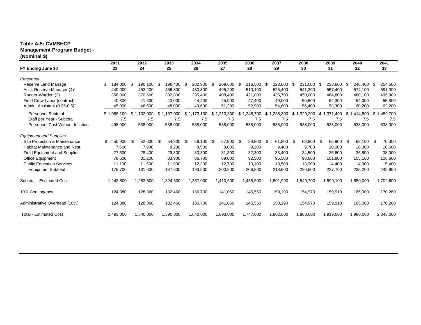|                                          | 2031          | 2032               | 2033          | 2034         | 2035            | 2036               | 2037           | 2038              | 2039        | 2040           | 2041            |
|------------------------------------------|---------------|--------------------|---------------|--------------|-----------------|--------------------|----------------|-------------------|-------------|----------------|-----------------|
| FY Ending June 30                        | 23            | 24                 | 25            | 26           | 27              | 28                 | 29             | 30                | 31          | 32             | 33              |
| Personnel                                |               |                    |               |              |                 |                    |                |                   |             |                |                 |
| Reserve Land Manage                      | \$<br>184.000 | 190,100 \$<br>- \$ | 196.400 \$    | 202,900 \$   | 209,600         | 216,500 \$<br>- \$ | 223,600        | 231,000 \$<br>-\$ | 238,600 \$  | 246.400        | 254,500<br>- \$ |
| Asst. Reserve Manager (4) <sup>2</sup>   | 440.000       | 453,200            | 466.800       | 480.800      | 495,200         | 510.100            | 525.400        | 541,200           | 557.400     | 574.100        | 591,300         |
| Ranger-Warden (2)                        | 358.800       | 370.600            | 382.800       | 395.400      | 408.400         | 421.800            | 435.700        | 450,000           | 464.800     | 480.100        | 495,900         |
| Field Crew Labor (contract)              | 40.300        | 41,600             | 43,000        | 44.400       | 45,900          | 47,400             | 49.000         | 50,600            | 52,300      | 54,000         | 55,800          |
| Admin. Assistant (0.25-0.5) <sup>2</sup> | 45,000        | 46,500             | 48,000        | 49,600       | 51,200          | 52,900             | 54,600         | 56,400            | 58,300      | 60,200         | 62,200          |
| <b>Personnel Subtotal</b>                | \$1,068,100   | .102.000<br>\$     | \$1.137.000   | \$1.173.100  | ,210,300<br>\$. | \$1,248,700        | .288.300<br>\$ | ,329,200<br>\$1   | \$1.371.400 | .414.800<br>\$ | ,459,700<br>\$1 |
| Staff per Year - Subtotal                | 7.5           | 7.5                | 7.5           | 7.5          | 7.5             | 7.5                | 7.5            | 7.5               | 7.5         | 7.5            | 7.5             |
| <b>Personnel Cost Without Inflation</b>  | 498,000       | 538,000            | 538,000       | 538,000      | 538,000         | 538,000            | 538,000        | 538,000           | 538,000     | 538,000        | 538,000         |
| <b>Equipment and Supplies</b>            |               |                    |               |              |                 |                    |                |                   |             |                |                 |
| Site Protection & Maintenance            | \$.<br>50,900 | 52,600<br>-S       | -\$<br>54,300 | 56,100<br>\$ | 57,900<br>-S    | 59,800<br>- \$     | 61,800<br>\$.  | 63,800 \$<br>- \$ | 65,900      | 68,100<br>S    | 70,300<br>- \$  |
| <b>Habitat Maintenance and Rest.</b>     | 7,600         | 7,900              | 8,200         | 8.500        | 8,800           | 9.100              | 9.400          | 9,700             | 10,000      | 10.300         | 10,600          |
| <b>Field Equipment and Supplies</b>      | 27,500        | 28,400             | 29,300        | 30,300       | 31,300          | 32,300             | 33,400         | 34,500            | 35,600      | 36,800         | 38,000          |
| Office Equipment                         | 78,600        | 81,200             | 83,900        | 86.700       | 89,600          | 92,500             | 95,500         | 98,600            | 101,800     | 105,100        | 108,600         |
| <b>Public Education Services</b>         | 11,100        | 11,500             | 11,900        | 12.300       | 12.700          | 13,100             | 13.500         | 13,900            | 14,400      | 14.900         | 15,400          |
| <b>Equipment Subtotal</b>                | 175,700       | 181,600            | 187,600       | 193,900      | 200,300         | 206,800            | 213,600        | 220,500           | 227,700     | 235,200        | 242,900         |
| Subtotal - Estimated Cost                | 1,243,800     | 1,283,600          | 1,324,600     | 1,367,000    | 1,410,600       | 1,455,500          | 1,501,900      | 1,549,700         | 1,599,100   | 1,650,000      | 1,702,600       |
| 10% Contingency                          | 124,380       | 128,360            | 132,460       | 136,700      | 141,060         | 145,550            | 150,190        | 154,970           | 159,910     | 165,000        | 170,260         |
| Administrative Overhead (10%)            | 124,380       | 128,360            | 132,460       | 136,700      | 141,060         | 145,550            | 150,190        | 154,970           | 159,910     | 165,000        | 170,260         |
| <b>Total - Estimated Cost</b>            | 1,493,000     | 1,540,000          | 1,590,000     | 1,640,000    | 1,693,000       | 1,747,000          | 1,802,000      | 1,860,000         | 1,919,000   | 1,980,000      | 2,043,000       |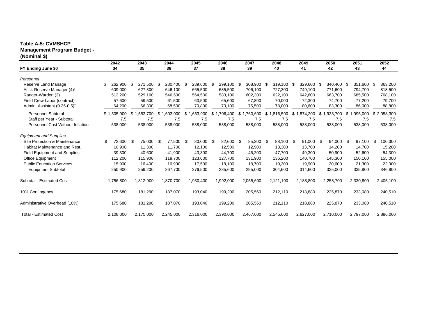|                                                  | 2042              | 2043               | 2044              | 2045               | 2046               | 2047              | 2048               | 2049              | 2050               | 2051              | 2052              |
|--------------------------------------------------|-------------------|--------------------|-------------------|--------------------|--------------------|-------------------|--------------------|-------------------|--------------------|-------------------|-------------------|
| FY Ending June 30                                | 34                | 35                 | 36                | 37                 | 38                 | 39                | 40                 | 41                | 42                 | 43                | 44                |
| Personnel                                        |                   |                    |                   |                    |                    |                   |                    |                   |                    |                   |                   |
| Reserve Land Manage<br>\$                        | 262.900           | 271.500 \$<br>- \$ | 280.400 \$        | 289,600            | 299,100 \$<br>- \$ | 308.900           | 319.100 \$<br>- \$ | 329,600           | 340.400 \$<br>- \$ | 351.600 \$        | 363,200           |
| Asst. Reserve Manager (4) <sup>2</sup>           | 609,000           | 627,300            | 646,100           | 665.500<br>564.500 | 685,500            | 706,100           | 727.300            | 749,100           | 771,600            | 794.700           | 818,500           |
| Ranger-Warden (2)<br>Field Crew Labor (contract) | 512,200<br>57,600 | 529,100<br>59,500  | 546,500<br>61,500 | 63,500             | 583,100<br>65,600  | 602,300<br>67,800 | 622,100<br>70,000  | 642,600<br>72,300 | 663,700<br>74,700  | 685,500<br>77,200 | 708,100<br>79,700 |
| Admin. Assistant (0.25-0.5) <sup>2</sup>         | 64,200            | 66,300             | 68,500            | 70,800             | 73,100             | 75,500            | 78,000             | 80,600            | 83,300             | 86,000            | 88,800            |
|                                                  |                   |                    |                   |                    |                    |                   |                    |                   |                    |                   |                   |
| <b>Personnel Subtotal</b>                        | \$1,505,900       | \$<br>1.553.700    | 1.603.000<br>\$   | \$1<br>.653.900    | .706.400<br>\$1    | \$1.760,600       | \$1.816.500        | .874.200<br>\$    | 1.933.700<br>-\$   | .995.000<br>\$.   | \$2,058,300       |
| Staff per Year - Subtotal                        | 7.5               | 7.5                | 7.5               | 7.5                | 7.5                | 7.5               | 7.5                | 7.5               | 7.5                | 7.5               | 7.5               |
| <b>Personnel Cost Without Inflation</b>          | 538,000           | 538,000            | 538,000           | 538,000            | 538,000            | 538,000           | 538,000            | 538,000           | 538,000            | 538,000           | 538,000           |
| <b>Equipment and Supplies</b>                    |                   |                    |                   |                    |                    |                   |                    |                   |                    |                   |                   |
| Site Protection & Maintenance<br>\$.             | 72.600            | \$<br>75,000 \$    | 77,500            | 80,000<br>\$       | 82,600 \$<br>\$    | 85,300            | \$<br>88,100       | 91.000<br>- \$    | 94,000<br>- \$     | 97,100<br>\$.     | 100,300<br>\$.    |
| <b>Habitat Maintenance and Rest.</b>             | 10,900            | 11,300             | 11.700            | 12.100             | 12,500             | 12,900            | 13.300             | 13.700            | 14,200             | 14.700            | 15,200            |
| <b>Field Equipment and Supplies</b>              | 39,300            | 40,600             | 41,900            | 43,300             | 44,700             | 46,200            | 47.700             | 49,300            | 50,900             | 52,600            | 54,300            |
| Office Equipment                                 | 112,200           | 115,900            | 119,700           | 123,600            | 127,700            | 131,900           | 136,200            | 140,700           | 145,300            | 150,100           | 155,000           |
| <b>Public Education Services</b>                 | 15,900            | 16,400             | 16,900            | 17.500             | 18.100             | 18.700            | 19.300             | 19,900            | 20.600             | 21.300            | 22,000            |
| <b>Equipment Subtotal</b>                        | 250,900           | 259,200            | 267,700           | 276,500            | 285,600            | 295,000           | 304,600            | 314,600           | 325,000            | 335,800           | 346,800           |
|                                                  |                   |                    |                   |                    |                    |                   |                    |                   |                    |                   |                   |
| Subtotal - Estimated Cost                        | 1,756,800         | 1,812,900          | 1,870,700         | 1,930,400          | 1,992,000          | 2,055,600         | 2,121,100          | 2,188,800         | 2,258,700          | 2,330,800         | 2,405,100         |
| 10% Contingency                                  | 175,680           | 181,290            | 187,070           | 193,040            | 199,200            | 205,560           | 212,110            | 218,880           | 225,870            | 233,080           | 240,510           |
|                                                  |                   |                    |                   |                    |                    |                   |                    |                   |                    |                   |                   |
| Administrative Overhead (10%)                    | 175,680           | 181,290            | 187,070           | 193,040            | 199,200            | 205,560           | 212,110            | 218,880           | 225,870            | 233,080           | 240,510           |
| <b>Total - Estimated Cost</b>                    | 2,108,000         | 2,175,000          | 2,245,000         | 2,316,000          | 2,390,000          | 2,467,000         | 2,545,000          | 2,627,000         | 2,710,000          | 2,797,000         | 2,886,000         |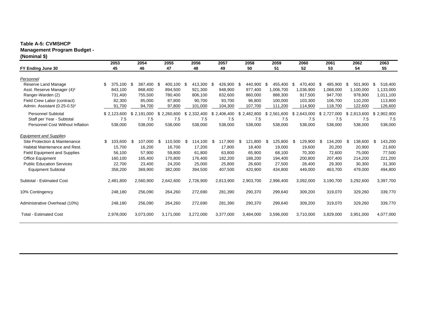|                                                                                                                                                               | 2053                                                    | 2054                                                         | 2055                                                 | 2056                                               | 2057                                                          | 2058                                               | 2059                                                        | 2060                                                          | 2061                                                          | 2062                                                          | 2063                                                            |
|---------------------------------------------------------------------------------------------------------------------------------------------------------------|---------------------------------------------------------|--------------------------------------------------------------|------------------------------------------------------|----------------------------------------------------|---------------------------------------------------------------|----------------------------------------------------|-------------------------------------------------------------|---------------------------------------------------------------|---------------------------------------------------------------|---------------------------------------------------------------|-----------------------------------------------------------------|
| FY Ending June 30                                                                                                                                             | 45                                                      | 46                                                           | 47                                                   | 48                                                 | 49                                                            | 50                                                 | 51                                                          | 52                                                            | 53                                                            | 54                                                            | 55                                                              |
| Personnel                                                                                                                                                     |                                                         |                                                              |                                                      |                                                    |                                                               |                                                    |                                                             |                                                               |                                                               |                                                               |                                                                 |
| Reserve Land Manage<br>Asst. Reserve Manager (4) <sup>2</sup><br>Ranger-Warden (2)<br>Field Crew Labor (contract)<br>Admin. Assistant (0.25-0.5) <sup>2</sup> | \$<br>375.100<br>843.100<br>731.400<br>82,300<br>91,700 | 387,400 \$<br>- \$<br>868,400<br>755,500<br>85,000<br>94,700 | 400.100 \$<br>894.500<br>780,400<br>87,800<br>97,800 | 413.300<br>921.300<br>806.100<br>90.700<br>101,000 | 426,900 \$<br>- \$<br>948,900<br>832,600<br>93,700<br>104,300 | 440.900<br>977,400<br>860,000<br>96,800<br>107,700 | 455.400<br>\$<br>1,006,700<br>888,300<br>100,000<br>111,200 | 470.400<br>- \$<br>1,036,900<br>917,500<br>103,300<br>114,900 | 485.900<br>- \$<br>1,068,000<br>947.700<br>106,700<br>118,700 | 501.900<br>- \$<br>1.100.000<br>978,900<br>110,200<br>122,600 | 518,400<br>- \$<br>1,133,000<br>1,011,100<br>113,800<br>126,600 |
| <b>Personnel Subtotal</b>                                                                                                                                     | \$2,123,600                                             | \$2.191.000                                                  | \$2.260,600                                          | \$2,332,400                                        | \$2,406,400                                                   | \$2.482,800                                        | \$2,561,600                                                 | \$2,643,000                                                   | \$2.727.000                                                   | \$2.813.600                                                   | \$2,902,900                                                     |
| Staff per Year - Subtotal                                                                                                                                     | 7.5                                                     | 7.5                                                          | 7.5                                                  | 7.5                                                | 7.5                                                           | 7.5                                                | 7.5                                                         | 7.5                                                           | 7.5                                                           | 7.5                                                           | 7.5                                                             |
| <b>Personnel Cost Without Inflation</b>                                                                                                                       | 538,000                                                 | 538,000                                                      | 538,000                                              | 538,000                                            | 538,000                                                       | 538,000                                            | 538,000                                                     | 538,000                                                       | 538,000                                                       | 538,000                                                       | 538,000                                                         |
| <b>Equipment and Supplies</b><br>Site Protection & Maintenance                                                                                                | 103.600<br>\$.                                          | \$<br>107.000                                                | 110,500<br>- \$                                      | \$<br>114,100                                      | 117,900<br>\$.                                                | -\$<br>121.800                                     | \$<br>125,800                                               | 129,900<br>£.                                                 | \$<br>134,200                                                 | 138,600<br>\$                                                 | 143,200<br>£.                                                   |
| <b>Habitat Maintenance and Rest.</b>                                                                                                                          | 15.700                                                  | 16,200                                                       | 16.700                                               | 17.200                                             | 17,800                                                        | 18,400                                             | 19.000                                                      | 19,600                                                        | 20,200                                                        | 20.900                                                        | 21,600                                                          |
| <b>Field Equipment and Supplies</b>                                                                                                                           | 56,100                                                  | 57,900                                                       | 59,800                                               | 61,800                                             | 63,800                                                        | 65,900                                             | 68,100                                                      | 70,300                                                        | 72,600                                                        | 75,000                                                        | 77,500                                                          |
| Office Equipment                                                                                                                                              | 160.100                                                 | 165,400                                                      | 170,800                                              | 176.400                                            | 182,200                                                       | 188,200                                            | 194,400                                                     | 200,800                                                       | 207,400                                                       | 214,200                                                       | 221,200                                                         |
| <b>Public Education Services</b>                                                                                                                              | 22.700                                                  | 23,400                                                       | 24.200                                               | 25,000                                             | 25,800                                                        | 26.600                                             | 27.500                                                      | 28.400                                                        | 29,300                                                        | 30.300                                                        | 31,300                                                          |
| <b>Equipment Subtotal</b>                                                                                                                                     | 358,200                                                 | 369,900                                                      | 382,000                                              | 394,500                                            | 407,500                                                       | 420,900                                            | 434,800                                                     | 449,000                                                       | 463,700                                                       | 479,000                                                       | 494,800                                                         |
| Subtotal - Estimated Cost                                                                                                                                     | 2,481,800                                               | 2,560,900                                                    | 2,642,600                                            | 2,726,900                                          | 2,813,900                                                     | 2,903,700                                          | 2,996,400                                                   | 3,092,000                                                     | 3,190,700                                                     | 3,292,600                                                     | 3,397,700                                                       |
| 10% Contingency                                                                                                                                               | 248,180                                                 | 256,090                                                      | 264,260                                              | 272,690                                            | 281,390                                                       | 290,370                                            | 299,640                                                     | 309,200                                                       | 319,070                                                       | 329,260                                                       | 339,770                                                         |
| Administrative Overhead (10%)                                                                                                                                 | 248,180                                                 | 256,090                                                      | 264,260                                              | 272,690                                            | 281,390                                                       | 290,370                                            | 299,640                                                     | 309,200                                                       | 319,070                                                       | 329,260                                                       | 339,770                                                         |
| <b>Total - Estimated Cost</b>                                                                                                                                 | 2,978,000                                               | 3,073,000                                                    | 3,171,000                                            | 3,272,000                                          | 3,377,000                                                     | 3,484,000                                          | 3,596,000                                                   | 3,710,000                                                     | 3,829,000                                                     | 3,951,000                                                     | 4,077,000                                                       |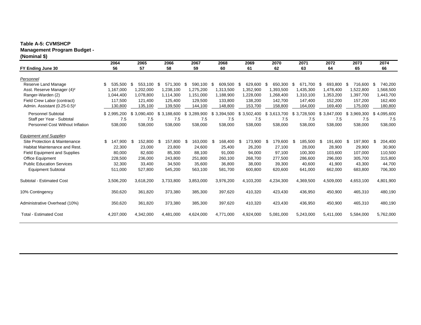|                                                                                                                                                               | 2064                                                          | 2065                                                          | 2066                                                            | 2067                                                            | 2068                                                            | 2069                                                          | 2070                                                            | 2071                                                            | 2072                                                            | 2073                                                            | 2074                                                            |
|---------------------------------------------------------------------------------------------------------------------------------------------------------------|---------------------------------------------------------------|---------------------------------------------------------------|-----------------------------------------------------------------|-----------------------------------------------------------------|-----------------------------------------------------------------|---------------------------------------------------------------|-----------------------------------------------------------------|-----------------------------------------------------------------|-----------------------------------------------------------------|-----------------------------------------------------------------|-----------------------------------------------------------------|
| FY Ending June 30                                                                                                                                             | 56                                                            | 57                                                            | 58                                                              | 59                                                              | 60                                                              | 61                                                            | 62                                                              | 63                                                              | 64                                                              | 65                                                              | 66                                                              |
| Personnel                                                                                                                                                     |                                                               |                                                               |                                                                 |                                                                 |                                                                 |                                                               |                                                                 |                                                                 |                                                                 |                                                                 |                                                                 |
| Reserve Land Manage<br>Asst. Reserve Manager (4) <sup>2</sup><br>Ranger-Warden (2)<br>Field Crew Labor (contract)<br>Admin. Assistant (0.25-0.5) <sup>2</sup> | 535.500<br>\$<br>1.167.000<br>1,044,400<br>117,500<br>130,800 | 553.100<br>\$<br>1,202,000<br>1,078,800<br>121,400<br>135,100 | 571.300<br>- \$<br>1.238.100<br>1.114.300<br>125,400<br>139,500 | 590.100<br>- \$<br>1,275,200<br>1,151,000<br>129,500<br>144,100 | 609.500<br>- \$<br>1,313,500<br>1,188,900<br>133,800<br>148,800 | 629.600<br>\$<br>1.352.900<br>1.228.000<br>138,200<br>153,700 | 650.300<br>- \$<br>1.393.500<br>1,268,400<br>142,700<br>158,800 | 671.700<br>- \$<br>1,435,300<br>1,310,100<br>147,400<br>164,000 | 693.800<br>- \$<br>1.478.400<br>1,353,200<br>152,200<br>169,400 | 716.600<br>- \$<br>1.522.800<br>1,397,700<br>157,200<br>175,000 | 740,200<br>- \$<br>1,568,500<br>1,443,700<br>162,400<br>180,800 |
| <b>Personnel Subtotal</b>                                                                                                                                     | \$2,995,200                                                   | \$3.090.400                                                   | \$3.188,600                                                     | \$3,289,900                                                     | \$3,394,500                                                     | \$3,502,400                                                   | \$3.613.700                                                     | \$3,728,500                                                     | \$3.847.000                                                     | \$3,969,300                                                     | \$4,095,600                                                     |
| Staff per Year - Subtotal                                                                                                                                     | 7.5                                                           | 7.5                                                           | 7.5                                                             | 7.5                                                             | 7.5                                                             | 7.5                                                           | 7.5                                                             | 7.5                                                             | 7.5                                                             | 7.5                                                             | 7.5                                                             |
| <b>Personnel Cost Without Inflation</b>                                                                                                                       | 538,000                                                       | 538,000                                                       | 538,000                                                         | 538,000                                                         | 538,000                                                         | 538,000                                                       | 538,000                                                         | 538,000                                                         | 538,000                                                         | 538,000                                                         | 538,000                                                         |
| <b>Equipment and Supplies</b><br>Site Protection & Maintenance                                                                                                | \$<br>147.900                                                 | \$<br>152.800                                                 | 157.800<br>-\$                                                  | 163,000<br>\$                                                   | 168,400<br>\$.                                                  | \$<br>173,900                                                 | \$<br>179,600                                                   | 185,500<br>£.                                                   | \$<br>191,600                                                   | 197,900<br>\$                                                   | 204,400<br>£.                                                   |
| <b>Habitat Maintenance and Rest.</b>                                                                                                                          | 22.300                                                        | 23,000                                                        | 23,800                                                          | 24.600                                                          | 25,400                                                          | 26,200                                                        | 27.100                                                          | 28,000                                                          | 28,900                                                          | 29,900                                                          | 30,900                                                          |
| <b>Field Equipment and Supplies</b>                                                                                                                           | 80,000                                                        | 82,600                                                        | 85,300                                                          | 88,100                                                          | 91,000                                                          | 94,000                                                        | 97,100                                                          | 100,300                                                         | 103,600                                                         | 107,000                                                         | 110,500                                                         |
| Office Equipment                                                                                                                                              | 228,500                                                       | 236,000                                                       | 243,800                                                         | 251,800                                                         | 260,100                                                         | 268,700                                                       | 277,500                                                         | 286,600                                                         | 296,000                                                         | 305,700                                                         | 315,800                                                         |
| <b>Public Education Services</b>                                                                                                                              | 32.300                                                        | 33,400                                                        | 34,500                                                          | 35.600                                                          | 36,800                                                          | 38,000                                                        | 39,300                                                          | 40.600                                                          | 41.900                                                          | 43.300                                                          | 44.700                                                          |
| <b>Equipment Subtotal</b>                                                                                                                                     | 511,000                                                       | 527,800                                                       | 545,200                                                         | 563,100                                                         | 581,700                                                         | 600,800                                                       | 620,600                                                         | 641,000                                                         | 662,000                                                         | 683,800                                                         | 706,300                                                         |
| Subtotal - Estimated Cost                                                                                                                                     | 3,506,200                                                     | 3,618,200                                                     | 3,733,800                                                       | 3,853,000                                                       | 3,976,200                                                       | 4,103,200                                                     | 4,234,300                                                       | 4,369,500                                                       | 4,509,000                                                       | 4,653,100                                                       | 4,801,900                                                       |
| 10% Contingency                                                                                                                                               | 350,620                                                       | 361,820                                                       | 373,380                                                         | 385,300                                                         | 397,620                                                         | 410,320                                                       | 423,430                                                         | 436,950                                                         | 450,900                                                         | 465,310                                                         | 480,190                                                         |
| Administrative Overhead (10%)                                                                                                                                 | 350,620                                                       | 361,820                                                       | 373,380                                                         | 385,300                                                         | 397,620                                                         | 410,320                                                       | 423,430                                                         | 436,950                                                         | 450,900                                                         | 465,310                                                         | 480,190                                                         |
| <b>Total - Estimated Cost</b>                                                                                                                                 | 4,207,000                                                     | 4,342,000                                                     | 4,481,000                                                       | 4,624,000                                                       | 4,771,000                                                       | 4,924,000                                                     | 5,081,000                                                       | 5,243,000                                                       | 5,411,000                                                       | 5,584,000                                                       | 5,762,000                                                       |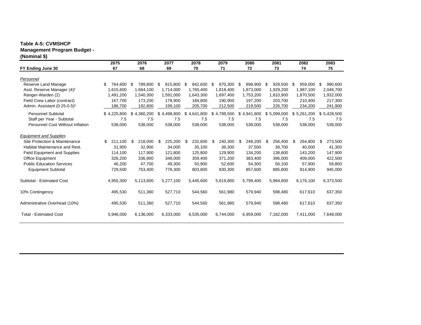|                                          | 2075          | 2076          | 2077          | 2078          | 2079          | 2080           | 2081          | 2082          | 2083          |
|------------------------------------------|---------------|---------------|---------------|---------------|---------------|----------------|---------------|---------------|---------------|
| FY Ending June 30                        | 67            | 68            | 69            | 70            | 71            | 72             | 73            | 74            | 75            |
| Personnel                                |               |               |               |               |               |                |               |               |               |
| Reserve Land Manage                      | \$<br>764,600 | \$<br>789,800 | \$<br>815,800 | 842,600<br>-S | 870,300<br>\$ | 898,900<br>\$  | 928,500<br>\$ | 959,000<br>\$ | 990,600<br>\$ |
| Asst. Reserve Manager (4) <sup>2</sup>   | 1,615,600     | 1,664,100     | 1,714,000     | 1,765,400     | 1,818,400     | 1,873,000      | 1,929,200     | 1,987,100     | 2,046,700     |
| Ranger-Warden (2)                        | 1,491,200     | 1,540,300     | 1,591,000     | 1,643,300     | 1,697,400     | 1,753,200      | 1,810,900     | 1,870,500     | 1,932,000     |
| Field Crew Labor (contract)              | 167,700       | 173,200       | 178,900       | 184,800       | 190,900       | 197,200        | 203,700       | 210,400       | 217,300       |
| Admin. Assistant (0.25-0.5) <sup>2</sup> | 186,700       | 192,800       | 199,100       | 205,700       | 212,500       | 219,500        | 226,700       | 234,200       | 241,900       |
| <b>Personnel Subtotal</b>                | \$4,225,800   | \$4,360,200   | \$4,498,800   | \$4,641,800   | \$4,789,500   | \$4,941,800    | \$5,099,000   | \$5,261,200   | \$5,428,500   |
| Staff per Year - Subtotal                | 7.5           | 7.5           | 7.5           | 7.5           | 7.5           | 7.5            | 7.5           | 7.5           | 7.5           |
| <b>Personnel Cost Without Inflation</b>  | 538,000       | 538,000       | 538,000       | 538,000       | 538,000       | 538,000        | 538,000       | 538,000       | 538,000       |
| <b>Equipment and Supplies</b>            |               |               |               |               |               |                |               |               |               |
| Site Protection & Maintenance            | \$<br>211,100 | 218,000<br>\$ | 225,200<br>\$ | 232,600<br>\$ | 240,300<br>\$ | 248,200<br>\$. | 256,400<br>\$ | 264,800<br>\$ | \$<br>273,500 |
| Habitat Maintenance and Rest.            | 31.900        | 32,900        | 34,000        | 35,100        | 36,300        | 37,500         | 38,700        | 40,000        | 41,300        |
| <b>Field Equipment and Supplies</b>      | 114,100       | 117,900       | 121,800       | 125,800       | 129,900       | 134,200        | 138,600       | 143,200       | 147,900       |
| Office Equipment                         | 326,200       | 336,900       | 348,000       | 359,400       | 371,200       | 383,400        | 396,000       | 409,000       | 422,500       |
| <b>Public Education Services</b>         | 46,200        | 47,700        | 49,300        | 50,900        | 52,600        | 54,300         | 56,100        | 57,900        | 59,800        |
| <b>Equipment Subtotal</b>                | 729,500       | 753,400       | 778,300       | 803,800       | 830,300       | 857,600        | 885,800       | 914,900       | 945,000       |
| Subtotal - Estimated Cost                | 4,955,300     | 5,113,600     | 5,277,100     | 5,445,600     | 5,619,800     | 5,799,400      | 5,984,800     | 6,176,100     | 6,373,500     |
| 10% Contingency                          | 495,530       | 511,360       | 527,710       | 544,560       | 561,980       | 579,940        | 598,480       | 617,610       | 637,350       |
| Administrative Overhead (10%)            | 495,530       | 511,360       | 527,710       | 544,560       | 561,980       | 579,940        | 598,480       | 617,610       | 637,350       |
| <b>Total - Estimated Cost</b>            | 5,946,000     | 6,136,000     | 6,333,000     | 6,535,000     | 6,744,000     | 6,959,000      | 7,182,000     | 7,411,000     | 7,648,000     |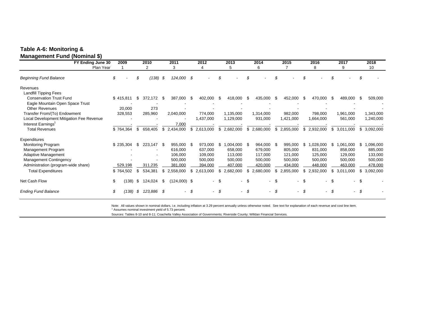| FY Ending June 30                        | 2009      |         |     | 2010    |      | 2011           |      | 2012      |      | 2013           |      | 2014                       |      | 2015      |        | 2016      |      | 2017        |      | 2018      |
|------------------------------------------|-----------|---------|-----|---------|------|----------------|------|-----------|------|----------------|------|----------------------------|------|-----------|--------|-----------|------|-------------|------|-----------|
| Plan Year                                |           |         |     | 2       |      | 3              |      | 4         |      | 5              |      | 6                          |      |           |        | 8         |      | 9           |      | 10        |
| <b>Beginning Fund Balance</b>            | \$        |         | \$  | (138)   | \$   | 124,000        | \$   |           |      |                |      |                            |      |           |        |           |      |             |      |           |
| Revenues                                 |           |         |     |         |      |                |      |           |      |                |      |                            |      |           |        |           |      |             |      |           |
| Landfill Tipping Fees                    |           |         |     |         |      |                |      |           |      |                |      |                            |      |           |        |           |      |             |      |           |
| <b>Conservation Trust Fund</b>           | \$415,811 |         | \$. | 372,172 | -S   | 387,000        | \$.  | 402,000   |      | 418,000        | \$.  | 435,000                    |      | 452,000   |        | 470,000   |      | 489,000     |      | 509,000   |
| Eagle Mountain Open Space Trust          |           |         |     |         |      |                |      |           |      |                |      |                            |      |           |        |           |      |             |      |           |
| <b>Other Revenues</b>                    |           | 20,000  |     | 273     |      |                |      |           |      |                |      |                            |      |           |        |           |      |             |      |           |
| Transfer From/(To) Endowment             |           | 328,553 |     | 285,960 |      | 2,040,000      |      | 774,000   |      | 1,135,000      |      | 1,314,000                  |      | 982,000   |        | 798,000   |      | 1,961,000   |      | 1,343,000 |
| Local Development Mitigation Fee Revenue |           |         |     |         |      |                |      | 1,437,000 |      | 1,129,000      |      | 931,000                    |      | 1,421,000 |        | 1,664,000 |      | 561,000     |      | 1,240,000 |
| Interest Earnings <sup>1</sup>           |           |         |     |         |      | 7.000          |      |           |      |                |      |                            |      |           |        |           |      |             |      |           |
| <b>Total Revenues</b>                    | \$764,364 |         | \$  | 658,405 | \$   | 2,434,000      | \$   | 2,613,000 | \$   | 2,682,000      | \$   | 2,680,000                  | \$   | 2,855,000 | \$     | 2,932,000 |      | \$3,011,000 | \$   | 3,092,000 |
| Expenditures                             |           |         |     |         |      |                |      |           |      |                |      |                            |      |           |        |           |      |             |      |           |
| <b>Monitoring Program</b>                | \$235,304 |         | \$  | 223,147 | - \$ | 955,000        | -S   | 973,000   | S    | ,004,000       | - \$ | 964,000                    | - \$ | 995,000   | \$.    | ,028,000  | S    | .061,000    | \$   | ,096,000  |
| Management Program                       |           |         |     |         |      | 616,000        |      | 637,000   |      | 658,000        |      | 679,000                    |      | 805,000   |        | 831,000   |      | 858,000     |      | 885,000   |
| Adaptive Management                      |           |         |     |         |      | 106,000        |      | 109,000   |      | 113,000        |      | 117,000                    |      | 121,000   |        | 125,000   |      | 129,000     |      | 133,000   |
| <b>Management Contingency</b>            |           |         |     |         |      | 500,000        |      | 500,000   |      | 500,000        |      | 500,000                    |      | 500,000   |        | 500,000   |      | 500,000     |      | 500,000   |
| Administration (program-wide share)      |           | 529,198 |     | 311,235 |      | 381,000        |      | 394,000   |      | 407,000        |      | 420,000                    |      | 434,000   |        | 448,000   |      | 463,000     |      | 478,000   |
| <b>Total Expenditures</b>                | \$764,502 |         | \$. | 534,381 | \$   | 2,558,000      | \$   | 2,613,000 | \$   | 2,682,000      | \$   | .680,000<br>$\overline{2}$ | S    | 2,855,000 | \$.    | 2,932,000 | S    | 3,011,000   | S    | 3,092,000 |
| Net Cash Flow                            | \$        | 138)    | \$  | 124,024 | \$   | $(124,000)$ \$ |      |           | - \$ | $\overline{a}$ | \$   | $\sim$                     | \$   |           | $-$ \$ |           | - \$ | $\sim$      | \$   |           |
| <b>Ending Fund Balance</b>               | \$        | (138)   | S   | 123,886 | -\$  |                | - \$ |           | - \$ | $\sim$         | - \$ |                            | \$   |           | - \$   |           | - \$ |             | - \$ |           |

Note: All values shown in nominal dollars, i.e. including inflation at 3.29 percent annually unless otherwise noted. See text for explanation of each revenue and cost line item.<br><sup>1</sup> Assumes nominal investment yield of 5.73

Sources: Tables 8-10 and 8-11; Coachella Valley Association of Governments; Riverside County; Willdan Financial Services.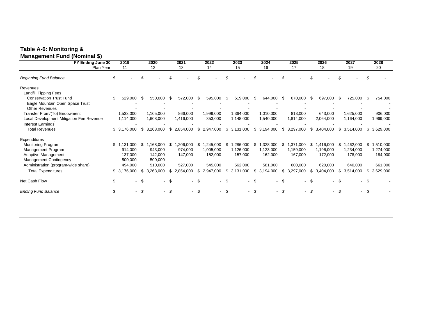| FY Ending June 30                        |               | 2019                     |      | 2020                     |        | 2021        |      | 2022        |      | 2023        |      | 2024        |        | 2025        |      | 2026      |      | 2027        |        | 2028        |
|------------------------------------------|---------------|--------------------------|------|--------------------------|--------|-------------|------|-------------|------|-------------|------|-------------|--------|-------------|------|-----------|------|-------------|--------|-------------|
| Plan Year                                |               | 11                       |      | 12                       |        | 13          |      | 14          |      | 15          |      | 16          |        | 17          |      | 18        |      | 19          |        | 20          |
| <b>Beginning Fund Balance</b>            | S             |                          |      |                          |        |             |      |             |      |             |      |             |        |             |      |           |      |             |        |             |
| Revenues                                 |               |                          |      |                          |        |             |      |             |      |             |      |             |        |             |      |           |      |             |        |             |
| <b>Landfill Tipping Fees</b>             |               |                          |      |                          |        |             |      |             |      |             |      |             |        |             |      |           |      |             |        |             |
| <b>Conservation Trust Fund</b>           |               | 529,000                  | - \$ | 550,000                  | \$.    | 572,000     | -S   | 595,000     | - \$ | 619,000     | Ж,   | 644.000     | -S     | 670,000     | S    | 697,000   | -S   | 725,000     |        | 754,000     |
| Eagle Mountain Open Space Trust          |               |                          |      |                          |        |             |      |             |      |             |      |             |        |             |      |           |      |             |        |             |
| <b>Other Revenues</b>                    |               |                          |      |                          |        |             |      |             |      |             |      |             |        |             |      |           |      |             |        |             |
| Transfer From/(To) Endowment             |               | 1,533,000                |      | 1,105,000                |        | 866,000     |      | 1,999,000   |      | 1,364,000   |      | 1,010,000   |        | 813,000     |      | 643,000   |      | 1,625,000   |        | 906,000     |
| Local Development Mitigation Fee Revenue |               | 1,114,000                |      | 1,608,000                |        | 1,416,000   |      | 353,000     |      | 1,148,000   |      | 1,540,000   |        | 1,814,000   |      | 2,064,000 |      | 1,164,000   |        | 1,969,000   |
| Interest Earnings <sup>1</sup>           |               |                          |      |                          |        |             |      |             |      |             |      |             |        |             |      |           |      |             |        |             |
| <b>Total Revenues</b>                    |               | \$3,176,000              |      | \$3,263,000              |        | \$2,854,000 |      | \$2,947,000 |      | \$3,131,000 |      | \$3,194,000 |        | \$3,297,000 | \$   | 3,404,000 |      | \$3,514,000 |        | \$3,629,000 |
| Expenditures                             |               |                          |      |                          |        |             |      |             |      |             |      |             |        |             |      |           |      |             |        |             |
| <b>Monitoring Program</b>                | $$^{\circ}$ 1 | ,131,000                 | \$   | 1,168,000                | \$     | ,206,000    | \$   | 1,245,000   | \$   | 1,286,000   | \$   | 1,328,000   | S      | 1,371,000   | \$   | 1,416,000 | \$   | 1,462,000   |        | 1,510,000   |
| <b>Management Program</b>                |               | 914,000                  |      | 943,000                  |        | 974,000     |      | 1,005,000   |      | 1,126,000   |      | 1,123,000   |        | 1,159,000   |      | 1,196,000 |      | 1,234,000   |        | 1,274,000   |
| Adaptive Management                      |               | 137,000                  |      | 142,000                  |        | 147,000     |      | 152,000     |      | 157,000     |      | 162,000     |        | 167,000     |      | 172,000   |      | 178,000     |        | 184,000     |
| <b>Management Contingency</b>            |               | 500,000                  |      | 500,000                  |        |             |      |             |      |             |      |             |        |             |      |           |      |             |        |             |
| Administration (program-wide share)      |               | 494,000                  |      | 510,000                  |        | 527,000     |      | 545,000     |      | 562,000     |      | 581,000     |        | 600,000     |      | 620,000   |      | 640,000     |        | 661,000     |
| <b>Total Expenditures</b>                |               | \$3,176,000              | \$   | 3,263,000                | \$     | 2,854,000   | \$   | 2,947,000   | \$   | 3,131,000   | \$   | 3,194,000   | \$     | 3,297,000   | \$   | 3,404,000 | \$   | 3,514,000   | S.     | 3,629,000   |
| Net Cash Flow                            |               | $\blacksquare$           | -\$  | $\overline{\phantom{a}}$ | -\$    | $\sim$      | \$   |             | - \$ |             | -S   |             | $-$ \$ |             | \$   |           | \$   |             | $-$ \$ |             |
| <b>Ending Fund Balance</b>               | \$            | $\overline{\phantom{a}}$ | - \$ |                          | $-$ \$ |             | - \$ |             | - \$ |             | - \$ |             | $-5$   | $\sim$      | - \$ |           | - \$ |             | $-5$   |             |
|                                          |               |                          |      |                          |        |             |      |             |      |             |      |             |        |             |      |           |      |             |        |             |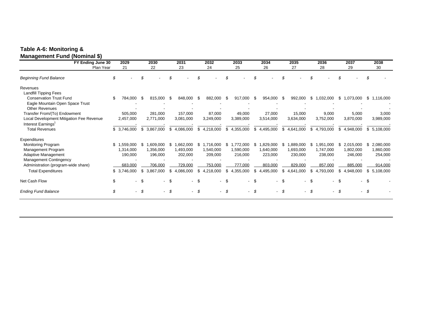| FY Ending June 30                        |               | 2029                     |      | 2030      |      | 2031      |      | 2032      |      | 2033      |    | 2034      |        | 2035      |      | 2036      |      | 2037      |        | 2038        |
|------------------------------------------|---------------|--------------------------|------|-----------|------|-----------|------|-----------|------|-----------|----|-----------|--------|-----------|------|-----------|------|-----------|--------|-------------|
| Plan Year                                |               | 21                       |      | 22        |      | 23        |      | 24        |      | 25        |    | 26        |        | 27        |      | 28        |      | 29        |        | 30          |
| <b>Beginning Fund Balance</b>            |               |                          |      |           |      |           |      |           |      |           |    |           |        |           |      |           |      |           |        |             |
| Revenues                                 |               |                          |      |           |      |           |      |           |      |           |    |           |        |           |      |           |      |           |        |             |
| <b>Landfill Tipping Fees</b>             |               |                          |      |           |      |           |      |           |      |           |    |           |        |           |      |           |      |           |        |             |
| <b>Conservation Trust Fund</b>           |               | 784,000                  | - \$ | 815,000   | \$.  | 848,000   | £.   | 882,000   |      | 917,000   |    | 954,000   |        | 992,000   | S    | ,032,000  | \$   | 1,073,000 | \$.    | 1,116,000   |
| Eagle Mountain Open Space Trust          |               |                          |      |           |      |           |      |           |      |           |    |           |        |           |      |           |      |           |        |             |
| <b>Other Revenues</b>                    |               |                          |      |           |      |           |      |           |      |           |    |           |        |           |      |           |      |           |        |             |
| Transfer From/(To) Endowment             |               | 505,000                  |      | 281,000   |      | 157,000   |      | 87,000    |      | 49,000    |    | 27,000    |        | 15,000    |      | 9,000     |      | 5,000     |        | 3,000       |
| Local Development Mitigation Fee Revenue |               | 2,457,000                |      | 2,771,000 |      | 3,081,000 |      | 3,249,000 |      | 3,389,000 |    | 3,514,000 |        | 3,634,000 |      | 3,752,000 |      | 3,870,000 |        | 3,989,000   |
| Interest Earnings <sup>1</sup>           |               |                          |      |           |      |           |      |           |      |           |    |           |        |           |      |           |      |           |        |             |
| <b>Total Revenues</b>                    |               | \$3,746,000              | \$   | 3,867,000 | \$   | 4,086,000 | \$.  | 4,218,000 | \$   | 4,355,000 | \$ | 4,495,000 | \$     | 4,641,000 | \$   | 4,793,000 | \$   | 4,948,000 |        | \$5,108,000 |
| Expenditures                             |               |                          |      |           |      |           |      |           |      |           |    |           |        |           |      |           |      |           |        |             |
| <b>Monitoring Program</b>                | $$^{\circ}$ 1 | ,559,000                 | \$   | 1,609,000 | \$   | 1,662,000 | \$   | 1,716,000 | \$   | 1,772,000 | -S | 1,829,000 | S      | 1,889,000 | \$   | ,951,000  | \$   | 2,015,000 | S      | 2,080,000   |
| <b>Management Program</b>                |               | 1,314,000                |      | 1,356,000 |      | 1,493,000 |      | 1,540,000 |      | 1,590,000 |    | 1,640,000 |        | 1,693,000 |      | 1,747,000 |      | 1,802,000 |        | 1,860,000   |
| Adaptive Management                      |               | 190,000                  |      | 196,000   |      | 202,000   |      | 209,000   |      | 216,000   |    | 223,000   |        | 230,000   |      | 238,000   |      | 246,000   |        | 254,000     |
| <b>Management Contingency</b>            |               |                          |      |           |      |           |      |           |      |           |    |           |        |           |      |           |      |           |        |             |
| Administration (program-wide share)      |               | 683,000                  |      | 706,000   |      | 729,000   |      | 753,000   |      | 777,000   |    | 803,000   |        | 829,000   |      | 857,000   |      | 885,000   |        | 914,000     |
| <b>Total Expenditures</b>                |               | \$3,746,000              | \$   | 3,867,000 | S    | 4,086,000 | \$   | 4,218,000 | S    | 4,355,000 | S  | 4,495,000 | S.     | 4,641,000 | S    | 4,793,000 | S.   | 4,948,000 | S.     | 5,108,000   |
| Net Cash Flow                            |               | $\overline{\phantom{0}}$ | -\$  | $\sim$    | - \$ | $\sim$    | \$.  |           | -\$  |           | -S |           | $-$ \$ |           | -S   |           | \$   |           | $-$ \$ |             |
| <b>Ending Fund Balance</b>               | \$            | $\overline{\phantom{a}}$ | - \$ |           | - \$ |           | $-5$ | $\sim$    | - \$ | $\sim$    | \$ |           | $-5$   | $\sim$    | - \$ | $\sim$    | - \$ |           | $-5$   |             |
|                                          |               |                          |      |           |      |           |      |           |      |           |    |           |        |           |      |           |      |           |        |             |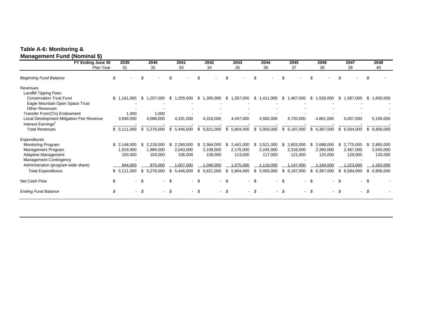| FY Ending June 30                        | 2039        | 2040                             | 2041                     | 2042            | 2043            | 2044             | 2045            | 2046            | 2047             | 2048             |
|------------------------------------------|-------------|----------------------------------|--------------------------|-----------------|-----------------|------------------|-----------------|-----------------|------------------|------------------|
| Plan Year                                | 31          | 32                               | 33                       | 34              | 35              | 36               | 37              | 38              | 39               | 40               |
| <b>Beginning Fund Balance</b>            |             |                                  |                          |                 |                 |                  |                 |                 |                  |                  |
| Revenues                                 |             |                                  |                          |                 |                 |                  |                 |                 |                  |                  |
| <b>Landfill Tipping Fees</b>             |             |                                  |                          |                 |                 |                  |                 |                 |                  |                  |
| <b>Conservation Trust Fund</b>           | \$1,161,000 | S<br>,207,000                    | ,255,000<br>\$.          | ,305,000<br>S   | .357,000<br>S   | 1,411,000<br>\$. | ,467,000<br>S   | ,526,000<br>\$. | 1,587,000<br>\$. | 1,650,000<br>\$. |
| Eagle Mountain Open Space Trust          |             |                                  |                          |                 |                 |                  |                 |                 |                  |                  |
| <b>Other Revenues</b>                    |             |                                  |                          |                 |                 |                  |                 |                 |                  |                  |
| Transfer From/(To) Endowment             | 1,000       | 1,000                            |                          |                 |                 |                  |                 |                 |                  |                  |
| Local Development Mitigation Fee Revenue | 3,949,000   | 4,068,000                        | 4,191,000                | 4,316,000       | 4,447,000       | 4,582,000        | 4,720,000       | 4,861,000       | 5,007,000        | 5,156,000        |
| Interest Earnings <sup>1</sup>           |             |                                  |                          |                 |                 |                  |                 |                 |                  |                  |
| <b>Total Revenues</b>                    | \$5,111,000 | \$5,276,000                      | \$5,446,000              | \$5,621,000     | \$5,804,000     | \$5,993,000      | \$6,187,000     | 6,387,000<br>\$ | 6,594,000<br>\$  | \$6,806,000      |
| Expenditures                             |             |                                  |                          |                 |                 |                  |                 |                 |                  |                  |
| <b>Monitoring Program</b>                | \$2,148,000 | \$<br>2,218,000                  | \$2,290,000              | 2,364,000<br>\$ | 2,441,000<br>\$ | 2,521,000<br>S.  | 2,603,000<br>S. | 2,688,000<br>\$ | 2,775,000<br>S   | 2,865,000<br>\$  |
| Management Program                       | 1,919,000   | 1,980,000                        | 2,043,000                | 2,108,000       | 2,175,000       | 2,245,000        | 2,316,000       | 2,390,000       | 2,467,000        | 2,545,000        |
| Adaptive Management                      | 100,000     | 103,000                          | 106,000                  | 109,000         | 113,000         | 117,000          | 121,000         | 125,000         | 129,000          | 133,000          |
| <b>Management Contingency</b>            |             |                                  |                          |                 |                 |                  |                 |                 |                  |                  |
| Administration (program-wide share)      | 944,000     | 975,000                          | 000,700,1                | 1,040,000       | 1,075,000       | 1,110,000        | 1,147,000       | 1,184,000       | 1,223,000        | 1,263,000        |
| <b>Total Expenditures</b>                | \$5,111,000 | \$<br>5,276,000                  | 5,446,000<br>\$          | 5,621,000<br>\$ | 5,804,000<br>\$ | \$<br>5,993,000  | \$<br>6,187,000 | 6,387,000<br>S  | 6,594,000<br>S   | 6,806,000<br>S.  |
| Net Cash Flow                            | \$.         | -\$<br>$\overline{\phantom{0}}$  | - \$<br>$\sim$<br>$\sim$ | - \$            | -\$             | -S               | $-$ \$          | \$              | - \$             | $-$ \$           |
| <b>Ending Fund Balance</b>               | £.          | - \$<br>$\overline{\phantom{a}}$ | - \$                     | $-5$            | $-5$            | - \$             | $-5$<br>$\sim$  | \$<br>$\sim$    | -\$              | $-5$             |
|                                          |             |                                  |                          |                 |                 |                  |                 |                 |                  |                  |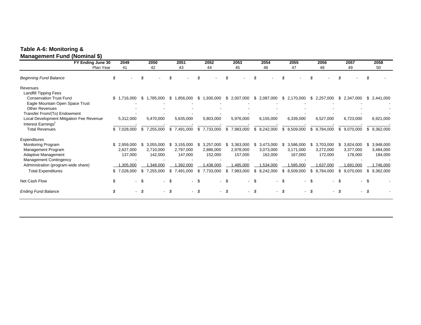| FY Ending June 30                        | 2049        | 2050                             | 2051            | 2052            | 2053             | 2054            | 2055             | 2056                             | 2057            | 2058            |
|------------------------------------------|-------------|----------------------------------|-----------------|-----------------|------------------|-----------------|------------------|----------------------------------|-----------------|-----------------|
| Plan Year                                | 41          | 42                               | 43              | 44              | 45               | 46              | 47               | 48                               | 49              | 50              |
| <b>Beginning Fund Balance</b>            |             |                                  |                 |                 |                  |                 |                  |                                  |                 |                 |
| Revenues                                 |             |                                  |                 |                 |                  |                 |                  |                                  |                 |                 |
| <b>Landfill Tipping Fees</b>             |             |                                  |                 |                 |                  |                 |                  |                                  |                 |                 |
| <b>Conservation Trust Fund</b>           | \$1,716,000 | 1,785,000<br>\$.                 | 1,856,000<br>S  | ,930,000<br>S   | 2,007,000<br>\$. | 2,087,000<br>\$ | 2,170,000<br>S   | \$<br>2,257,000                  | \$<br>2,347,000 | 2,441,000<br>\$ |
| Eagle Mountain Open Space Trust          |             |                                  |                 |                 |                  |                 |                  |                                  |                 |                 |
| <b>Other Revenues</b>                    |             |                                  |                 |                 |                  |                 |                  |                                  |                 |                 |
| Transfer From/(To) Endowment             |             |                                  |                 |                 |                  |                 |                  |                                  |                 |                 |
| Local Development Mitigation Fee Revenue | 5,312,000   | 5,470,000                        | 5,635,000       | 5,803,000       | 5,976,000        | 6,155,000       | 6,339,000        | 6,527,000                        | 6,723,000       | 6,921,000       |
| Interest Earnings <sup>1</sup>           |             |                                  |                 |                 |                  |                 |                  |                                  |                 |                 |
| <b>Total Revenues</b>                    | \$7,028,000 | \$7,255,000                      | \$7,491,000     | \$7,733,000     | \$7,983,000      | \$8,242,000     | \$8,509,000      | \$8,784,000                      | \$9,070,000     | \$9,362,000     |
| Expenditures                             |             |                                  |                 |                 |                  |                 |                  |                                  |                 |                 |
| <b>Monitoring Program</b>                | \$2,959,000 | 3,055,000<br>\$                  | 3,155,000<br>\$ | 3,257,000<br>\$ | 3,363,000<br>\$  | 3,473,000<br>\$ | 3,586,000<br>-SS | 3,703,000<br>\$                  | 3,824,000<br>\$ | 3,948,000<br>S  |
| <b>Management Program</b>                | 2,627,000   | 2,710,000                        | 2,797,000       | 2,886,000       | 2,978,000        | 3,073,000       | 3,171,000        | 3,272,000                        | 3,377,000       | 3,484,000       |
| Adaptive Management                      | 137,000     | 142,000                          | 147,000         | 152,000         | 157,000          | 162,000         | 167,000          | 172,000                          | 178,000         | 184,000         |
| Management Contingency                   |             |                                  |                 |                 |                  |                 |                  |                                  |                 |                 |
| Administration (program-wide share)      | ,305,000    | 1,348,000                        | 1,392,000       | ,438,000        | 1,485,000        | 1,534,000       | 1,585,000        | 1,637,000                        | 1,691,000       | 1,746,000       |
| <b>Total Expenditures</b>                | \$7,028,000 | \$<br>7,255,000                  | 7,491,000<br>\$ | 7,733,000<br>\$ | 7,983,000<br>\$  | \$<br>8,242,000 | 8,509,000<br>\$  | 8,784,000<br>\$.                 | 9,070,000<br>\$ | 9,362,000<br>S  |
| Net Cash Flow                            |             | - \$<br>۰.                       | - \$<br>$\sim$  | \$<br>$\sim$    | \$               | -S              | $-$ \$           | \$                               | \$              | $-$ \$          |
| <b>Ending Fund Balance</b>               | \$          | - \$<br>$\overline{\phantom{a}}$ | - \$            | $-5$            | $-5$             | - \$            | - \$<br>$\sim$   | - \$<br>$\overline{\phantom{a}}$ | \$              | $-5$            |
|                                          |             |                                  |                 |                 |                  |                 |                  |                                  |                 |                 |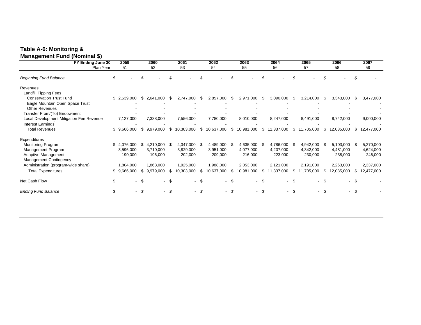|                                                                                                                                                                        | FY Ending June 30 | 2059                                    |     | 2060                                |        | 2061                              |      | 2062                                 |        | 2063                              |        | 2064                              |      | 2065                                 |      | 2066                              |      | 2067                              |
|------------------------------------------------------------------------------------------------------------------------------------------------------------------------|-------------------|-----------------------------------------|-----|-------------------------------------|--------|-----------------------------------|------|--------------------------------------|--------|-----------------------------------|--------|-----------------------------------|------|--------------------------------------|------|-----------------------------------|------|-----------------------------------|
|                                                                                                                                                                        | Plan Year         | 51                                      |     | 52                                  |        | 53                                |      | 54                                   |        | 55                                |        | 56                                |      | 57                                   |      | 58                                |      | 59                                |
| <b>Beginning Fund Balance</b>                                                                                                                                          |                   | \$                                      |     |                                     |        |                                   |      |                                      |        |                                   |        |                                   |      |                                      |      |                                   |      |                                   |
| Revenues<br><b>Landfill Tipping Fees</b><br><b>Conservation Trust Fund</b><br>Eagle Mountain Open Space Trust<br><b>Other Revenues</b><br>Transfer From/(To) Endowment |                   | \$2,539,000                             | S   | 2.641.000                           | S      | 2,747,000                         | ß.   | 2,857,000                            | - 35   | 2,971,000                         | S      | 3,090,000                         | £.   | 3,214,000                            | -S   | 3,343,000                         | S    | 3,477,000                         |
| Local Development Mitigation Fee Revenue<br>Interest Earnings <sup>1</sup>                                                                                             |                   | 7,127,000                               |     | 7,338,000                           |        | 7,556,000                         |      | 7,780,000                            |        | 8,010,000                         |        | 8,247,000                         |      | 8,491,000                            |      | 8,742,000                         |      | 9,000,000                         |
| <b>Total Revenues</b>                                                                                                                                                  |                   | \$<br>9,666,000                         |     | \$9,979,000                         | \$     | 10,303,000                        | \$   | 10,637,000                           | \$     | 10,981,000                        | \$     | 11,337,000                        |      | \$11,705,000                         | \$   | 12,085,000                        |      | \$12,477,000                      |
| Expenditures<br><b>Monitoring Program</b><br>Management Program<br>Adaptive Management                                                                                 |                   | \$<br>4,076,000<br>3,596,000<br>190,000 |     | \$4,210,000<br>3,710,000<br>196,000 | \$     | 4,347,000<br>3,829,000<br>202,000 | - \$ | 4,489,000 \$<br>3,951,000<br>209,000 |        | 4,635,000<br>4,077,000<br>216,000 |        | 4,786,000<br>4,207,000<br>223,000 | - \$ | 4,942,000 \$<br>4,342,000<br>230,000 |      | 5,103,000<br>4,481,000<br>238,000 | \$   | 5,270,000<br>4,624,000<br>246,000 |
| Management Contingency<br>Administration (program-wide share)<br><b>Total Expenditures</b>                                                                             |                   | \$<br>000,804<br>9,666,000              | \$  | .863,000<br>9,979,000               | \$     | 1,925,000<br>10,303,000           | \$   | 1,988,000<br>10,637,000              | \$     | 2,053,000<br>10,981,000           | \$     | 2,121,000<br>11,337,000           | S    | 2,191,000<br>11,705,000              | \$   | 2,263,000<br>12,085,000           | \$   | 2,337,000<br>12,477,000           |
| Net Cash Flow                                                                                                                                                          |                   | \$                                      | \$  | $\sim$                              | -\$    |                                   | \$.  | $\overline{\phantom{0}}$             | -S     | $\sim$                            | - \$   |                                   | \$   | $\blacksquare$                       | \$   | $\sim$                            | - \$ |                                   |
| <b>Ending Fund Balance</b>                                                                                                                                             |                   | \$<br>$\sim$                            | -\$ |                                     | $-$ \$ | $\sim$                            | \$   |                                      | $-$ \$ |                                   | $-$ \$ | $\sim$                            | \$   | $\overline{\phantom{a}}$             | - \$ |                                   | $-5$ |                                   |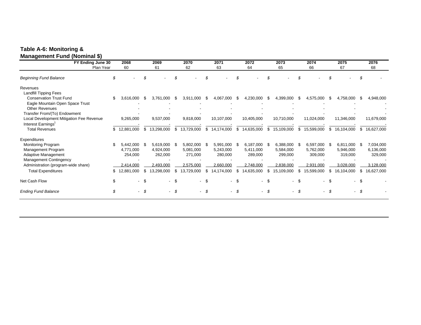| FY Ending June 30                                                          |    | 2068       |      | 2069                     |        | 2070       |        | 2071           |        | 2072                     |      | 2073           |        | 2074         |      | 2075       |      | 2076       |
|----------------------------------------------------------------------------|----|------------|------|--------------------------|--------|------------|--------|----------------|--------|--------------------------|------|----------------|--------|--------------|------|------------|------|------------|
| Plan Year                                                                  |    | 60         |      | 61                       |        | 62         |        | 63             |        | 64                       |      | 65             |        | 66           |      | 67         |      | 68         |
| <b>Beginning Fund Balance</b>                                              | \$ |            | \$   |                          |        |            |        |                |        |                          |      |                |        |              |      |            |      |            |
| Revenues                                                                   |    |            |      |                          |        |            |        |                |        |                          |      |                |        |              |      |            |      |            |
| <b>Landfill Tipping Fees</b>                                               |    |            |      |                          |        |            |        |                |        |                          |      |                |        |              |      |            |      |            |
| <b>Conservation Trust Fund</b>                                             | \$ | 3,616,000  | \$   | 3,761,000                | -S     | 3,911,000  | -S     | 4,067,000      | \$.    | 4,230,000                | \$.  | 4,399,000      | - \$   | 4,575,000    | S    | 4,758,000  | S    | 4,948,000  |
| Eagle Mountain Open Space Trust                                            |    |            |      |                          |        |            |        |                |        |                          |      |                |        |              |      |            |      |            |
| <b>Other Revenues</b>                                                      |    |            |      |                          |        |            |        |                |        |                          |      |                |        |              |      |            |      |            |
| Transfer From/(To) Endowment                                               |    |            |      | 9,537,000                |        | 9,818,000  |        | 10,107,000     |        | 10,405,000               |      | 10,710,000     |        | 11,024,000   |      | 11,346,000 |      | 11,679,000 |
| Local Development Mitigation Fee Revenue<br>Interest Earnings <sup>1</sup> |    | 9,265,000  |      |                          |        |            |        |                |        |                          |      |                |        |              |      |            |      |            |
| <b>Total Revenues</b>                                                      | \$ | 12,881,000 | \$   | 13,298,000               | \$     | 13,729,000 | \$     | 14,174,000     | \$     | 14,635,000               | \$   | 15,109,000     |        | \$15,599,000 | \$   | 16,104,000 | \$   | 16,627,000 |
|                                                                            |    |            |      |                          |        |            |        |                |        |                          |      |                |        |              |      |            |      |            |
| Expenditures                                                               |    |            |      |                          |        |            |        |                |        |                          |      |                |        |              |      |            |      |            |
| Monitoring Program                                                         |    | 5,442,000  | - \$ | 5,619,000 \$             |        | 5,802,000  |        | 5,991,000      | - \$   | 6,187,000                | - \$ | 6,388,000 \$   |        | 6,597,000    | S    | 6,811,000  | - \$ | 7,034,000  |
| <b>Management Program</b>                                                  |    | 4,771,000  |      | 4,924,000                |        | 5,081,000  |        | 5,243,000      |        | 5,411,000                |      | 5,584,000      |        | 5,762,000    |      | 5,946,000  |      | 6,136,000  |
| Adaptive Management                                                        |    | 254,000    |      | 262,000                  |        | 271,000    |        | 280,000        |        | 289,000                  |      | 299,000        |        | 309,000      |      | 319,000    |      | 329,000    |
| <b>Management Contingency</b>                                              |    |            |      |                          |        |            |        |                |        |                          |      |                |        |              |      |            |      |            |
| Administration (program-wide share)                                        |    | 2,414,000  |      | 2,493,000                |        | 2,575,000  |        | 2,660,000      |        | 2,748,000                |      | 2,838,000      |        | 2,931,000    |      | 3,028,000  |      | 3,128,000  |
| <b>Total Expenditures</b>                                                  | S. | 12,881,000 | \$   | 13,298,000               | \$     | 13,729,000 | \$     | 14,174,000     | \$     | 14,635,000               | S    | 15,109,000     | \$     | 15,599,000   | S    | 16,104,000 | \$   | 16,627,000 |
| Net Cash Flow                                                              |    | $\sim$     | \$   | $\overline{\phantom{a}}$ | -S     | $\sim$     | \$     | $\blacksquare$ | -S     | $\blacksquare$           | \$   | $\blacksquare$ | - \$   | $\sim$       | -S   | $\sim$     | \$.  |            |
| <b>Ending Fund Balance</b>                                                 | \$ | $\sim$     | \$   |                          | $-$ \$ |            | $-$ \$ |                | $-$ \$ | $\overline{\phantom{a}}$ | \$   |                | $-$ \$ |              | - \$ |            | - \$ |            |
|                                                                            |    |            |      |                          |        |            |        |                |        |                          |      |                |        |              |      |            |      |            |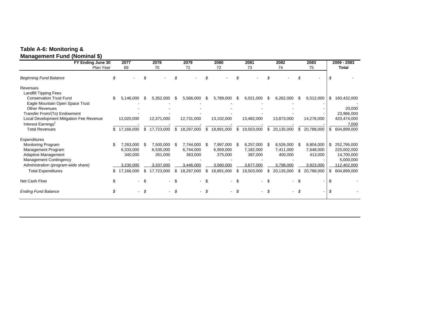| FY Ending June 30                        |           | 2077                     | 2078             |        | 2079                     |        | 2080                     |      | 2081       |      | 2082       |      | 2083       |    | 2009 - 2083  |
|------------------------------------------|-----------|--------------------------|------------------|--------|--------------------------|--------|--------------------------|------|------------|------|------------|------|------------|----|--------------|
|                                          | Plan Year | 69                       | 70               |        | 71                       |        | 72                       |      | 73         |      | 74         |      | 75         |    | <b>Total</b> |
| <b>Beginning Fund Balance</b>            | S         |                          | \$               |        |                          |        |                          |      |            |      |            |      |            | S  |              |
| Revenues                                 |           |                          |                  |        |                          |        |                          |      |            |      |            |      |            |    |              |
| Landfill Tipping Fees                    |           |                          |                  |        |                          |        |                          |      |            |      |            |      |            |    |              |
| <b>Conservation Trust Fund</b>           | \$        | 5,146,000                | \$<br>5,352,000  | S      | 5,566,000                | Æ.     | 5,789,000                | \$.  | 6,021,000  |      | 6,262,000  | \$   | 6,512,000  | \$ | 160,432,000  |
| Eagle Mountain Open Space Trust          |           |                          |                  |        |                          |        |                          |      |            |      |            |      |            |    |              |
| <b>Other Revenues</b>                    |           |                          |                  |        |                          |        |                          |      |            |      |            |      |            |    | 20,000       |
| Transfer From/(To) Endowment             |           |                          |                  |        |                          |        |                          |      |            |      |            |      |            |    | 23,966,000   |
| Local Development Mitigation Fee Revenue |           | 12,020,000               | 12,371,000       |        | 12,731,000               |        | 13,102,000               |      | 13,482,000 |      | 13,873,000 |      | 14,276,000 |    | 420,474,000  |
| Interest Earnings <sup>1</sup>           |           |                          |                  |        |                          |        |                          |      |            |      |            |      |            |    | 7,000        |
| <b>Total Revenues</b>                    |           | \$17,166,000             | \$<br>17,723,000 | \$     | 18,297,000               | \$     | 18,891,000               | \$   | 19,503,000 | S    | 20,135,000 | \$   | 20,788,000 | \$ | 604,899,000  |
| Expenditures                             |           |                          |                  |        |                          |        |                          |      |            |      |            |      |            |    |              |
| <b>Monitoring Program</b>                | \$.       | 7,263,000                | \$<br>7,500,000  | - SS   | 7,744,000                | - 95   | 7,997,000                | - \$ | 8,257,000  | - 95 | 8,526,000  | S    | 8,804,000  | -S | 252,795,000  |
| Management Program                       |           | 6,333,000                | 6,535,000        |        | 6,744,000                |        | 6,959,000                |      | 7,182,000  |      | 7,411,000  |      | 7,648,000  |    | 220,002,000  |
| Adaptive Management                      |           | 340,000                  | 351,000          |        | 363,000                  |        | 375,000                  |      | 387,000    |      | 400,000    |      | 413,000    |    | 14,700,000   |
| <b>Management Contingency</b>            |           |                          |                  |        |                          |        |                          |      |            |      |            |      |            |    | 5,000,000    |
| Administration (program-wide share)      |           | 3,230,000                | 3,337,000        |        | 3,446,000                |        | 3,560,000                |      | 3,677,000  |      | 3,798,000  |      | 3,923,000  |    | 112,402,000  |
| <b>Total Expenditures</b>                | \$        | 17,166,000               | \$<br>17,723,000 | S      | 18,297,000               | Ж,     | 18,891,000               | S    | 19,503,000 |      | 20,135,000 | S    | 20,788,000 | \$ | 604,899,000  |
| Net Cash Flow                            |           |                          | \$               | $-$ \$ | $\overline{\phantom{0}}$ | - \$   |                          | \$   |            | \$   | $\sim$     | \$   |            | \$ |              |
| <b>Ending Fund Balance</b>               | \$        | $\overline{\phantom{a}}$ | \$               | - \$   |                          | $-$ \$ | $\overline{\phantom{a}}$ | - \$ | $\sim$     | \$   |            | - \$ |            |    |              |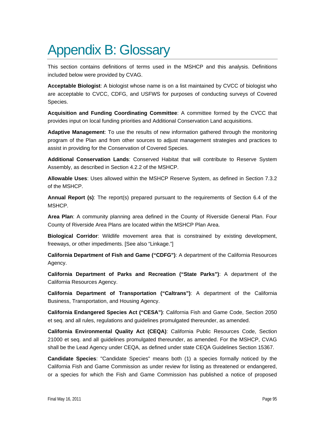# Appendix B: Glossary

This section contains definitions of terms used in the MSHCP and this analysis. Definitions included below were provided by CVAG.

**Acceptable Biologist**: A biologist whose name is on a list maintained by CVCC of biologist who are acceptable to CVCC, CDFG, and USFWS for purposes of conducting surveys of Covered Species.

**Acquisition and Funding Coordinating Committee**: A committee formed by the CVCC that provides input on local funding priorities and Additional Conservation Land acquisitions.

**Adaptive Management**: To use the results of new information gathered through the monitoring program of the Plan and from other sources to adjust management strategies and practices to assist in providing for the Conservation of Covered Species.

**Additional Conservation Lands**: Conserved Habitat that will contribute to Reserve System Assembly, as described in Section 4.2.2 of the MSHCP.

**Allowable Uses**: Uses allowed within the MSHCP Reserve System, as defined in Section 7.3.2 of the MSHCP.

**Annual Report (s)**: The report(s) prepared pursuant to the requirements of Section 6.4 of the MSHCP.

**Area Plan**: A community planning area defined in the County of Riverside General Plan. Four County of Riverside Area Plans are located within the MSHCP Plan Area.

**Biological Corridor**: Wildlife movement area that is constrained by existing development, freeways, or other impediments. [See also "Linkage."]

**California Department of Fish and Game ("CDFG")**: A department of the California Resources Agency.

**California Department of Parks and Recreation ("State Parks")**: A department of the California Resources Agency.

**California Department of Transportation ("Caltrans")**: A department of the California Business, Transportation, and Housing Agency.

**California Endangered Species Act ("CESA")**: California Fish and Game Code, Section 2050 et seq. and all rules, regulations and guidelines promulgated thereunder, as amended.

**California Environmental Quality Act (CEQA)**: California Public Resources Code, Section 21000 et seq. and all guidelines promulgated thereunder, as amended. For the MSHCP, CVAG shall be the Lead Agency under CEQA, as defined under state CEQA Guidelines Section 15367.

**Candidate Species**: "Candidate Species" means both (1) a species formally noticed by the California Fish and Game Commission as under review for listing as threatened or endangered, or a species for which the Fish and Game Commission has published a notice of proposed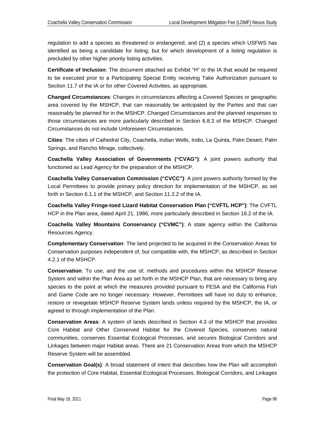regulation to add a species as threatened or endangered, and (2) a species which USFWS has identified as being a candidate for listing, but for which development of a listing regulation is precluded by other higher priority listing activities.

**Certificate of Inclusion**: The document attached as Exhibit "H" to the IA that would be required to be executed prior to a Participating Special Entity receiving Take Authorization pursuant to Section 11.7 of the IA or for other Covered Activities, as appropriate.

**Changed Circumstances**: Changes in circumstances affecting a Covered Species or geographic area covered by the MSHCP, that can reasonably be anticipated by the Parties and that can reasonably be planned for in the MSHCP. Changed Circumstances and the planned responses to those circumstances are more particularly described in Section 6.8.3 of the MSHCP. Changed Circumstances do not include Unforeseen Circumstances.

**Cities**: The cities of Cathedral City, Coachella, Indian Wells, Indio, La Quinta, Palm Desert, Palm Springs, and Rancho Mirage, collectively.

**Coachella Valley Association of Governments ("CVAG")**: A joint powers authority that functioned as Lead Agency for the preparation of the MSHCP.

**Coachella Valley Conservation Commission ("CVCC")**: A joint powers authority formed by the Local Permittees to provide primary policy direction for implementation of the MSHCP, as set forth in Section 6.1.1 of the MSHCP, and Section 11.2.2 of the IA.

**Coachella Valley Fringe-toed Lizard Habitat Conservation Plan ("CVFTL HCP")**: The CVFTL HCP in the Plan area, dated April 21, 1986, more particularly described in Section 16.2 of the IA.

**Coachella Valley Mountains Conservancy ("CVMC")**: A state agency within the California Resources Agency.

**Complementary Conservation**: The land projected to be acquired in the Conservation Areas for Conservation purposes independent of, but compatible with, the MSHCP, as described in Section 4.2.1 of the MSHCP.

**Conservation**: To use, and the use of, methods and procedures within the MSHCP Reserve System and within the Plan Area as set forth in the MSHCP Plan, that are necessary to bring any species to the point at which the measures provided pursuant to FESA and the California Fish and Game Code are no longer necessary. However, Permittees will have no duty to enhance, restore or revegetate MSHCP Reserve System lands unless required by the MSHCP, the IA, or agreed to through implementation of the Plan.

**Conservation Areas**: A system of lands described in Section 4.3 of the MSHCP that provides Core Habitat and Other Conserved Habitat for the Covered Species, conserves natural communities, conserves Essential Ecological Processes, and secures Biological Corridors and Linkages between major Habitat areas. There are 21 Conservation Areas from which the MSHCP Reserve System will be assembled.

**Conservation Goal(s)**: A broad statement of intent that describes how the Plan will accomplish the protection of Core Habitat, Essential Ecological Processes, Biological Corridors, and Linkages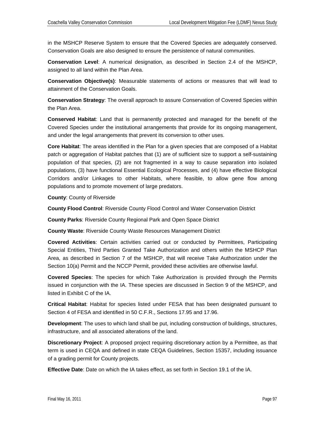in the MSHCP Reserve System to ensure that the Covered Species are adequately conserved. Conservation Goals are also designed to ensure the persistence of natural communities.

**Conservation Level**: A numerical designation, as described in Section 2.4 of the MSHCP, assigned to all land within the Plan Area.

**Conservation Objective(s)**: Measurable statements of actions or measures that will lead to attainment of the Conservation Goals.

**Conservation Strategy**: The overall approach to assure Conservation of Covered Species within the Plan Area.

**Conserved Habitat**: Land that is permanently protected and managed for the benefit of the Covered Species under the institutional arrangements that provide for its ongoing management, and under the legal arrangements that prevent its conversion to other uses.

**Core Habitat**: The areas identified in the Plan for a given species that are composed of a Habitat patch or aggregation of Habitat patches that (1) are of sufficient size to support a self-sustaining population of that species, (2) are not fragmented in a way to cause separation into isolated populations, (3) have functional Essential Ecological Processes, and (4) have effective Biological Corridors and/or Linkages to other Habitats, where feasible, to allow gene flow among populations and to promote movement of large predators.

**County**: County of Riverside

**County Flood Control**: Riverside County Flood Control and Water Conservation District

**County Parks**: Riverside County Regional Park and Open Space District

**County Waste**: Riverside County Waste Resources Management District

**Covered Activities**: Certain activities carried out or conducted by Permittees, Participating Special Entities, Third Parties Granted Take Authorization and others within the MSHCP Plan Area, as described in Section 7 of the MSHCP, that will receive Take Authorization under the Section 10(a) Permit and the NCCP Permit, provided these activities are otherwise lawful.

**Covered Species**: The species for which Take Authorization is provided through the Permits issued in conjunction with the IA. These species are discussed in Section 9 of the MSHCP, and listed in Exhibit C of the IA.

**Critical Habitat**: Habitat for species listed under FESA that has been designated pursuant to Section 4 of FESA and identified in 50 C.F.R., Sections 17.95 and 17.96.

**Development**: The uses to which land shall be put, including construction of buildings, structures, infrastructure, and all associated alterations of the land.

**Discretionary Project**: A proposed project requiring discretionary action by a Permittee, as that term is used in CEQA and defined in state CEQA Guidelines, Section 15357, including issuance of a grading permit for County projects.

**Effective Date**: Date on which the IA takes effect, as set forth in Section 19.1 of the IA.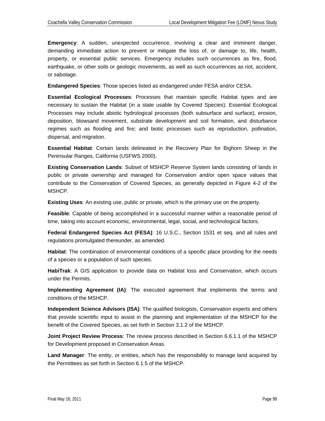**Emergency**: A sudden, unexpected occurrence, involving a clear and imminent danger, demanding immediate action to prevent or mitigate the loss of, or damage to, life, health, property, or essential public services. Emergency includes such occurrences as fire, flood, earthquake, or other soils or geologic movements, as well as such occurrences as riot, accident, or sabotage.

**Endangered Species**: Those species listed as endangered under FESA and/or CESA.

**Essential Ecological Processes**: Processes that maintain specific Habitat types and are necessary to sustain the Habitat (in a state usable by Covered Species). Essential Ecological Processes may include abiotic hydrological processes (both subsurface and surface), erosion, deposition, blowsand movement, substrate development and soil formation, and disturbance regimes such as flooding and fire; and biotic processes such as reproduction, pollination, dispersal, and migration.

**Essential Habitat**: Certain lands delineated in the Recovery Plan for Bighorn Sheep in the Peninsular Ranges, California (USFWS 2000).

**Existing Conservation Lands**: Subset of MSHCP Reserve System lands consisting of lands in public or private ownership and managed for Conservation and/or open space values that contribute to the Conservation of Covered Species, as generally depicted in Figure 4-2 of the MSHCP.

**Existing Uses**: An existing use, public or private, which is the primary use on the property.

**Feasible**: Capable of being accomplished in a successful manner within a reasonable period of time, taking into account economic, environmental, legal, social, and technological factors.

**Federal Endangered Species Act (FESA)**: 16 U.S.C., Section 1531 et seq. and all rules and regulations promulgated thereunder, as amended.

**Habitat**: The combination of environmental conditions of a specific place providing for the needs of a species or a population of such species.

**HabiTrak**: A GIS application to provide data on Habitat loss and Conservation, which occurs under the Permits.

**Implementing Agreement (IA)**: The executed agreement that implements the terms and conditions of the MSHCP.

**Independent Science Advisors (ISA)**: The qualified biologists, Conservation experts and others that provide scientific input to assist in the planning and implementation of the MSHCP for the benefit of the Covered Species, as set forth in Section 3.1.2 of the MSHCP.

**Joint Project Review Process**: The review process described in Section 6.6.1.1 of the MSHCP for Development proposed in Conservation Areas.

**Land Manager**: The entity, or entities, which has the responsibility to manage land acquired by the Permittees as set forth in Section 6.1.5 of the MSHCP.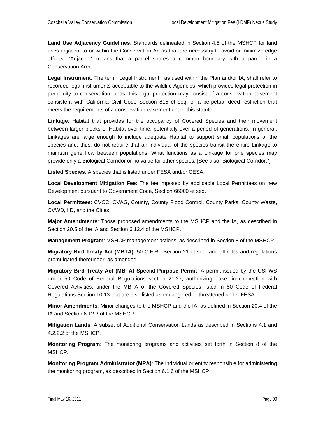**Land Use Adjacency Guidelines**: Standards delineated in Section 4.5 of the MSHCP for land uses adjacent to or within the Conservation Areas that are necessary to avoid or minimize edge effects. "Adjacent" means that a parcel shares a common boundary with a parcel in a Conservation Area.

**Legal Instrument**: The term "Legal Instrument," as used within the Plan and/or IA, shall refer to recorded legal instruments acceptable to the Wildlife Agencies, which provides legal protection in perpetuity to conservation lands; this legal protection may consist of a conservation easement consistent with California Civil Code Section 815 et seq. or a perpetual deed restriction that meets the requirements of a conservation easement under this statute.

**Linkage**: Habitat that provides for the occupancy of Covered Species and their movement between larger blocks of Habitat over time, potentially over a period of generations. In general, Linkages are large enough to include adequate Habitat to support small populations of the species and, thus, do not require that an individual of the species transit the entire Linkage to maintain gene flow between populations. What functions as a Linkage for one species may provide only a Biological Corridor or no value for other species. [See also "Biological Corridor."]

**Listed Species**: A species that is listed under FESA and/or CESA.

**Local Development Mitigation Fee**: The fee imposed by applicable Local Permittees on new Development pursuant to Government Code, Section 66000 et seq.

**Local Permittees**: CVCC, CVAG, County, County Flood Control, County Parks, County Waste, CVWD, IID, and the Cities.

**Major Amendments**: Those proposed amendments to the MSHCP and the IA, as described in Section 20.5 of the IA and Section 6.12.4 of the MSHCP.

**Management Program**: MSHCP management actions, as described in Section 8 of the MSHCP.

**Migratory Bird Treaty Act (MBTA)**: 50 C.F.R., Section 21 et seq. and all rules and regulations promulgated thereunder, as amended.

**Migratory Bird Treaty Act (MBTA) Special Purpose Permit**: A permit issued by the USFWS under 50 Code of Federal Regulations section 21.27, authorizing Take, in connection with Covered Activities, under the MBTA of the Covered Species listed in 50 Code of Federal Regulations Section 10.13 that are also listed as endangered or threatened under FESA.

**Minor Amendments**: Minor changes to the MSHCP and the IA, as defined in Section 20.4 of the IA and Section 6.12.3 of the MSHCP.

**Mitigation Lands**: A subset of Additional Conservation Lands as described in Sections 4.1 and 4.2.2.2 of the MSHCP.

**Monitoring Program**: The monitoring programs and activities set forth in Section 8 of the MSHCP.

**Monitoring Program Administrator (MPA)**: The individual or entity responsible for administering the monitoring program, as described in Section 6.1.6 of the MSHCP.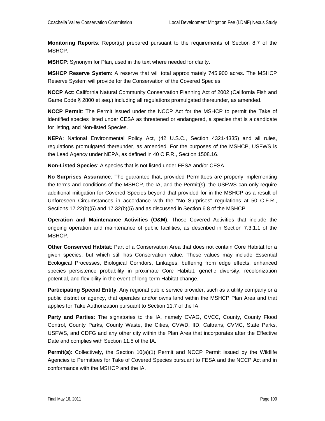**Monitoring Reports**: Report(s) prepared pursuant to the requirements of Section 8.7 of the MSHCP.

**MSHCP**: Synonym for Plan, used in the text where needed for clarity.

**MSHCP Reserve System**: A reserve that will total approximately 745,900 acres. The MSHCP Reserve System will provide for the Conservation of the Covered Species.

**NCCP Act**: California Natural Community Conservation Planning Act of 2002 (California Fish and Game Code § 2800 et seq.) including all regulations promulgated thereunder, as amended.

**NCCP Permit**: The Permit issued under the NCCP Act for the MSHCP to permit the Take of identified species listed under CESA as threatened or endangered, a species that is a candidate for listing, and Non-listed Species.

**NEPA**: National Environmental Policy Act, (42 U.S.C., Section 4321-4335) and all rules, regulations promulgated thereunder, as amended. For the purposes of the MSHCP, USFWS is the Lead Agency under NEPA, as defined in 40 C.F.R., Section 1508.16.

**Non-Listed Species**: A species that is not listed under FESA and/or CESA.

**No Surprises Assurance**: The guarantee that, provided Permittees are properly implementing the terms and conditions of the MSHCP, the IA, and the Permit(s), the USFWS can only require additional mitigation for Covered Species beyond that provided for in the MSHCP as a result of Unforeseen Circumstances in accordance with the "No Surprises" regulations at 50 C.F.R., Sections 17.22(b)(5) and 17.32(b)(5) and as discussed in Section 6.8 of the MSHCP.

**Operation and Maintenance Activities (O&M)**: Those Covered Activities that include the ongoing operation and maintenance of public facilities, as described in Section 7.3.1.1 of the MSHCP.

**Other Conserved Habitat**: Part of a Conservation Area that does not contain Core Habitat for a given species, but which still has Conservation value. These values may include Essential Ecological Processes, Biological Corridors, Linkages, buffering from edge effects, enhanced species persistence probability in proximate Core Habitat, genetic diversity, recolonization potential, and flexibility in the event of long-term Habitat change.

**Participating Special Entity**: Any regional public service provider, such as a utility company or a public district or agency, that operates and/or owns land within the MSHCP Plan Area and that applies for Take Authorization pursuant to Section 11.7 of the IA.

**Party and Parties**: The signatories to the IA, namely CVAG, CVCC, County, County Flood Control, County Parks, County Waste, the Cities, CVWD, IID, Caltrans, CVMC, State Parks, USFWS, and CDFG and any other city within the Plan Area that incorporates after the Effective Date and complies with Section 11.5 of the IA.

**Permit(s)**: Collectively, the Section 10(a)(1) Permit and NCCP Permit issued by the Wildlife Agencies to Permittees for Take of Covered Species pursuant to FESA and the NCCP Act and in conformance with the MSHCP and the IA.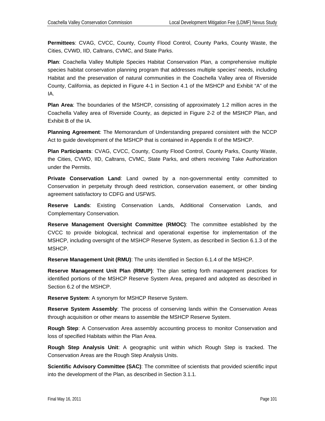**Permittees**: CVAG, CVCC, County, County Flood Control, County Parks, County Waste, the Cities, CVWD, IID, Caltrans, CVMC, and State Parks.

**Plan**: Coachella Valley Multiple Species Habitat Conservation Plan, a comprehensive multiple species habitat conservation planning program that addresses multiple species' needs, including Habitat and the preservation of natural communities in the Coachella Valley area of Riverside County, California, as depicted in Figure 4-1 in Section 4.1 of the MSHCP and Exhibit "A" of the IA.

**Plan Area**: The boundaries of the MSHCP, consisting of approximately 1.2 million acres in the Coachella Valley area of Riverside County, as depicted in Figure 2-2 of the MSHCP Plan, and Exhibit B of the IA.

**Planning Agreement**: The Memorandum of Understanding prepared consistent with the NCCP Act to guide development of the MSHCP that is contained in Appendix II of the MSHCP.

**Plan Participants**: CVAG, CVCC, County, County Flood Control, County Parks, County Waste, the Cities, CVWD, IID, Caltrans, CVMC, State Parks, and others receiving Take Authorization under the Permits.

**Private Conservation Land**: Land owned by a non-governmental entity committed to Conservation in perpetuity through deed restriction, conservation easement, or other binding agreement satisfactory to CDFG and USFWS.

**Reserve Lands**: Existing Conservation Lands, Additional Conservation Lands, and Complementary Conservation.

**Reserve Management Oversight Committee (RMOC)**: The committee established by the CVCC to provide biological, technical and operational expertise for implementation of the MSHCP, including oversight of the MSHCP Reserve System, as described in Section 6.1.3 of the MSHCP.

**Reserve Management Unit (RMU)**: The units identified in Section 6.1.4 of the MSHCP.

**Reserve Management Unit Plan (RMUP)**: The plan setting forth management practices for identified portions of the MSHCP Reserve System Area, prepared and adopted as described in Section 6.2 of the MSHCP.

**Reserve System**: A synonym for MSHCP Reserve System.

**Reserve System Assembly**: The process of conserving lands within the Conservation Areas through acquisition or other means to assemble the MSHCP Reserve System.

**Rough Step**: A Conservation Area assembly accounting process to monitor Conservation and loss of specified Habitats within the Plan Area.

**Rough Step Analysis Unit**: A geographic unit within which Rough Step is tracked. The Conservation Areas are the Rough Step Analysis Units.

**Scientific Advisory Committee (SAC)**: The committee of scientists that provided scientific input into the development of the Plan, as described in Section 3.1.1.